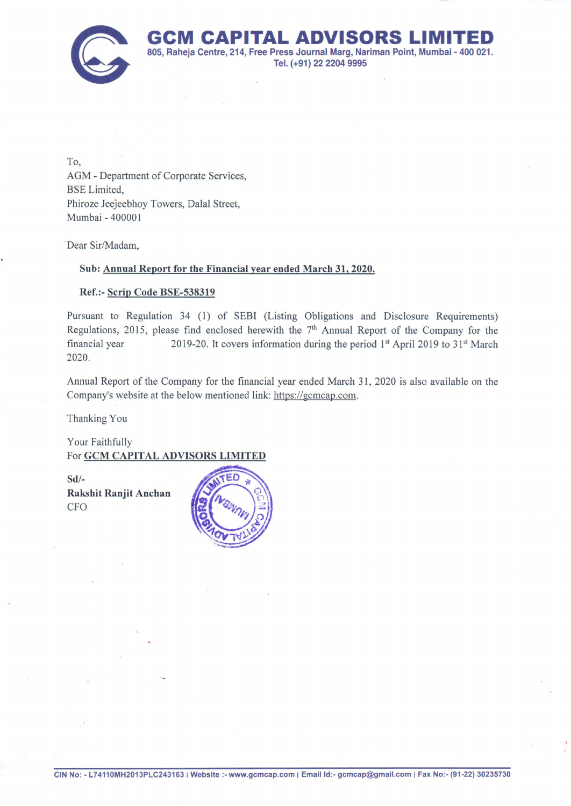

To. AGM - Department of Corporate Services, **BSE** Limited, Phiroze Jeejeebhoy Towers, Dalal Street, Mumbai - 400001

Dear Sir/Madam,

### Sub: Annual Report for the Financial year ended March 31, 2020.

#### Ref.:- Scrip Code BSE-538319

Pursuant to Regulation 34 (1) of SEBI (Listing Obligations and Disclosure Requirements) Regulations, 2015, please find enclosed herewith the  $7<sup>th</sup>$  Annual Report of the Company for the 2019-20. It covers information during the period 1<sup>st</sup> April 2019 to 31<sup>st</sup> March financial year 2020.

Annual Report of the Company for the financial year ended March 31, 2020 is also available on the Company's website at the below mentioned link: https://gcmcap.com.

Thanking You

Your Faithfully For GCM CAPITAL ADVISORS LIMITED

 $Sd$ /-**Rakshit Ranjit Anchan CFO** 

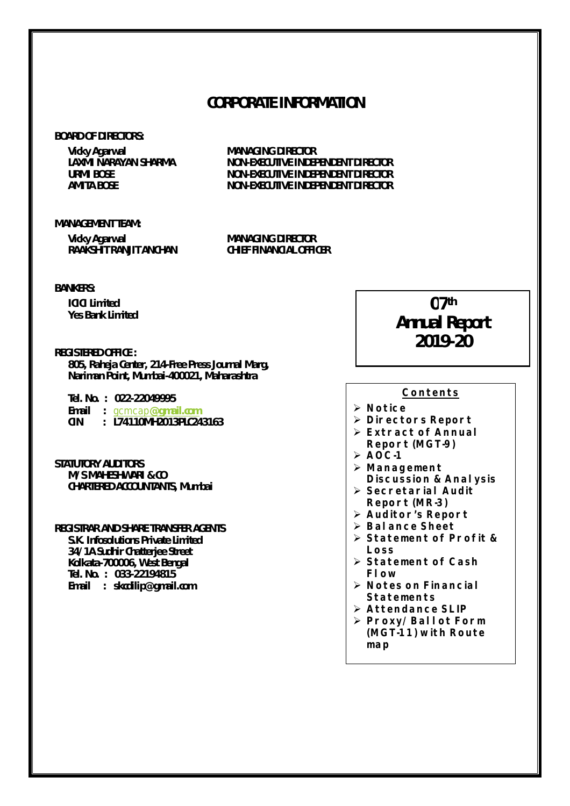# **CORPORATE INFORMATION**

#### **BOARD OF DIRECTORS:**

**Vicky Agarwal MANAGING DIRECTOR**<br> **MANAGING DIRECTOR**<br> **MON-EXECUTIVE INDEF** 

**LAXMI NARAYAN SHARMA NON-EXECUTIVE INDEPENDENT DIRECTOR URMI BOSE NON-EXECUTIVE INDEPENDENT DIRECTOR AMITA BOSE NON-EXECUTIVE INDEPENDENT DIRECTOR**

#### **MANAGEMENT TEAM:**

**Vicky Agarwal MANAGING DIRECTOR RAAKSHIT RANJIT ANCHAN CHIEF FINANCIAL OFFICER**

#### **BANKERS:**

**ICICI Limited Yes Bank Limited**

#### **REGISTERED OFFICE :**

**805, Raheja Center, 214-Free Press Journal Marg, Nariman Point, Mumbai-400021, Maharashtra**

**Tel. No. : 022-22049995 Email :** gcmcap**@gmail.com CIN : L74110MH2013PLC243163**

#### **STATUTORY AUDITORS**

**M/S MAHESHWARI & CO CHARTERED ACCOUNTANTS, Mumbai**

# **REGISTRAR AND SHARE TRANSFER AGENTS**

**S.K. Infosolutions Private Limited 34/1A Sudhir Chatterjee Street Kolkata-700006, West Bengal Tel. No. : 033-22194815 Email : skcdilip@gmail.com**

# **07 th Annual Report 2019-20**

# **Contents**

- **Notice**
- **Directors Report**
- **Extract of Annual Report (MGT-9)**
- $\triangleright$  AOC-1
- **Management Discussion & Analysis**
- **Secretarial Audit Report (MR-3)**
- **Auditor's Report**
- **Balance Sheet**
- **Statement of Profit & Loss**
- **Statement of Cash Flow**
- **Notes on Financial Statements**
- **Attendance SLIP**
- **Proxy/Ballot Form (MGT-11) with Route map**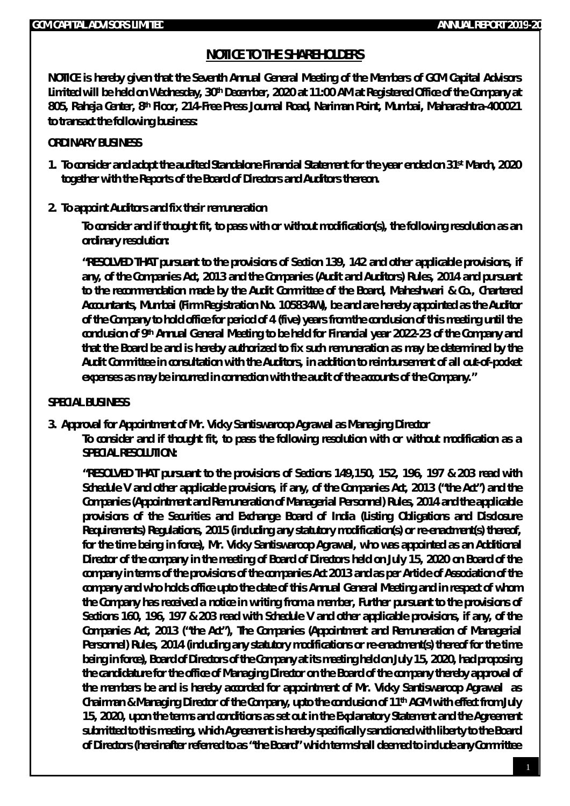# **NOTICE TO THE SHAREHOLDERS**

**NOTICE is hereby given that the Seventh Annual General Meeting of the Members of GCM Capital Advisors Limited will be held on Wednesday, 30th December, 2020 at 11:00 AM at Registered Office of the Company at 805, Raheja Center, 8th Floor, 214-Free Press Journal Road, Nariman Point, Mumbai, Maharashtra-400021 to transact the following business:**

# **ORDINARY BUSINESS**

**1. To consider and adopt the audited Standalone Financial Statement for the year ended on 31st March, 2020 together with the Reports of the Board of Directors and Auditors thereon.**

# **2. To appoint Auditors and fix their remuneration**

**To consider and if thought fit, to pass with or without modification(s), the following resolution as an ordinary resolution:**

**"RESOLVED THAT pursuant to the provisions of Section 139, 142 and other applicable provisions, if any, of the Companies Act, 2013 and the Companies (Audit and Auditors) Rules, 2014 and pursuant to the recommendation made by the Audit Committee of the Board, Maheshwari & Co., Chartered Accountants, Mumbai (Firm Registration No. 105834W), be and are hereby appointed as the Auditor of the Company to hold office for period of 4 (five) years from the conclusion of this meeting until the conclusion of 9th Annual General Meeting to be held for Financial year 2022-23 of the Company and that the Board be and is hereby authorized to fix such remuneration as may be determined by the Audit Committee in consultation with the Auditors, in addition to reimbursement of all out-of-pocket expenses as may be incurred in connection with the audit of the accounts of the Company."** 

### **SPECIAL BUSINESS**

### **3. Approval for Appointment of Mr. Vicky Santiswaroop Agrawal as Managing Director**

**To consider and if thought fit, to pass the following resolution with or without modification as a SPECIAL RESOLUTION:**

**"RESOLVED THAT pursuant to the provisions of Sections 149,150, 152, 196, 197 & 203 read with Schedule V and other applicable provisions, if any, of the Companies Act, 2013 ("the Act") and the Companies (Appointment and Remuneration of Managerial Personnel) Rules, 2014 and the applicable provisions of the Securities and Exchange Board of India (Listing Obligations and Disclosure Requirements) Regulations, 2015 (including any statutory modification(s) or re-enactment(s) thereof, for the time being in force), Mr. Vicky Santiswaroop Agrawal, who was appointed as an Additional Director of the company in the meeting of Board of Directors held on July 15, 2020 on Board of the company in terms of the provisions of the companies Act 2013 and as per Article of Association of the company and who holds office upto the date of this Annual General Meeting and in respect of whom the Company has received a notice in writing from a member, Further pursuant to the provisions of Sections 160, 196, 197 & 203 read with Schedule V and other applicable provisions, if any, of the Companies Act, 2013 ("the Act"), The Companies (Appointment and Remuneration of Managerial Personnel) Rules, 2014 (including any statutory modifications or re-enactment(s) thereof for the time being in force), Board of Directors of the Company at its meeting held on July 15, 2020, had proposing the candidature for the office of Managing Director on the Board of the company thereby approval of the members be and is hereby accorded for appointment of Mr. Vicky Santiswaroop Agrawal as Chairman & Managing Director of the Company, upto the conclusion of 11th AGM with effect from July 15, 2020, upon the terms and conditions as set out in the Explanatory Statement and the Agreement submitted to this meeting, which Agreement is hereby specifically sanctioned with liberty to the Board of Directors (hereinafter referred to as "the Board" which term shall deemed to include any Committee**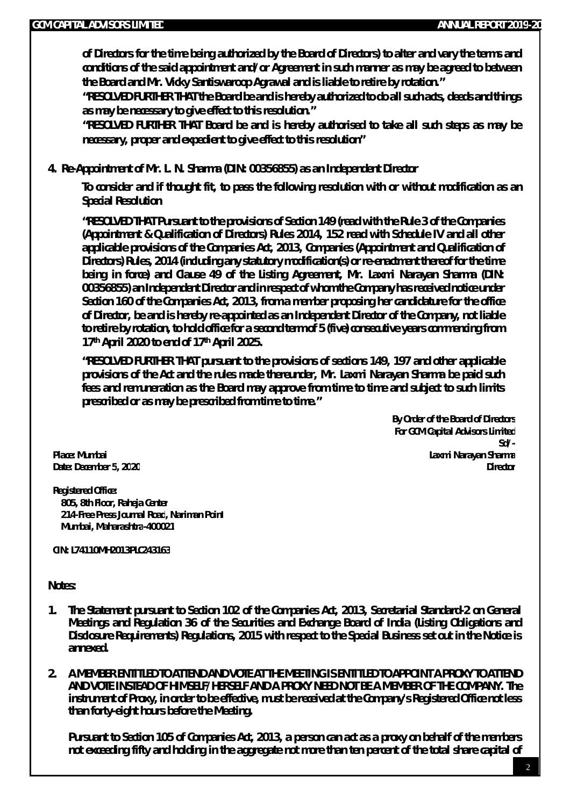**of Directors for the time being authorized by the Board of Directors) to alter and vary the terms and conditions of the said appointment and/or Agreement in such manner as may be agreed to between the Board and Mr. Vicky Santiswaroop Agrawal and is liable to retire by rotation."**

**"RESOLVED FURTHER THAT the Board be and is hereby authorized to do all such acts, deeds and things as may be necessary to give effect to this resolution."** 

**"RESOLVED FURTHER THAT Board be and is hereby authorised to take all such steps as may be necessary, proper and expedient to give effect to this resolution"**

# **4. Re-Appointment of Mr. L. N. Sharma (DIN: 00356855) as an Independent Director**

**To consider and if thought fit, to pass the following resolution with or without modification as an Special Resolution**

**"RESOLVED THAT Pursuant to the provisions of Section 149 (read with the Rule 3 of the Companies (Appointment & Qualification of Directors) Rules 2014, 152 read with Schedule IV and all other applicable provisions of the Companies Act, 2013, Companies (Appointment and Qualification of Directors) Rules, 2014 (including any statutory modification(s) or re-enactment thereof for the time being in force) and Clause 49 of the Listing Agreement, Mr. Laxmi Narayan Sharma (DIN: 00356855) an Independent Director and in respect of whom the Company has received notice under Section 160 of the Companies Act, 2013, from a member proposing her candidature for the office of Director, be and is hereby re-appointed as an Independent Director of the Company, not liable to retire by rotation, to hold office for a second term of 5 (five) consecutive years commencing from 17th April 2020 to end of 17th April 2025.**

**"RESOLVED FURTHER THAT pursuant to the provisions of sections 149, 197 and other applicable provisions of the Act and the rules made thereunder, Mr. Laxmi Narayan Sharma be paid such fees and remuneration as the Board may approve from time to time and subject to such limits prescribed or as may be prescribed from time to time."**

**By Order of the Board of Directors For GCM Capital Advisors Limited Sd/- Place: Mumbai Laxmi Narayan Sharma Date: December 5, 2020 Director**

#### **Registered Office:**

**805, 8th Floor, Raheja Center 214-Free Press Journal Road, Nariman Point Mumbai, Maharashtra-400021**

**CIN: L74110MH2013PLC243163**

### **Notes:**

- **1. The Statement pursuant to Section 102 of the Companies Act, 2013, Secretarial Standard-2 on General Meetings and Regulation 36 of the Securities and Exchange Board of India (Listing Obligations and Disclosure Requirements) Regulations, 2015 with respect to the Special Business set out in the Notice is annexed.**
- **2. A MEMBER ENTITLED TO ATTEND AND VOTE AT THE MEETING IS ENTITLED TO APPOINT A PROXY TO ATTEND AND VOTE INSTEAD OF HIMSELF/HERSELF AND A PROXY NEED NOT BE A MEMBER OF THE COMPANY. The instrument of Proxy, in order to be effective, must be received at the Company's Registered Office not less than forty-eight hours before the Meeting.**

**Pursuant to Section 105 of Companies Act, 2013, a person can act as a proxy on behalf of the members not exceeding fifty and holding in the aggregate not more than ten percent of the total share capital of**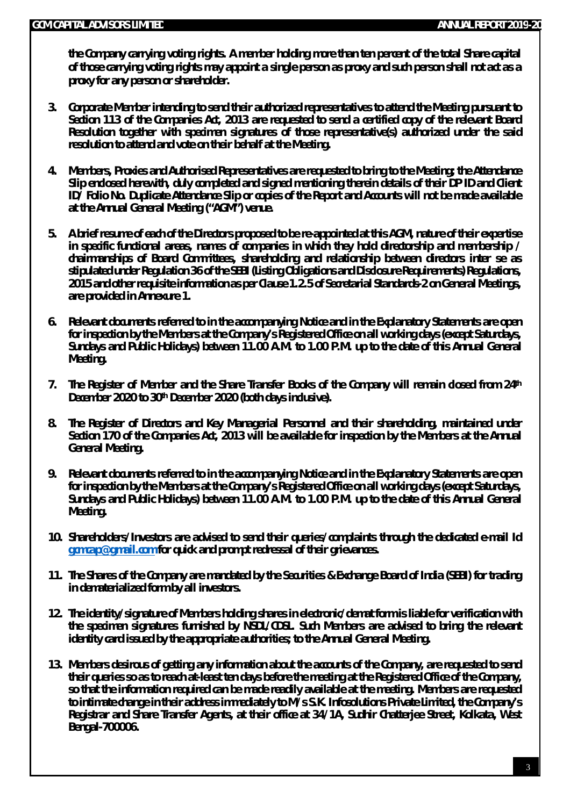**the Company carrying voting rights. A member holding more than ten percent of the total Share capital of those carrying voting rights may appoint a single person as proxy and such person shall not act as a proxy for any person or shareholder.**

- **3. Corporate Member intending to send their authorized representatives to attend the Meeting pursuant to Section 113 of the Companies Act, 2013 are requested to send a certified copy of the relevant Board Resolution together with specimen signatures of those representative(s) authorized under the said resolution to attend and vote on their behalf at the Meeting.**
- **4. Members, Proxies and Authorised Representatives are requested to bring to the Meeting; the Attendance Slip enclosed herewith, duly completed and signed mentioning therein details of their DP ID and Client ID/ Folio No. Duplicate Attendance Slip or copies of the Report and Accounts will not be made available at the Annual General Meeting ("AGM") venue.**
- **5. A brief resume of each of the Directors proposed to be re-appointed at this AGM, nature of their expertise in specific functional areas, names of companies in which they hold directorship and membership / chairmanships of Board Committees, shareholding and relationship between directors inter se as stipulated under Regulation 36 of the SEBI (Listing Obligations and Disclosure Requirements) Regulations, 2015 and other requisite information as per Clause 1.2.5 of Secretarial Standards-2 on General Meetings, are provided in Annexure 1.**
- **6. Relevant documents referred to in the accompanying Notice and in the Explanatory Statements are open for inspection by the Members at the Company's Registered Office on all working days (except Saturdays, Sundays and Public Holidays) between 11.00 A.M. to 1.00 P.M. up to the date of this Annual General Meeting.**
- **7. The Register of Member and the Share Transfer Books of the Company will remain closed from 24th December 2020 to 30th December 2020 (both days inclusive).**
- **8. The Register of Directors and Key Managerial Personnel and their shareholding, maintained under Section 170 of the Companies Act, 2013 will be available for inspection by the Members at the Annual General Meeting.**
- **9. Relevant documents referred to in the accompanying Notice and in the Explanatory Statements are open for inspection by the Members at the Company's Registered Office on all working days (except Saturdays, Sundays and Public Holidays) between 11.00 A.M. to 1.00 P.M. up to the date of this Annual General Meeting.**
- **10. Shareholders/Investors are advised to send their queries/complaints through the dedicated e-mail Id gcmcap@gmail.com for quick and prompt redressal of their grievances.**
- **11. The Shares of the Company are mandated by the Securities & Exchange Board of India (SEBI) for trading in dematerialized form by all investors.**
- **12. The identity/signature of Members holding shares in electronic/demat form is liable for verification with the specimen signatures furnished by NSDL/CDSL. Such Members are advised to bring the relevant identity card issued by the appropriate authorities; to the Annual General Meeting.**
- **13. Members desirous of getting any information about the accounts of the Company, are requested to send their queries so as to reach at-least ten days before the meeting at the Registered Office of the Company, so that the information required can be made readily available at the meeting. Members are requested to intimate change in their address immediately to M/s S.K. Infosolutions Private Limited, the Company's Registrar and Share Transfer Agents, at their office at 34/1A, Sudhir Chatterjee Street, Kolkata, West Bengal-700006.**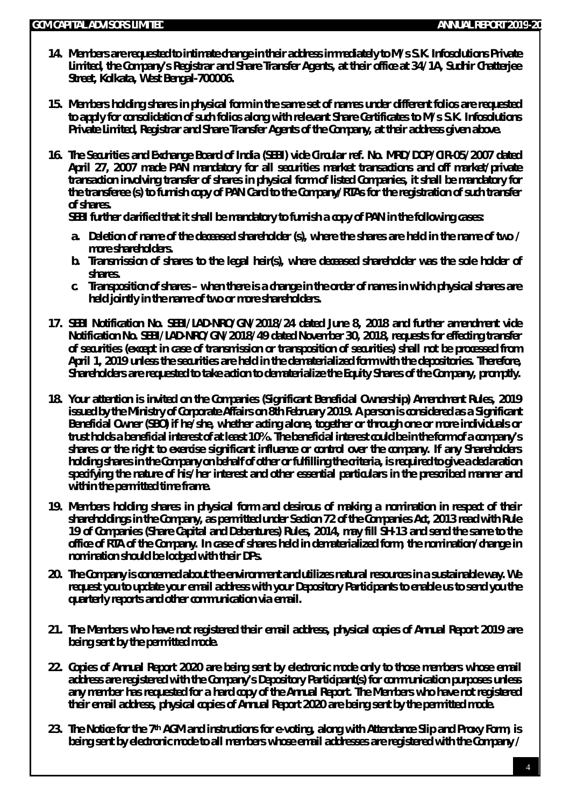- **14. Members are requested to intimate change in their address immediately to M/s S.K. Infosolutions Private Limited, the Company's Registrar and Share Transfer Agents, at their office at 34/1A, Sudhir Chatterjee Street, Kolkata, West Bengal-700006.**
- **15. Members holding shares in physical form in the same set of names under different folios are requested to apply for consolidation of such folios along with relevant Share Certificates to M/s S.K. Infosolutions Private Limited, Registrar and Share Transfer Agents of the Company, at their address given above.**
- **16. The Securities and Exchange Board of India (SEBI) vide Circular ref. No. MRD/DOP/CIR-05/2007 dated April 27, 2007 made PAN mandatory for all securities market transactions and off market/private transaction involving transfer of shares in physical form of listed Companies, it shall be mandatory for the transferee (s) to furnish copy of PAN Card to the Company/RTAs for the registration of such transfer of shares.**

**SEBI further clarified that it shall be mandatory to furnish a copy of PAN in the following cases:**

- **a. Deletion of name of the deceased shareholder (s), where the shares are held in the name of two / more shareholders.**
- **b. Transmission of shares to the legal heir(s), where deceased shareholder was the sole holder of shares.**
- **c. Transposition of shares – when there is a change in the order of names in which physical shares are held jointly in the name of two or more shareholders.**
- **17. SEBI Notification No. SEBI/LAD-NRO/GN/2018/24 dated June 8, 2018 and further amendment vide Notification No. SEBI/LAD-NRO/GN/2018/49 dated November 30, 2018, requests for effecting transfer of securities (except in case of transmission or transposition of securities) shall not be processed from April 1, 2019 unless the securities are held in the dematerialized form with the depositories. Therefore, Shareholders are requested to take action to dematerialize the Equity Shares of the Company, promptly.**
- **18. Your attention is invited on the Companies (Significant Beneficial Ownership) Amendment Rules, 2019 issued by the Ministry of Corporate Affairs on 8th February 2019. A person is considered as a Significant Beneficial Owner (SBO) if he/she, whether acting alone, together or through one or more individuals or trust holds a beneficial interest of at least 10%. The beneficial interest could be in the form of a company's shares or the right to exercise significant influence or control over the company. If any Shareholders holding shares in the Company on behalf of other or fulfilling the criteria, is required to give a declaration specifying the nature of his/her interest and other essential particulars in the prescribed manner and within the permitted time frame.**
- **19. Members holding shares in physical form and desirous of making a nomination in respect of their shareholdings in the Company, as permitted under Section 72 of the Companies Act, 2013 read with Rule 19 of Companies (Share Capital and Debentures) Rules, 2014, may fill SH-13 and send the same to the office of RTA of the Company. In case of shares held in dematerialized form, the nomination/change in nomination should be lodged with their DPs.**
- **20. The Company is concerned about the environment and utilizes natural resources in a sustainable way. We request you to update your email address with your Depository Participants to enable us to send you the quarterly reports and other communication via email.**
- **21. The Members who have not registered their email address, physical copies of Annual Report 2019 are being sent by the permitted mode.**
- **22. Copies of Annual Report 2020 are being sent by electronic mode only to those members whose email address are registered with the Company's Depository Participant(s) for communication purposes unless any member has requested for a hard copy of the Annual Report. The Members who have not registered their email address, physical copies of Annual Report 2020 are being sent by the permitted mode.**
- **23. The Notice for the 7th AGM and instructions for e-voting, along with Attendance Slip and Proxy Form, is being sent by electronic mode to all members whose email addresses are registered with the Company /**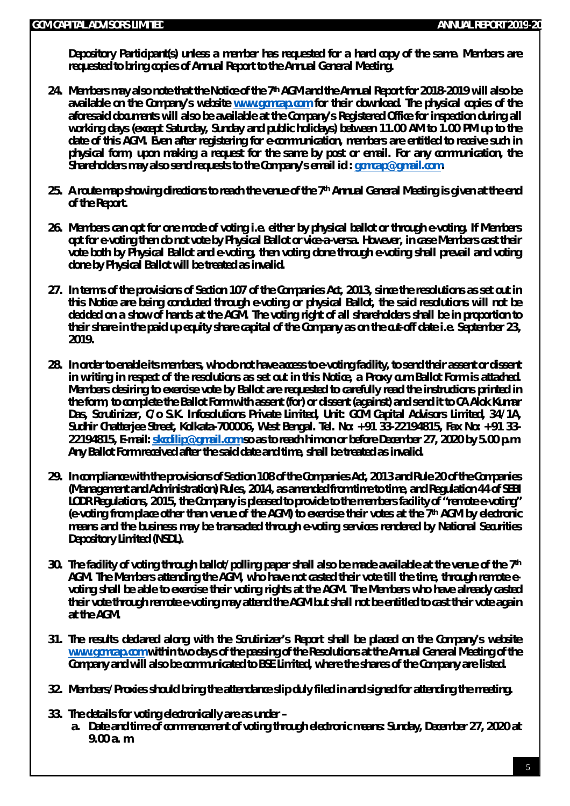**Depository Participant(s) unless a member has requested for a hard copy of the same. Members are requested to bring copies of Annual Report to the Annual General Meeting.** 

- **24. Members may also note that the Notice of the 7th AGM and the Annual Report for 2018-2019 will also be available on the Company's website www.gcmcap.com for their download. The physical copies of the aforesaid documents will also be available at the Company's Registered Office for inspection during all working days (except Saturday, Sunday and public holidays) between 11.00 AM to 1.00 PM up to the date of this AGM. Even after registering for e-communication, members are entitled to receive such in physical form, upon making a request for the same by post or email. For any communication, the Shareholders may also send requests to the Company's email id : gcmcap@gmail.com.**
- **25. A route map showing directions to reach the venue of the 7th Annual General Meeting is given at the end of the Report.**
- **26. Members can opt for one mode of voting i.e. either by physical ballot or through e-voting. If Members opt for e-voting then do not vote by Physical Ballot or vice-a-versa. However, in case Members cast their vote both by Physical Ballot and e-voting, then voting done through e-voting shall prevail and voting done by Physical Ballot will be treated as invalid.**
- **27. In terms of the provisions of Section 107 of the Companies Act, 2013, since the resolutions as set out in this Notice are being conducted through e-voting or physical Ballot, the said resolutions will not be decided on a show of hands at the AGM. The voting right of all shareholders shall be in proportion to their share in the paid up equity share capital of the Company as on the cut-off date i.e. September 23, 2019.**
- **28. In order to enable its members, who do not have access to e-voting facility, to send their assent or dissent in writing in respect of the resolutions as set out in this Notice, a Proxy cum Ballot Form is attached. Members desiring to exercise vote by Ballot are requested to carefully read the instructions printed in the form, to complete the Ballot Form with assent (for) or dissent (against) and send it to CA Alok Kumar Das, Scrutinizer, C/o S.K. Infosolutions Private Limited, Unit: GCM Capital Advisors Limited, 34/1A, Sudhir Chatterjee Street, Kolkata-700006, West Bengal. Tel. No: +91 33-22194815, Fax No: +91 33- 22194815, E-mail: skcdilip@gmail.com so as to reach him on or before December 27, 2020 by 5.00 p.m. Any Ballot Form received after the said date and time, shall be treated as invalid.**
- **29. In compliance with the provisions of Section 108 of the Companies Act, 2013 and Rule 20 of the Companies (Management and Administration) Rules, 2014, as amended from time to time, and Regulation 44 of SEBI LODR Regulations, 2015, the Company is pleased to provide to the members facility of "remote e-voting" (e-voting from place other than venue of the AGM) to exercise their votes at the 7th AGM by electronic means and the business may be transacted through e-voting services rendered by National Securities Depository Limited (NSDL).**
- **30. The facility of voting through ballot/polling paper shall also be made available at the venue of the 7th AGM. The Members attending the AGM, who have not casted their vote till the time, through remote evoting shall be able to exercise their voting rights at the AGM. The Members who have already casted their vote through remote e-voting may attend the AGM but shall not be entitled to cast their vote again at the AGM.**
- **31. The results declared along with the Scrutinizer's Report shall be placed on the Company's website www.gcmcap.com within two days of the passing of the Resolutions at the Annual General Meeting of the Company and will also be communicated to BSE Limited, where the shares of the Company are listed.**
- **32. Members/Proxies should bring the attendance slip duly filed in and signed for attending the meeting.**

### **33. The details for voting electronically are as under –**

**a. Date and time of commencement of voting through electronic means: Sunday, December 27, 2020 at 9.00 a. m.**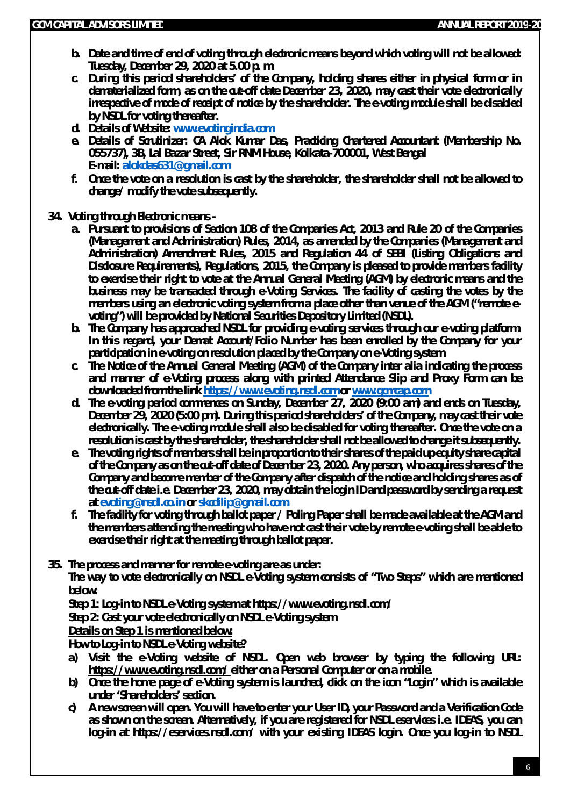- **b. Date and time of end of voting through electronic means beyond which voting will not be allowed: Tuesday, December 29, 2020 at 5.00 p. m.**
- **c. During this period shareholders' of the Company, holding shares either in physical form or in dematerialized form, as on the cut-off date December 23, 2020, may cast their vote electronically irrespective of mode of receipt of notice by the shareholder. The e-voting module shall be disabled by NSDL for voting thereafter.**
- **d. Details of Website: www.evotingindia.com**
- **e. Details of Scrutinizer: CA Alok Kumar Das, Practicing Chartered Accountant (Membership No. 055737), 3B, Lal Bazar Street, Sir RNM House, Kolkata-700001, West Bengal E-mail: alokdas631@gmail.com**
- **f. Once the vote on a resolution is cast by the shareholder, the shareholder shall not be allowed to change/ modify the vote subsequently.**

# **34. Voting through Electronic means -**

- **a. Pursuant to provisions of Section 108 of the Companies Act, 2013 and Rule 20 of the Companies (Management and Administration) Rules, 2014, as amended by the Companies (Management and Administration) Amendment Rules, 2015 and Regulation 44 of SEBI (Listing Obligations and Disclosure Requirements), Regulations, 2015, the Company is pleased to provide members facility to exercise their right to vote at the Annual General Meeting (AGM) by electronic means and the business may be transacted through e-Voting Services. The facility of casting the votes by the members using an electronic voting system from a place other than venue of the AGM ("remote evoting") will be provided by National Securities Depository Limited (NSDL).**
- **b. The Company has approached NSDL for providing e-voting services through our e-voting platform. In this regard, your Demat Account/Folio Number has been enrolled by the Company for your participation in e-voting on resolution placed by the Company on e-Voting system.**
- **c. The Notice of the Annual General Meeting (AGM) of the Company inter alia indicating the process and manner of e-Voting process along with printed Attendance Slip and Proxy Form can be downloaded from the link https://www.evoting.nsdl.com or www.gcmcap.com**
- **d. The e-voting period commences on Sunday, December 27, 2020 (9:00 am) and ends on Tuesday, December 29, 2020 (5:00 pm). During this period shareholders' of the Company, may cast their vote electronically. The e-voting module shall also be disabled for voting thereafter. Once the vote on a resolution is cast by the shareholder, the shareholder shall not be allowed to change it subsequently.**
- **e. The voting rights of members shall be in proportion to their shares of the paid up equity share capital of the Company as on the cut-off date of December 23, 2020. Any person, who acquires shares of the Company and become member of the Company after dispatch of the notice and holding shares as of the cut-off date i.e. December 23, 2020, may obtain the login ID and password by sending a request at evoting@nsdl.co.in or skcdilip@gmail.com.**
- **f. The facility for voting through ballot paper / Poling Paper shall be made available at the AGM and the members attending the meeting who have not cast their vote by remote e-voting shall be able to exercise their right at the meeting through ballot paper.**

# **35. The process and manner for remote e-voting are as under:**

**The way to vote electronically on NSDL e-Voting system consists of "Two Steps" which are mentioned below:**

# **Step 1: Log-in to NSDL e-Voting system at https://www.evoting.nsdl.com/**

# **Step 2: Cast your vote electronically on NSDL e-Voting system.**

# **Details on Step 1 is mentioned below:**

# **How to Log-in to NSDL e-Voting website?**

- **a) Visit the e-Voting website of NSDL. Open web browser by typing the following URL: https://www.evoting.nsdl.com/ either on a Personal Computer or on a mobile.**
- **b) Once the home page of e-Voting system is launched, click on the icon "Login" which is available under 'Shareholders' section.**
- **c) A new screen will open. You will have to enter your User ID, your Password and a Verification Code as shown on the screen. Alternatively, if you are registered for NSDL eservices i.e. IDEAS, you can log-in at https://eservices.nsdl.com/ with your existing IDEAS login. Once you log-in to NSDL**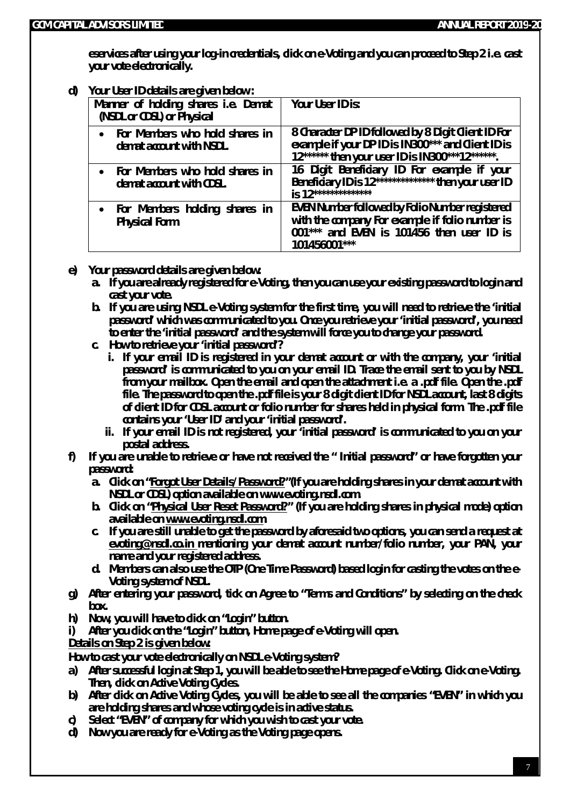**eservices after using your log-in credentials, click on e-Voting and you can proceed to Step 2 i.e. cast your vote electronically.**

**d) Your User ID details are given below :**

| Manner of holding shares i.e. Demat<br>(NSDL or CDSL) or Physical | <b>Your User ID is:</b>                                                                                                                                         |
|-------------------------------------------------------------------|-----------------------------------------------------------------------------------------------------------------------------------------------------------------|
| For Members who hold shares in<br>demat account with NSDL.        | 8 Character DP ID followed by 8 Digit Client ID For<br>example if your DP ID is IN300*** and Client ID is<br>12****** then your user ID is IN300***12******.    |
| • For Members who hold shares in<br>demat account with CDSL.      | 16 Digit Beneficiary ID For example if your<br>Beneficiary ID is 12************** then your user ID<br>Is $12****************$                                  |
| • For Members holding shares in<br>Physical Form.                 | EVEN Number followed by Folio Number registered<br>with the company For example if folio number is<br>001*** and EVEN is 101456 then user ID is<br>101456001*** |

- **e) Your password details are given below:**
	- **a. If you are already registered for e-Voting, then you can use your existing password to login and cast your vote.**
	- **b. If you are using NSDL e-Voting system for the first time, you will need to retrieve the 'initial password' which was communicated to you. Once you retrieve your 'initial password', you need to enter the 'initial password' and the system will force you to change your password.**
	- **c. How to retrieve your 'initial password'?**
		- **i. If your email ID is registered in your demat account or with the company, your 'initial password' is communicated to you on your email ID. Trace the email sent to you by NSDL from your mailbox. Open the email and open the attachment i.e. a .pdf file. Open the .pdf file. The password to open the .pdf file is your 8 digit client ID for NSDL account, last 8 digits of client ID for CDSL account or folio number for shares held in physical form. The .pdf file contains your 'User ID' and your 'initial password'.**
		- **ii. If your email ID is not registered, your 'initial password' is communicated to you on your postal address.**
- **f) If you are unable to retrieve or have not received the " Initial password" or have forgotten your password:**
	- **a. Click on "Forgot User Details/Password?"(If you are holding shares in your demat account with NSDL or CDSL) option available on www.evoting.nsdl.com.**
	- **b. Click on "Physical User Reset Password?" (If you are holding shares in physical mode) option available on www.evoting.nsdl.com.**
	- **c. If you are still unable to get the password by aforesaid two options, you can send a request at evoting@nsdl.co.in mentioning your demat account number/folio number, your PAN, your name and your registered address.**
	- **d. Members can also use the OTP (One Time Password) based login for casting the votes on the e-Voting system of NSDL.**
- **g) After entering your password, tick on Agree to "Terms and Conditions" by selecting on the check box.**
- **h) Now, you will have to click on "Login" button.**
- **i) After you click on the "Login" button, Home page of e-Voting will open.**

# **Details on Step 2 is given below:**

# **How to cast your vote electronically on NSDL e-Voting system?**

- **a) After successful login at Step 1, you will be able to see the Home page of e-Voting. Click on e-Voting. Then, click on Active Voting Cycles.**
- **b) After click on Active Voting Cycles, you will be able to see all the companies "EVEN" in which you are holding shares and whose voting cycle is in active status.**
- **c) Select "EVEN" of company for which you wish to cast your vote.**
- **d) Now you are ready for e-Voting as the Voting page opens.**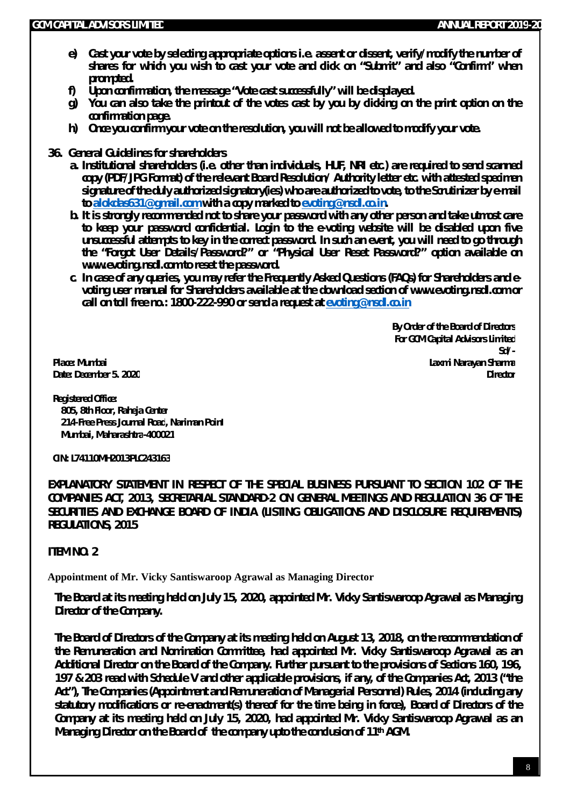- **e) Cast your vote by selecting appropriate options i.e. assent or dissent, verify/modify the number of shares for which you wish to cast your vote and click on "Submit" and also "Confirm" when prompted.**
- **f) Upon confirmation, the message "Vote cast successfully" will be displayed.**
- **g) You can also take the printout of the votes cast by you by clicking on the print option on the confirmation page.**
- **h) Once you confirm your vote on the resolution, you will not be allowed to modify your vote.**

# **36. General Guidelines for shareholders**

- **a. Institutional shareholders (i.e. other than individuals, HUF, NRI etc.) are required to send scanned copy (PDF/JPG Format) of the relevant Board Resolution/ Authority letter etc. with attested specimen signature of the duly authorized signatory(ies) who are authorized to vote, to the Scrutinizer by e-mail to alokdas631@gmail.com with a copy marked to evoting@nsdl.co.in.**
- **b. It is strongly recommended not to share your password with any other person and take utmost care to keep your password confidential. Login to the e-voting website will be disabled upon five unsuccessful attempts to key in the correct password. In such an event, you will need to go through the "Forgot User Details/Password?" or "Physical User Reset Password?" option available on www.evoting.nsdl.com to reset the password.**
- **c. In case of any queries, you may refer the Frequently Asked Questions (FAQs) for Shareholders and evoting user manual for Shareholders available at the download section of www.evoting.nsdl.com or call on toll free no.: 1800-222-990 or send a request at evoting@nsdl.co.in**

**By Order of the Board of Directors For GCM Capital Advisors Limited Sd/- Place: Mumbai Laxmi Narayan Sharma Date: December 5. 2020 Director**

#### **Registered Office:**

**805, 8th Floor, Raheja Center 214-Free Press Journal Road, Nariman Point Mumbai, Maharashtra-400021**

**CIN: L74110MH2013PLC243163**

**EXPLANATORY STATEMENT IN RESPECT OF THE SPECIAL BUSINESS PURSUANT TO SECTION 102 OF THE COMPANIES ACT, 2013, SECRETARIAL STANDARD-2 ON GENERAL MEETINGS AND REGULATION 36 OF THE SECURITIES AND EXCHANGE BOARD OF INDIA (LISTING OBLIGATIONS AND DISCLOSURE REQUIREMENTS) REGULATIONS, 2015**

# **ITEM NO. 2**

### **Appointment of Mr. Vicky Santiswaroop Agrawal as Managing Director**

**The Board at its meeting held on July 15, 2020, appointed Mr. Vicky Santiswaroop Agrawal as Managing Director of the Company.** 

**The Board of Directors of the Company at its meeting held on August 13, 2018, on the recommendation of the Remuneration and Nomination Committee, had appointed Mr. Vicky Santiswaroop Agrawal as an Additional Director on the Board of the Company. Further pursuant to the provisions of Sections 160, 196, 197 & 203 read with Schedule V and other applicable provisions, if any, of the Companies Act, 2013 ("the Act"), The Companies (Appointment and Remuneration of Managerial Personnel) Rules, 2014 (including any statutory modifications or re-enactment(s) thereof for the time being in force), Board of Directors of the Company at its meeting held on July 15, 2020, had appointed Mr. Vicky Santiswaroop Agrawal as an Managing Director on the Board of the company upto the conclusion of 11th AGM.**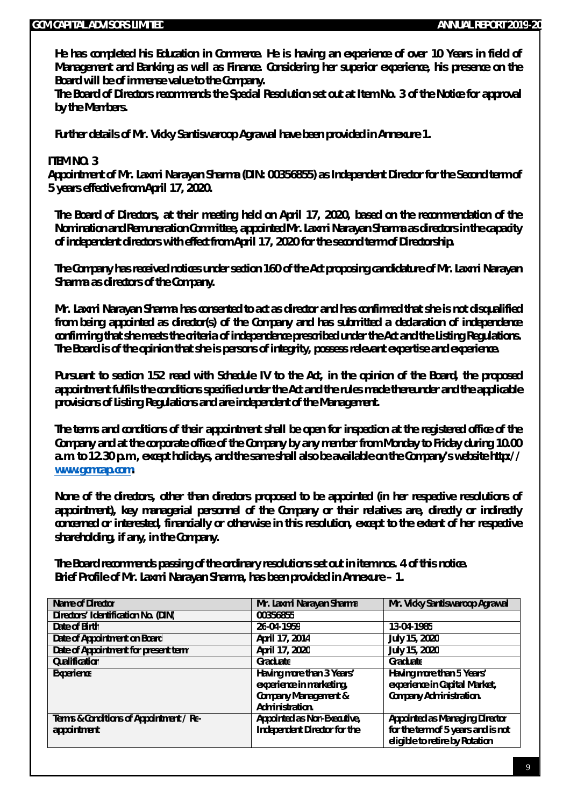**He has completed his Education in Commerce. He is having an experience of over 10 Years in field of Management and Banking as well as Finance. Considering her superior experience, his presence on the Board will be of immense value to the Company.**

**The Board of Directors recommends the Special Resolution set out at Item No. 3 of the Notice for approval by the Members.**

**Further details of Mr. Vicky Santiswaroop Agrawal have been provided in Annexure 1.** 

# **ITEM NO. 3**

**Appointment of Mr. Laxmi Narayan Sharma (DIN: 00356855) as Independent Director for the Second term of 5 years effective from April 17, 2020.**

**The Board of Directors, at their meeting held on April 17, 2020, based on the recommendation of the Nomination and Remuneration Committee, appointed Mr.Laxmi Narayan Sharma as directors in the capacity of independent directors with effect from April 17, 2020 for the second term of Directorship.** 

**The Company has received notices under section 160 of the Act proposing candidature of Mr. Laxmi Narayan Sharma as directors of the Company.**

**Mr. Laxmi Narayan Sharma has consented to act as director and has confirmed that she is not disqualified from being appointed as director(s) of the Company and has submitted a declaration of independence confirming that she meets the criteria of independence prescribed under the Act and the Listing Regulations. The Board is of the opinion that she is persons of integrity, possess relevant expertise and experience.**

**Pursuant to section 152 read with Schedule IV to the Act, in the opinion of the Board, the proposed appointment fulfils the conditions specified under the Act and the rules made thereunder and the applicable provisions of Listing Regulations and are independent of the Management.**

**The terms and conditions of their appointment shall be open for inspection at the registered office of the Company and at the corporate office of the Company by any member from Monday to Friday during 10.00 a.m. to 12.30 p.m., except holidays, and the same shall also be available on the Company's website http:// www.gcmcap.com.**

**None of the directors, other than directors proposed to be appointed (in her respective resolutions of appointment), key managerial personnel of the Company or their relatives are, directly or indirectly concerned or interested, financially or otherwise in this resolution, except to the extent of her respective shareholding, if any, in the Company.** 

| <b>Name of Director</b>                 | Mr. Laxmi Narayan Sharma                              | Mr. Vicky Santiswaroop Agrawal                                       |
|-----------------------------------------|-------------------------------------------------------|----------------------------------------------------------------------|
| Directors' Identification No. (DIN)     | 00356855                                              |                                                                      |
| Date of Birth                           | 26-04-1959                                            | 13-04-1985                                                           |
| Date of Appointment on Board            | April 17, 2014                                        | July 15, 2020                                                        |
| Date of Appointment for present term    | April 17, 2020                                        | July 15, 2020                                                        |
| Qualification                           | Graduate                                              | Graduate                                                             |
| Experience                              | Having more than 3 Years'<br>experience in marketing, | Having more than 5 Years'<br>experience in Capital Market,           |
|                                         | Company Management &                                  | Company Administration.                                              |
|                                         | Administration.                                       |                                                                      |
| Terms & Conditions of Appointment / Re- | Appointed as Non-Executive,                           | Appointed as Managing Director                                       |
| appointment                             | Independent Director for the                          | for the term of 5 years and is not<br>eligible to retire by Rotation |

**The Board recommends passing of the ordinary resolutions set out in item nos. 4 of this notice. Brief Profile of Mr. Laxmi Narayan Sharma, has been provided in Annexure – 1.**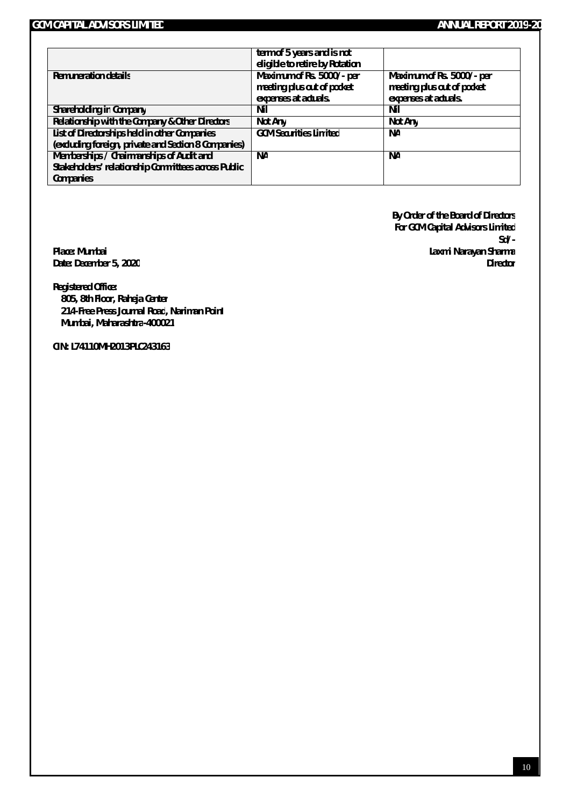|                                                      | term of 5 years and is not     |                            |
|------------------------------------------------------|--------------------------------|----------------------------|
|                                                      | eligible to retire by Rotation |                            |
| <b>Remuneration details</b>                          | Maximum of Rs. 5000/- per      | Maximum of Rs. 5000/- per  |
|                                                      | meeting plus out of pocket     | meeting plus out of pocket |
|                                                      | expenses at actuals.           | expenses at actuals.       |
| Shareholding in Company                              | Nil                            | Nil                        |
| Relationship with the Company & Other Directors      | Not Any                        | Not Any                    |
| List of Directorships held in other Companies        | <b>GCM Securities Limited</b>  | ΝA                         |
| (excluding foreign, private and Section 8 Companies) |                                |                            |
| Memberships / Chairmanships of Audit and             | NА                             | ΝA                         |
| Stakeholders' relationship Committees across Public  |                                |                            |
| Companies                                            |                                |                            |

**By Order of the Board of Directors For GCM Capital Advisors Limited Sd/- Place: Mumbai Laxmi Narayan Sharma**

**Date: December 5, 2020** 

**Registered Office:**

**805, 8th Floor, Raheja Center 214-Free Press Journal Road, Nariman Point Mumbai, Maharashtra-400021**

**CIN: L74110MH2013PLC243163**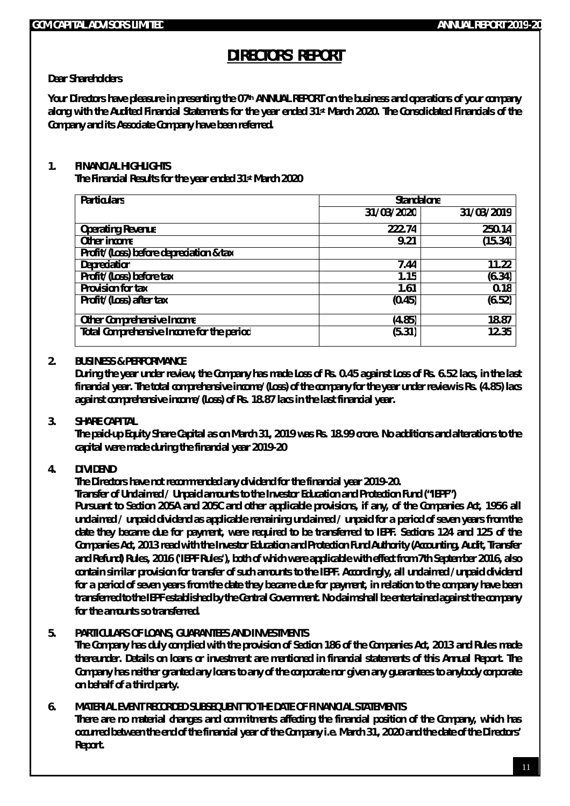# **DIRECTORS' REPORT**

**Dear Shareholders** 

**Your Directors have pleasure in presenting the 07th ANNUAL REPORT on the business and operations of your company along with the Audited Financial Statements for the year ended 31st March 2020. The Consolidated Financials of the Company and its Associate Company have been referred.**

## **1. FINANCIAL HIGHLIGHTS**

**The Financial Results for the year ended 31st March 2020**

| <b>Particulars</b>                        | <b>Standalone</b> |            |
|-------------------------------------------|-------------------|------------|
|                                           | 31/03/2020        | 31/03/2019 |
| <b>Operating Revenue</b>                  | 222.74            | 250.14     |
| Other income                              | 9.21              | (15.34)    |
| Profit/(Loss) before depreciation & tax   |                   |            |
| Depreciation                              | 7.44              | 11.22      |
| Profit/(Loss) before tax                  | 1.15              | (6.34)     |
| Provision for tax                         | 1.61              | 0.18       |
| Profit/(Loss) after tax                   | (0.45)            | (6.52)     |
| Other Comprehensive Income                | (4.85)            | 18.87      |
| Total Comprehensive Income for the period | (5.31)            | 12.35      |

### **2. BUSINESS & PERFORMANCE**

**During the year under review, the Company has made Loss of Rs. 0.45 against Loss of Rs. 6.52 lacs, in the last financial year. The total comprehensive income/(Loss) of the company for the year under review is Rs. (4.85) lacs against comprehensive income/(Loss) of Rs. 18.87 lacs in the last financial year.**

### **3. SHARE CAPITAL**

**The paid-up Equity Share Capital as on March 31, 2019 was Rs. 18.99 crore. No additions and alterations to the capital were made during the financial year 2019-20**

### **4. DIVIDEND**

#### **The Directors have not recommended any dividend for the financial year 2019-20.**

#### **Transfer of Unclaimed / Unpaid amounts to the Investor Education and Protection Fund ("IEPF")**

**Pursuant to Section 205A and 205C and other applicable provisions, if any, of the Companies Act, 1956 all unclaimed / unpaid dividend as applicable remaining unclaimed / unpaid for a period of seven years from the date they became due for payment, were required to be transferred to IEPF. Sections 124 and 125 of the Companies Act, 2013 read with the Investor Education and Protection Fund Authority (Accounting, Audit, Transfer and Refund) Rules, 2016 ('IEPF Rules'), both of which were applicable with effect from 7th September 2016, also contain similar provision for transfer of such amounts to the IEPF. Accordingly, all unclaimed /unpaid dividend for a period of seven years from the date they became due for payment, in relation to the company have been transferred to the IEPF established by the Central Government. No claim shall be entertained against the company for the amounts so transferred.**

### **5. PARTICULARS OF LOANS, GUARANTEES AND INVESTMENTS**

**The Company has duly complied with the provision of Section 186 of the Companies Act, 2013 and Rules made thereunder. Details on loans or investment are mentioned in financial statements of this Annual Report. The Company has neither granted any loans to any of the corporate nor given any guarantees to anybody corporate on behalf of a third party.**

### **6. MATERIAL EVENT RECORDED SUBSEQUENT TO THE DATE OF FINANCIAL STATEMENTS**

**There are no material changes and commitments affecting the financial position of the Company, which has occurred between the end of the financial year of the Company i.e. March 31, 2020 and the date of the Directors' Report.**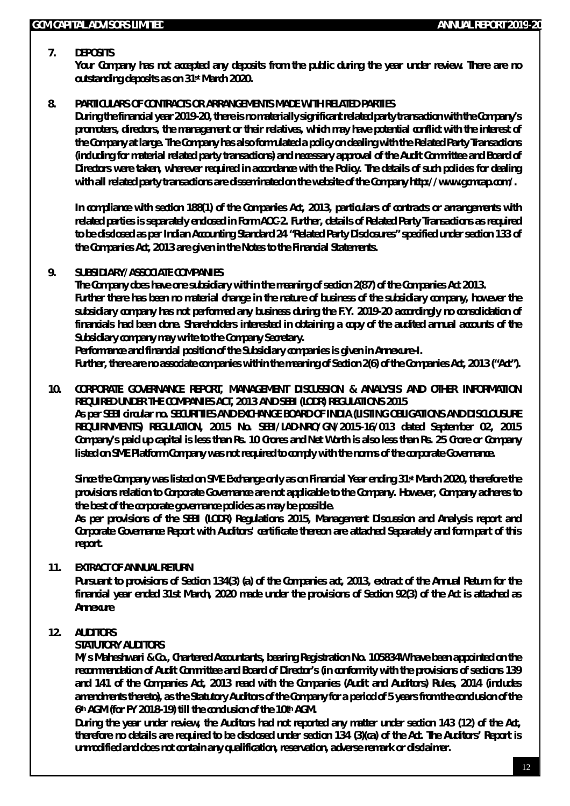#### **7. DEPOSITS**

**Your Company has not accepted any deposits from the public during the year under review. There are no outstanding deposits as on 31st March 2020.**

#### **8. PARTICULARS OF CONTRACTS OR ARRANGEMENTS MADE WITH RELATED PARTIES**

**During the financial year 2019-20, there is no materially significant related party transaction with the Company's promoters, directors, the management or their relatives, which may have potential conflict with the interest of the Company at large. The Company has also formulated a policy on dealing with the Related Party Transactions (including for material related party transactions) and necessary approval of the Audit Committee and Board of Directors were taken, wherever required in accordance with the Policy. The details of such policies for dealing with all related party transactions are disseminated on the website of the Company http://www.gcmcap.com/.**

**In compliance with section 188(1) of the Companies Act, 2013, particulars of contracts or arrangements with related parties is separately enclosed in Form AOC-2. Further, details of Related Party Transactions as required to be disclosed as per Indian Accounting Standard 24 "Related Party Disclosures" specified under section 133 of the Companies Act, 2013 are given in the Notes to the Financial Statements.**

#### **9. SUBSIDIARY/ASSOCIATE COMPANIES**

**The Company does have one subsidiary within the meaning of section 2(87) of the Companies Act 2013. Further there has been no material change in the nature of business of the subsidiary company, however the subsidiary company has not performed any business during the F.Y. 2019-20 accordingly no consolidation of financials had been done. Shareholders interested in obtaining a copy of the audited annual accounts of the Subsidiary company may write to the Company Secretary.**

**Performance and financial position of the Subsidiary companies is given in Annexure-I.**

**Further, there are no associate companies within the meaning of Section 2(6) of the Companies Act, 2013 ("Act").**

### **10. CORPORATE GOVERNANCE REPORT, MANAGEMENT DISCUSSION & ANALYSIS AND OTHER INFORMATION REQUIRED UNDER THE COMPANIES ACT, 2013 AND SEBI (LODR) REGULATIONS 2015**

**As per SEBI circular no. SECURITIES AND EXCHANGE BOARD OF INDIA (LISTING OBLIGATIONS AND DISCLOUSURE REQUIRNMENTS) REGULATION, 2015 No. SEBI/LAD-NRO/GN/2015-16/013 dated September 02, 2015 Company's paid up capital is less than Rs. 10 Crores and Net Worth is also less than Rs. 25 Crore or Company listed on SME Platform Company was not required to comply with the norms of the corporate Governance.** 

**Since the Company was listed on SME Exchange only as on Financial Year ending 31st March 2020, therefore the provisions relation to Corporate Governance are not applicable to the Company. However, Company adheres to the best of the corporate governance policies as may be possible.**

**As per provisions of the SEBI (LODR) Regulations 2015, Management Discussion and Analysis report and Corporate Governance Report with Auditors' certificate thereon are attached Separately and form part of this report.**

#### **11. EXTRACT OF ANNUAL RETURN**

**Pursuant to provisions of Section 134(3) (a) of the Companies act, 2013, extract of the Annual Return for the financial year ended 31st March, 2020 made under the provisions of Section 92(3) of the Act is attached as Annexure**

### **12. AUDITORS**

### **STATUTORY AUDITORS**

**M/s Maheshwari & Co., Chartered Accountants, bearing Registration No. 105834W have been appointed on the recommendation of Audit Committee and Board of Director's (in conformity with the provisions of sections 139 and 141 of the Companies Act, 2013 read with the Companies (Audit and Auditors) Rules, 2014 (includes amendments thereto), as the Statutory Auditors of the Company for a period of 5 years from the conclusion of the 6th AGM (for FY 2018-19) till the conclusion of the 10t<sup>h</sup> AGM.**

**During the year under review, the Auditors had not reported any matter under section 143 (12) of the Act, therefore no details are required to be disclosed under section 134 (3)(ca) of the Act. The Auditors' Report is unmodified and does not contain any qualification, reservation, adverse remark or disclaimer.**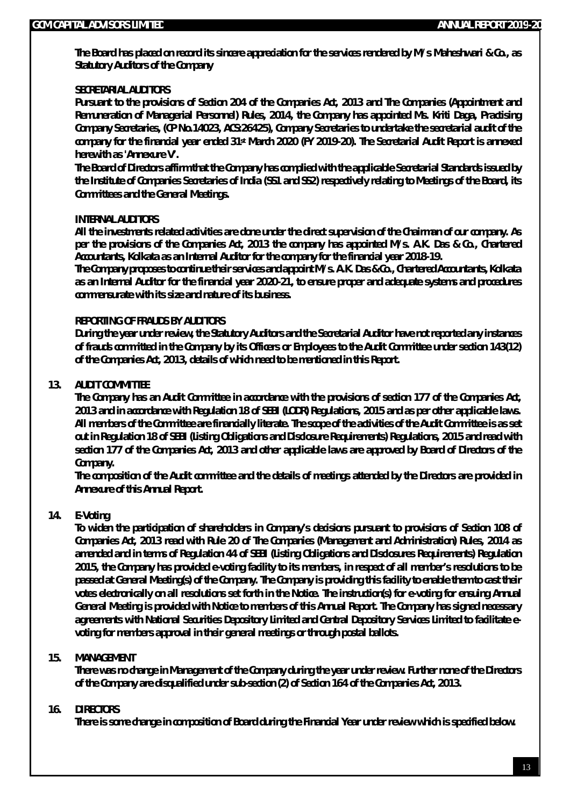**The Board has placed on record its sincere appreciation for the services rendered by M/s Maheshwari & Co., as Statutory Auditors of the Company**

### **SECRETARIAL AUDITORS**

**Pursuant to the provisions of Section 204 of the Companies Act, 2013 and The Companies (Appointment and Remuneration of Managerial Personnel) Rules, 2014, the Company has appointed Ms. Kriti Daga, Practising Company Secretaries, (CP No.14023, ACS:26425), Company Secretaries to undertake the secretarial audit of the company for the financial year ended 31st March 2020 (FY 2019-20). The Secretarial Audit Report is annexed herewith as 'Annexure V'.**

**The Board of Directors affirm that the Company has complied with the applicable Secretarial Standards issued by the Institute of Companies Secretaries of India (SS1 and SS2) respectively relating to Meetings of the Board, its Committees and the General Meetings.**

### **INTERNAL AUDITORS**

**All the investments related activities are done under the direct supervision of the Chairman of our company. As per the provisions of the Companies Act, 2013 the company has appointed M/s. A.K. Das & Co., Chartered Accountants, Kolkata as an Internal Auditor for the company for the financial year 2018-19.**

**The Company proposes to continue their services and appoint M/s. A.K. Das & Co., Chartered Accountants, Kolkata as an Internal Auditor for the financial year 2020-21, to ensure proper and adequate systems and procedures commensurate with its size and nature of its business.**

#### **REPORTING OF FRAUDS BY AUDITORS**

**During the year under review, the Statutory Auditors and the Secretarial Auditor have not reported any instances of frauds committed in the Company by its Officers or Employees to the Audit Committee under section 143(12) of the Companies Act, 2013, details of which need to be mentioned in this Report.**

### **13. AUDIT COMMITTEE**

**The Company has an Audit Committee in accordance with the provisions of section 177 of the Companies Act, 2013 and in accordance with Regulation 18 of SEBI (LODR) Regulations, 2015 and as per other applicable laws. All members of the Committee are financially literate. The scope of the activities of the Audit Committee is as set out in Regulation 18 of SEBI (Listing Obligations and Disclosure Requirements) Regulations, 2015 and read with section 177 of the Companies Act, 2013 and other applicable laws are approved by Board of Directors of the Company.**

**The composition of the Audit committee and the details of meetings attended by the Directors are provided in Annexure of this Annual Report.** 

### **14. E-Voting**

**To widen the participation of shareholders in Company's decisions pursuant to provisions of Section 108 of Companies Act, 2013 read with Rule 20 of The Companies (Management and Administration) Rules, 2014 as amended and in terms of Regulation 44 of SEBI (Listing Obligations and Disclosures Requirements) Regulation 2015, the Company has provided e-voting facility to its members, in respect of all member's resolutions to be passed at General Meeting(s) of the Company. The Company is providing this facility to enable them to cast their votes electronically on all resolutions set forth in the Notice. The instruction(s) for e-voting for ensuing Annual General Meeting is provided with Notice to members of this Annual Report. The Company has signed necessary agreements with National Securities Depository Limited and Central Depository Services Limited to facilitate evoting for members approval in their general meetings or through postal ballots.**

#### **15. MANAGEMENT**

**There was no change in Management of the Company during the year under review. Further none of the Directors of the Company are disqualified under sub-section (2) of Section 164 of the Companies Act, 2013.**

#### **16. DIRECTORS**

**There is some change in composition of Board during the Financial Year under review which is specified below.**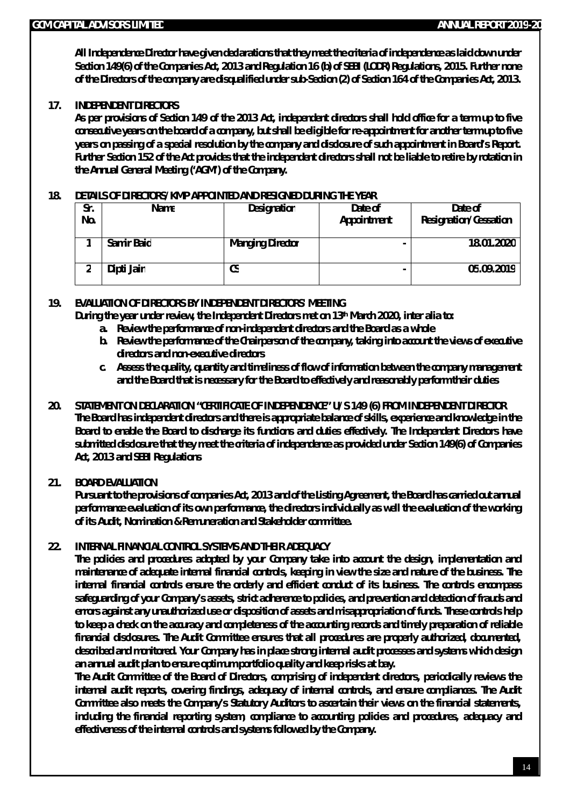**All Independence Director have given declarations that they meet the criteria of independence as laid down under Section 149(6) of the Companies Act, 2013 and Regulation 16 (b) of SEBI (LODR) Regulations, 2015. Further none of the Directors of the company are disqualified under sub-Section (2) of Section 164 of the Companies Act, 2013.**

### **17. INDEPENDENT DIRECTORS**

**As per provisions of Section 149 of the 2013 Act, independent directors shall hold office for a term up to five consecutive years on the board of a company, but shall be eligible for re-appointment for another term up to five years on passing of a special resolution by the company and disclosure of such appointment in Board's Report. Further Section 152 of the Act provides that the independent directors shall not be liable to retire by rotation in the Annual General Meeting ('AGM') of the Company.**

# **18. DETAILS OF DIRECTORS/KMP APPOINTED AND RESIGNED DURING THE YEAR**

| Sr.<br>No. | <b>Name</b>       | <b>Designation</b>      | Date of<br><b>Appointment</b> | Date of<br><b>Resignation/Cessation</b> |
|------------|-------------------|-------------------------|-------------------------------|-----------------------------------------|
|            | <b>Samir Baid</b> | <b>Manging Director</b> |                               | 18.01.2020                              |
|            | Dipti Jain        | CS                      |                               | 05.09.2019                              |

# **19. EVALUATION OF DIRECTORS BY INDEPENDENT DIRECTORS' MEETING**

**During the year under review, the Independent Directors met on 13th March 2020, inter alia to:** 

- **a. Review the performance of non-independent directors and the Board as a whole**
- **b. Review the performance of the Chairperson of the company, taking into account the views of executive directors and non-executive directors**
- **c. Assess the quality, quantity and timeliness of flow of information between the company management and the Board that is necessary for the Board to effectively and reasonably perform their duties**

# **20. STATEMENT ON DECLARATION "CERTIFICATE OF INDEPENDENCE" U/S 149 (6) FROM INDEPENDENT DIRECTOR**

**The Board has independent directors and there is appropriate balance of skills, experience and knowledge in the Board to enable the Board to discharge its functions and duties effectively. The Independent Directors have submitted disclosure that they meet the criteria of independence as provided under Section 149(6) of Companies Act, 2013 and SEBI Regulations** 

# **21. BOARD EVALUATION**

**Pursuant to the provisions of companies Act, 2013 and of the Listing Agreement, the Board has carried out annual performance evaluation of its own performance, the directors individually as well the evaluation of the working of its Audit, Nomination & Remuneration and Stakeholder committee.**

### **22. INTERNAL FINANCIAL CONTROL SYSTEMS AND THEIR ADEQUACY**

**The policies and procedures adopted by your Company take into account the design, implementation and maintenance of adequate internal financial controls, keeping in view the size and nature of the business. The internal financial controls ensure the orderly and efficient conduct of its business. The controls encompass safeguarding of your Company's assets, strict adherence to policies, and prevention and detection of frauds and errors against any unauthorized use or disposition of assets and misappropriation of funds. These controls help to keep a check on the accuracy and completeness of the accounting records and timely preparation of reliable financial disclosures. The Audit Committee ensures that all procedures are properly authorized, documented, described and monitored. Your Company has in place strong internal audit processes and systems which design an annual audit plan to ensure optimum portfolio quality and keep risks at bay.**

**The Audit Committee of the Board of Directors, comprising of independent directors, periodically reviews the internal audit reports, covering findings, adequacy of internal controls, and ensure compliances. The Audit Committee also meets the Company's Statutory Auditors to ascertain their views on the financial statements, including the financial reporting system, compliance to accounting policies and procedures, adequacy and effectiveness of the internal controls and systems followed by the Company.**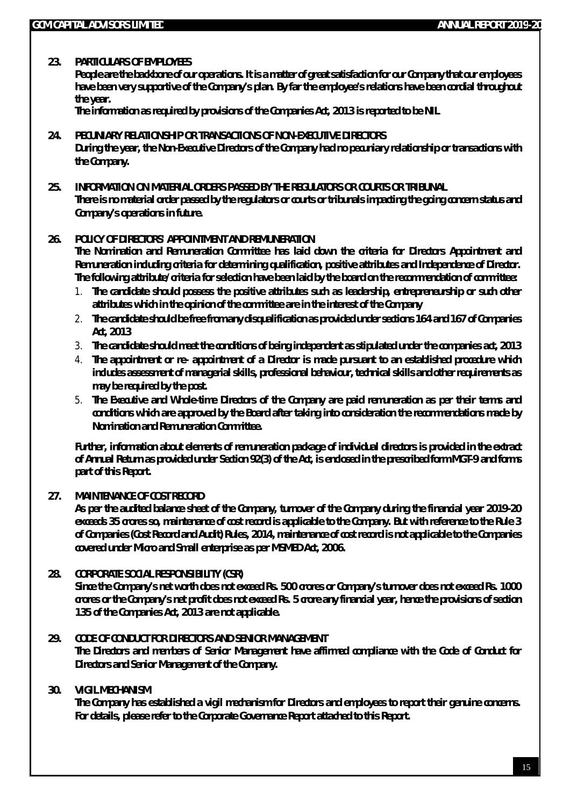#### **23. PARTICULARS OF EMPLOYEES**

**People are the backbone of our operations. It is a matter of great satisfaction for our Company that our employees have been very supportive of the Company's plan. By far the employee's relations have been cordial throughout the year.**

**The information as required by provisions of the Companies Act, 2013 is reported to be NIL**

#### **24. PECUNIARY RELATIONSHIP OR TRANSACTIONS OF NON-EXECUTIVE DIRECTORS**

**During the year, the Non-Executive Directors of the Company had no pecuniary relationship or transactions with the Company.**

#### **25. INFORMATION ON MATERIAL ORDERS PASSED BY THE REGULATORS OR COURTS OR TRIBUNAL**

**There is no material order passed by the regulators or courts or tribunals impacting the going concern status and Company's operations in future.** 

#### **26. POLICY OF DIRECTORS' APPOINTMENT AND REMUNERATION**

**The Nomination and Remuneration Committee has laid down the criteria for Directors Appointment and Remuneration including criteria for determining qualification, positive attributes and Independence of Director. The following attribute/criteria for selection have been laid by the board on the recommendation of committee:**

- 1. **The candidate should possess the positive attributes such as leadership, entrepreneurship or such other attributes which in the opinion of the committee are in the interest of the Company**
- 2. **The candidate should be free from any disqualification as provided under sections 164 and 167 of Companies Act, 2013**
- 3. **The candidate should meet the conditions of being independent as stipulated under the companies act, 2013**
- 4. **The appointment or re- appointment of a Director is made pursuant to an established procedure which includes assessment of managerial skills, professional behaviour, technical skills and other requirements as may be required by the post.**
- 5. **The Executive and Whole-time Directors of the Company are paid remuneration as per their terms and conditions which are approved by the Board after taking into consideration the recommendations made by Nomination and Remuneration Committee.**

**Further, information about elements of remuneration package of individual directors is provided in the extract of Annual Return as provided under Section 92(3) of the Act, is enclosed in the prescribed form MGT-9 and forms part of this Report.**

#### **27. MAINTENANCE OF COST RECORD**

**As per the audited balance sheet of the Company, turnover of the Company during the financial year 2019-20 exceeds 35 crores so, maintenance of cost record is applicable to the Company. But with reference to the Rule 3 of Companies (Cost Record and Audit) Rules, 2014, maintenance of cost record is not applicable to the Companies covered under Micro and Small enterprise as per MSMED Act, 2006.**

#### **28. CORPORATE SOCIAL RESPONSIBILITY (CSR)**

**Since the Company's net worth does not exceed Rs. 500 crores or Company's turnover does not exceed Rs. 1000 crores or the Company's net profit does not exceed Rs. 5 crore any financial year, hence the provisions of section 135 of the Companies Act, 2013 are not applicable.**

#### **29. CODE OF CONDUCT FOR DIRECTORS AND SENIOR MANAGEMENT**

**The Directors and members of Senior Management have affirmed compliance with the Code of Conduct for Directors and Senior Management of the Company.**

#### **30. VIGIL MECHANISM**

**The Company has established a vigil mechanism for Directors and employees to report their genuine concerns. For details, please refer to the Corporate Governance Report attached to this Report.**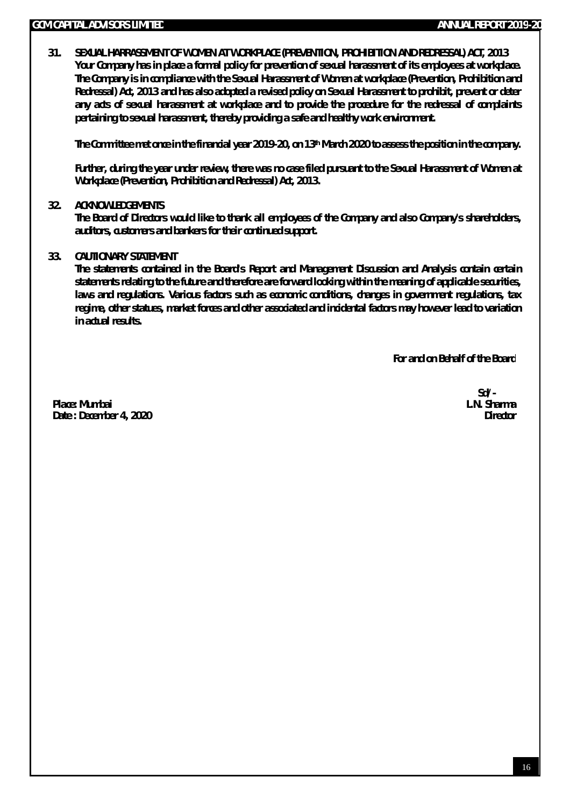**31. SEXUAL HARRASSMENT OF WOMEN AT WORKPLACE (PREVENTION, PROHIBITION AND REDRESSAL) ACT, 2013 Your Company has in place a formal policy for prevention of sexual harassment of its employees at workplace. The Company is in compliance with the Sexual Harassment of Women at workplace (Prevention, Prohibition and Redressal) Act, 2013 and has also adopted a revised policy on Sexual Harassment to prohibit, prevent or deter any acts of sexual harassment at workplace and to provide the procedure for the redressal of complaints pertaining to sexual harassment, thereby providing a safe and healthy work environment.** 

**The Committee met once in the financial year 2019-20, on 13th March 2020 to assess the position in the company.** 

**Further, during the year under review, there was no case filed pursuant to the Sexual Harassment of Women at Workplace (Prevention, Prohibition and Redressal) Act, 2013.**

#### **32. ACKNOWLEDGEMENTS**

**The Board of Directors would like to thank all employees of the Company and also Company's shareholders, auditors, customers and bankers for their continued support.**

#### **33. CAUTIONARY STATEMENT**

**The statements contained in the Board's Report and Management Discussion and Analysis contain certain statements relating to the future and therefore are forward looking within the meaning of applicable securities, laws and regulations. Various factors such as economic conditions, changes in government regulations, tax regime, other statues, market forces and other associated and incidental factors may however lead to variation in actual results.**

**For and on Behalf of the Board**

**Place: Mumbai Date : December 4, 2020**

**Sd/- L.N. Sharma Director**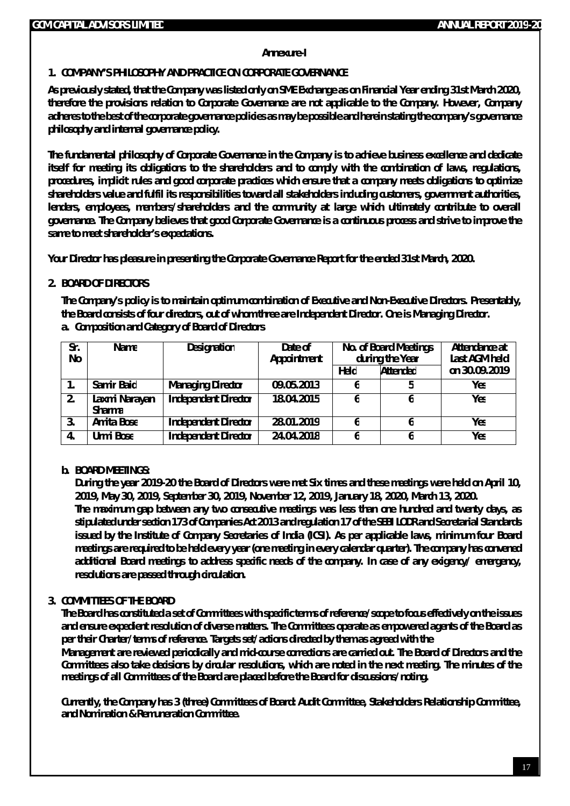#### **Annexure-I**

#### **1. COMPANY'S PHILOSOPHY AND PRACTICE ON CORPORATE GOVERNANCE**

**As previously stated, that the Company was listed only on SME Exchange as on Financial Year ending 31st March 2020, therefore the provisions relation to Corporate Governance are not applicable to the Company. However, Company adheres to the best of the corporate governance policies as may be possible and herein stating the company's governance philosophy and internal governance policy.**

**The fundamental philosophy of Corporate Governance in the Company is to achieve business excellence and dedicate itself for meeting its obligations to the shareholders and to comply with the combination of laws, regulations, procedures, implicit rules and good corporate practices which ensure that a company meets obligations to optimize shareholders value and fulfil its responsibilities toward all stakeholders including customers, government authorities, lenders, employees, members/shareholders and the community at large which ultimately contribute to overall governance. The Company believes that good Corporate Governance is a continuous process and strive to improve the same to meet shareholder's expectations.**

**Your Director has pleasure in presenting the Corporate Governance Report for the ended 31st March, 2020.**

#### **2. BOARD OF DIRECTORS**

**The Company's policy is to maintain optimum combination of Executive and Non-Executive Directors. Presentably, the Board consists of four directors, out of whom three are Independent Director. One is Managing Director.**

| Sr.<br><b>No</b> | <b>Name</b>       | <b>Designation</b>          | Date of<br><b>Appointment</b> |             | <b>No. of Board Meetings</b><br>during the Year | Attendance at<br>Last AGM held |
|------------------|-------------------|-----------------------------|-------------------------------|-------------|-------------------------------------------------|--------------------------------|
|                  |                   |                             |                               | <b>Held</b> | <b>Attended</b>                                 | on 30.09.2019                  |
|                  | <b>Samir Baid</b> | <b>Managing Director</b>    | 09.05.2013                    |             |                                                 | Yes                            |
| -2.              | Laxmi Narayan     | <b>Independent Director</b> | 18.04.2015                    | 6           |                                                 | <b>Yes</b>                     |
|                  | <b>Sharma</b>     |                             |                               |             |                                                 |                                |
| 3.               | <b>Amita Bose</b> | Independent Director        | 28.01.2019                    |             |                                                 | Yes                            |
| 4.               | <b>Urmi Bose</b>  | <b>Independent Director</b> | 24.04.2018                    |             |                                                 | Yes                            |

#### **a. Composition and Category of Board of Directors**

#### **b. BOARD MEETINGS:**

**During the year 2019-20 the Board of Directors were met Six times and these meetings were held on April 10, 2019, May 30, 2019, September 30, 2019, November 12, 2019, January 18, 2020, March 13, 2020.**

**The maximum gap between any two consecutive meetings was less than one hundred and twenty days, as stipulated under section 173 of Companies Act 2013 and regulation 17 of the SEBI LODR and Secretarial Standards issued by the Institute of Company Secretaries of India (ICSI). As per applicable laws, minimum four Board meetings are required to be held every year (one meeting in every calendar quarter). The company has convened additional Board meetings to address specific needs of the company. In case of any exigency/ emergency, resolutions are passed through circulation.**

#### **3. COMMITTEES OF THE BOARD**

**The Board has constituted a set of Committees with specific terms of reference/scope to focus effectively on the issues and ensure expedient resolution of diverse matters. The Committees operate as empowered agents of the Board as per their Charter/terms of reference. Targets set/actions directed by them as agreed with the**

**Management are reviewed periodically and mid-course corrections are carried out. The Board of Directors and the Committees also take decisions by circular resolutions, which are noted in the next meeting. The minutes of the meetings of all Committees of the Board are placed before the Board for discussions/noting.**

**Currently, the Company has 3 (three) Committees of Board: Audit Committee, Stakeholders Relationship Committee, and Nomination & Remuneration Committee.**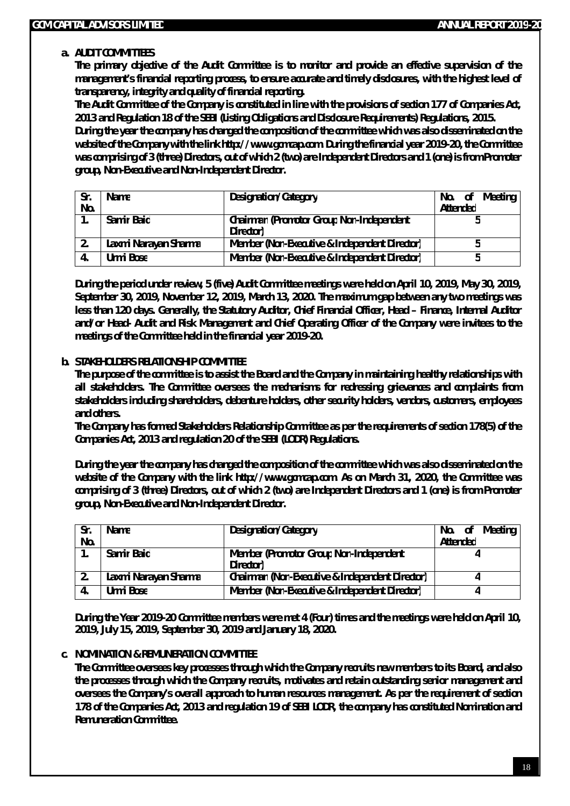#### **a. AUDIT COMMITTEES**

**The primary objective of the Audit Committee is to monitor and provide an effective supervision of the management's financial reporting process, to ensure accurate and timely disclosures, with the highest level of transparency, integrity and quality of financial reporting.**

**The Audit Committee of the Company is constituted in line with the provisions of section 177 of Companies Act, 2013 and Regulation 18 of the SEBI (Listing Obligations and Disclosure Requirements) Regulations, 2015.**

**During the year the company has changed the composition of the committee which was also disseminated on the website of the Company with the link http://www.gcmcap.com. During the financial year 2019-20, the Committee was comprising of 3 (three) Directors, out of which 2 (two) are Independent Directors and 1 (one) is from Promoter group, Non-Executive and Non-Independent Director.**

| Sr.<br>No. | <b>Name</b>          | <b>Designation/Category</b>                           | <b>Meeting</b><br>No. of<br><b>Attended</b> |
|------------|----------------------|-------------------------------------------------------|---------------------------------------------|
|            | Samir Baid           | Chairman (Promotor Group Non-Independent<br>Director) |                                             |
|            | Laxmi Narayan Sharma | Member (Non-Executive & Independent Director)         |                                             |
|            | Urmi Bose            | Member (Non-Executive & Independent Director)         |                                             |

**During the period under review, 5 (five) Audit Committee meetings were held on April 10, 2019, May 30, 2019, September 30, 2019, November 12, 2019, March 13, 2020. The maximum gap between any two meetings was less than 120 days. Generally, the Statutory Auditor, Chief Financial Officer, Head – Finance, Internal Auditor and/or Head- Audit and Risk Management and Chief Operating Officer of the Company were invitees to the meetings of the Committee held in the financial year 2019-20.**

### **b. STAKEHOLDERS RELATIONSHIP COMMITTEE**

**The purpose of the committee is to assist the Board and the Company in maintaining healthy relationships with all stakeholders. The Committee oversees the mechanisms for redressing grievances and complaints from stakeholders including shareholders, debenture holders, other security holders, vendors, customers, employees and others.**

**The Company has formed Stakeholders Relationship Committee as per the requirements of section 178(5) of the Companies Act, 2013 and regulation 20 of the SEBI (LODR) Regulations.**

**During the year the company has changed the composition of the committee which was also disseminated on the website of the Company with the link http://www.gcmcap.com. As on March 31, 2020, the Committee was comprising of 3 (three) Directors, out of which 2 (two) are Independent Directors and 1 (one) is from Promoter group, Non-Executive and Non-Independent Director.**

| Sr.<br>No. | <b>Name</b>          | <b>Designation/Category</b>                         | <b>Meeting</b><br>No. of<br><b>Attended</b> |
|------------|----------------------|-----------------------------------------------------|---------------------------------------------|
|            | Samir Baid           | Member (Promotor Group Non-Independent<br>Director) |                                             |
|            | Laxmi Narayan Sharma | Chairman (Non-Executive & Independent Director)     |                                             |
|            | Urmi Bose            | Member (Non-Executive & Independent Director)       |                                             |

**During the Year 2019-20 Committee members were met 4 (Four) times and the meetings were held on April 10, 2019, July 15, 2019, September 30, 2019 and January 18, 2020.**

### **c. NOMINATION & REMUNERATION COMMITTEE**

**The Committee oversees key processes through which the Company recruits new members to its Board, and also the processes through which the Company recruits, motivates and retain outstanding senior management and oversees the Company's overall approach to human resources management. As per the requirement of section 178 of the Companies Act, 2013 and regulation 19 of SEBI LODR, the company has constituted Nomination and Remuneration Committee.**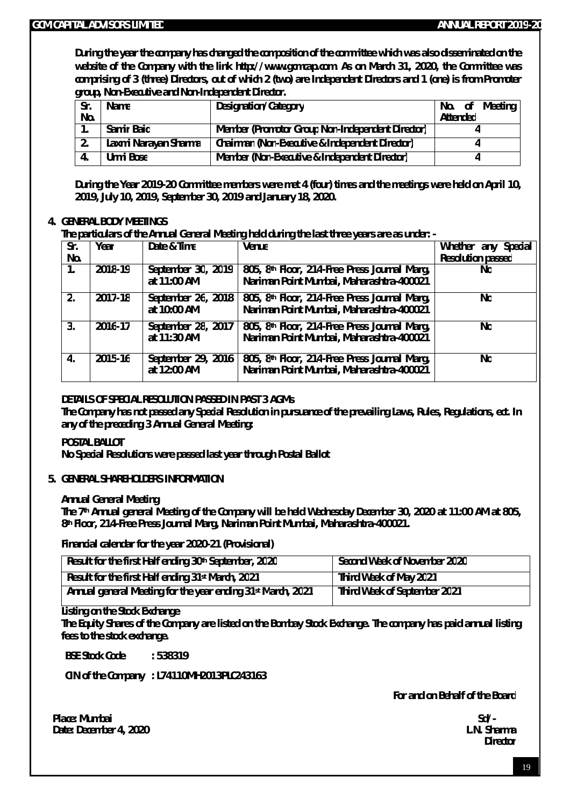**During the year the company has changed the composition of the committee which was also disseminated on the website of the Company with the link http://www.gcmcap.com. As on March 31, 2020, the Committee was comprising of 3 (three) Directors, out of which 2 (two) are Independent Directors and 1 (one) is from Promoter group, Non-Executive and Non-Independent Director.**

| No. | <b>Name</b>          | <b>Designation/Category</b>                      | Meeting<br>No. of<br><b>Attended</b> |
|-----|----------------------|--------------------------------------------------|--------------------------------------|
|     | Samir Baid           | Member (Promotor Group Non-Independent Director) |                                      |
|     | Laxmi Narayan Sharma | Chairman (Non-Executive & Independent Director)  |                                      |
|     | Urmi Bose            | Member (Non-Executive & Independent Director)    |                                      |

**During the Year 2019-20 Committee members were met 4 (four) times and the meetings were held on April 10, 2019, July 10, 2019, September 30, 2019 and January 18, 2020.**

### **4. GENERAL BODY MEETINGS**

**The particulars of the Annual General Meeting held during the last three years are as under: -**

| Sr.<br>No.     | Year    | Date & Time                       | <b>Venue</b>                                                                                         | Whether any<br><b>Special</b><br><b>Resolution passed</b> |
|----------------|---------|-----------------------------------|------------------------------------------------------------------------------------------------------|-----------------------------------------------------------|
| $1_{\cdot}$    | 2018-19 | September 30, 2019<br>at 11:00 AM | 805, 8 <sup>th</sup> Floor, 214-Free Press Journal Marg,<br>Nariman Point Mumbai, Maharashtra-400021 | No.                                                       |
| 2 <sub>1</sub> | 2017-18 | September 26, 2018<br>at 10:00 AM | 805, 8th Floor, 214-Free Press Journal Marg,<br>Nariman Point Mumbai, Maharashtra-400021             | No.                                                       |
| 3.             | 2016-17 | September 28, 2017<br>at 11:30 AM | 805, 8 <sup>th</sup> Floor, 214-Free Press Journal Marg,<br>Nariman Point Mumbai, Maharashtra-400021 | No.                                                       |
| 4.             | 2015-16 | September 29, 2016<br>at 12:00 AM | 805, 8 <sup>th</sup> Floor, 214-Free Press Journal Marg,<br>Nariman Point Mumbai, Maharashtra-400021 | No.                                                       |

## **DETAILS OF SPECIAL RESOLUTION PASSED IN PAST 3 AGMs**

**The Company has not passed any Special Resolution in pursuance of the prevailing Laws, Rules, Regulations, ect. In any of the preceding 3 Annual General Meeting:**

#### **POSTAL BALLOT**

**No Special Resolutions were passed last year through Postal Ballot**

#### **5. GENERAL SHAREHOLDERS INFORMATION**

#### **Annual General Meeting**

**The 7th Annual general Meeting of the Company will be held Wednesday December 30, 2020 at 11:00 AM at 805, 8th Floor, 214-Free Press Journal Marg, Nariman Point Mumbai, Maharashtra-400021.**

**Financial calendar for the year 2020-21 (Provisional)**

| Result for the first Half ending 30 <sup>th</sup> September, 2020       | Second Week of November 2020 |
|-------------------------------------------------------------------------|------------------------------|
| Result for the first Half ending 31 <sup>st</sup> March, 2021           | Third Week of May 2021       |
| Annual general Meeting for the year ending 31 <sup>st</sup> March, 2021 | Third Week of September 2021 |

#### **Listing on the Stock Exchange**

**The Equity Shares of the Company are listed on the Bombay Stock Exchange. The company has paid annual listing fees to the stock exchange.**

**BSE Stock Code : 538319**

**CIN of the Company : L74110MH2013PLC243163**

**For and on Behalf of the Board**

**Place: Mumbai Date: December 4, 2020**

**Sd/- L.N. Sharma Director**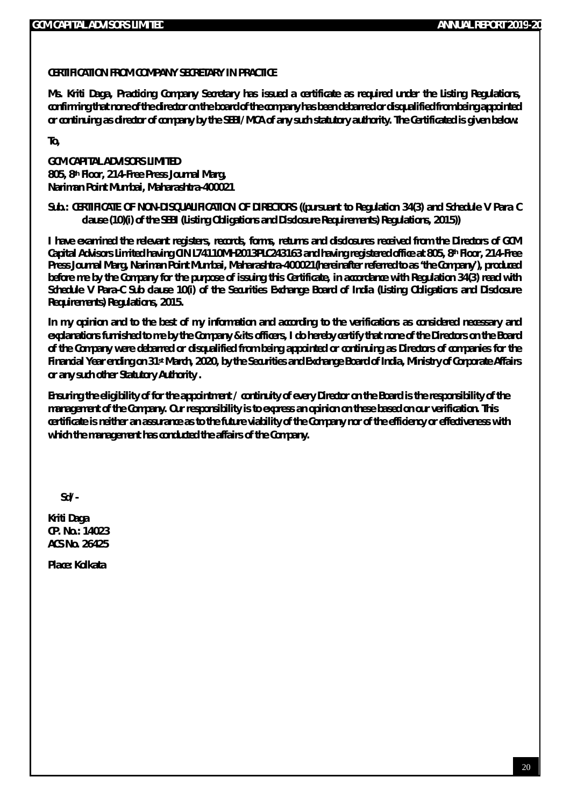#### **CERTIFICATION FROM COMPANY SECRETARY IN PRACTICE**

**Ms. Kriti Daga, Practicing Company Secretary has issued a certificate as required under the Listing Regulations, confirming that none of the director on the board of the company has been debarred or disqualified from being appointed or continuing as director of company by the SEBI/MCA of any such statutory authority. The Certificated is given below:**

**To,**

#### **GCM CAPITAL ADVISORS LIMITED**

**805, 8th Floor, 214-Free Press Journal Marg, Nariman Point Mumbai, Maharashtra-400021**

#### **Sub.: CERTIFICATE OF NON-DISQUALIFICATION OF DIRECTORS ((pursuant to Regulation 34(3) and Schedule V Para C clause (10)(i) of the SEBI (Listing Obligations and Disclosure Requirements) Regulations, 2015))**

**I have examined the relevant registers, records, forms, returns and disclosures received from the Directors of GCM Capital Advisors Limited having CIN L74110MH2013PLC243163 and having registered office at 805, 8th Floor, 214-Free Press Journal Marg, Nariman Point Mumbai, Maharashtra-400021(hereinafter referred to as 'the Company'), produced before me by the Company for the purpose of issuing this Certificate, in accordance with Regulation 34(3) read with Schedule V Para-C Sub clause 10(i) of the Securities Exchange Board of India (Listing Obligations and Disclosure Requirements) Regulations, 2015.** 

**In my opinion and to the best of my information and according to the verifications as considered necessary and explanations furnished to me by the Company & its officers, I do hereby certify that none of the Directors on the Board of the Company were debarred or disqualified from being appointed or continuing as Directors of companies for the Financial Year ending on 31st March, 2020, by the Securities and Exchange Board of India, Ministry of Corporate Affairs or any such other Statutory Authority .**

**Ensuring the eligibility of for the appointment / continuity of every Director on the Board is the responsibility of the management of the Company. Our responsibility is to express an opinion on these based on our verification. This certificate is neither an assurance as to the future viability of the Company nor of the efficiency or effectiveness with which the management has conducted the affairs of the Company.**

 **Sd/-**

**Kriti Daga CP. No.: 14023 ACS No. 26425**

**Place: Kolkata**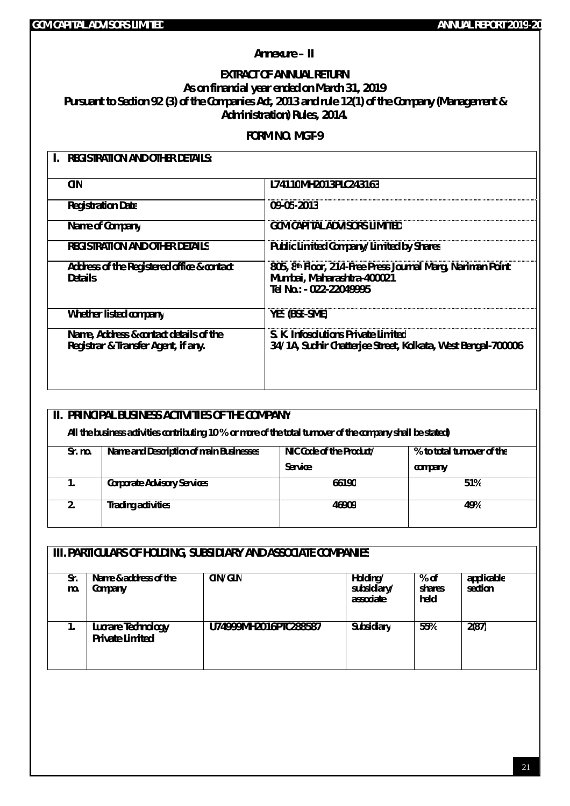# **Annexure – II**

# **EXTRACT OF ANNUAL RETURN As on financial year ended on March 31, 2019 Pursuant to Section 92 (3) of the Companies Act, 2013 and rule 12(1) of the Company (Management & Administration) Rules, 2014.**

# **FORM NO. MGT-9**

| <b>REGISTRATION AND OTHER DETAILS:</b>                                        |                                                                                                                                 |
|-------------------------------------------------------------------------------|---------------------------------------------------------------------------------------------------------------------------------|
| CIN                                                                           | L74110MH2013PLC243163                                                                                                           |
| <b>Registration Date</b>                                                      | 09-05-2013                                                                                                                      |
| Name of Company                                                               | GCM CAPITAL ADVISORS LIMITED                                                                                                    |
| REGISTRATION AND OTHER DETAILS                                                | Public Limited Company/Limited by Shares                                                                                        |
| Address of the Registered office & contact<br>Details                         | 805, 8 <sup>th</sup> Floor, 214-Free Press Journal Marg, Nariman Point<br>Mumbai, Maharashtra-400021<br>Tel No.: - 022-22049995 |
| Whether listed company                                                        | YES (BSE-SME)                                                                                                                   |
| Name, Address & contact details of the<br>Registrar & Transfer Agent, if any. | S. K. Infosolutions Private Limited<br>34/1A, Sudhir Chatterjee Street, Kolkata, West Bengal-700006                             |

|         | II. PRINCIPAL BUSINESS ACTIVITIES OF THE COMPANY                                                            |                          |                            |  |  |  |  |
|---------|-------------------------------------------------------------------------------------------------------------|--------------------------|----------------------------|--|--|--|--|
|         | All the business activities contributing 10 % or more of the total turnover of the company shall be stated) |                          |                            |  |  |  |  |
| Sr. no. | <b>Name and Description of main Businesses</b>                                                              | NIC Code of the Product/ | % to total turnover of the |  |  |  |  |
|         |                                                                                                             | <b>Service</b>           | company                    |  |  |  |  |
|         | <b>Corporate Advisory Services</b>                                                                          | 66190                    | 51%                        |  |  |  |  |
|         | Trading activities                                                                                          | 46909                    | 49%                        |  |  |  |  |

| Sr.<br>no. | Name & address of the<br>Company             | CIN/GLN               | Holding/<br>subsidiary/<br>associate | $%$ of<br>shares<br>held | applicable<br>section |
|------------|----------------------------------------------|-----------------------|--------------------------------------|--------------------------|-----------------------|
| 1.         | Lucrare Technology<br><b>Private Limited</b> | U74999MH2016PTC288587 | <b>Subsidiary</b>                    | 55%                      | 2(87)                 |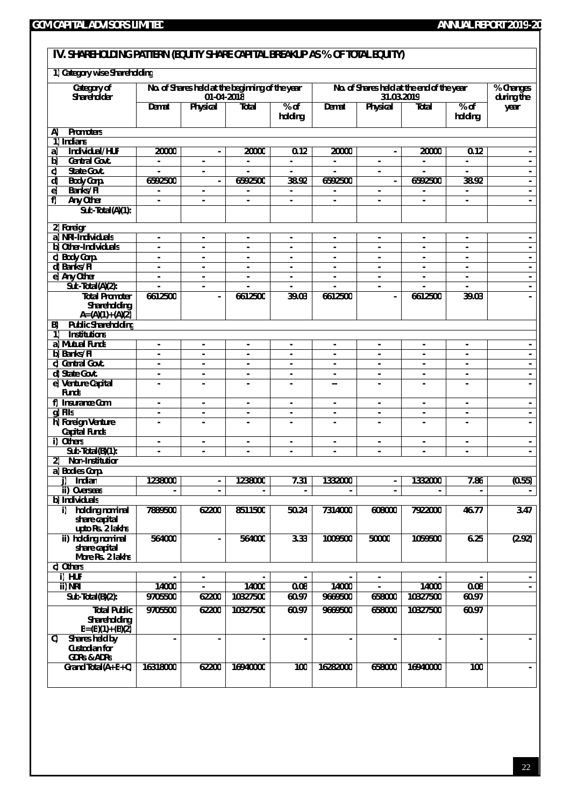|                                                                        | IV. SHAREHOLDING PATTERN (EQUITY SHARE CAPITAL BREAKUP AS % OF TOTAL EQUITY) |                             |                          |                                                         |                          |                          |                          |                          |                            |
|------------------------------------------------------------------------|------------------------------------------------------------------------------|-----------------------------|--------------------------|---------------------------------------------------------|--------------------------|--------------------------|--------------------------|--------------------------|----------------------------|
| 1) Category wise Shareholding                                          |                                                                              |                             |                          |                                                         |                          |                          |                          |                          |                            |
| <b>Category of</b><br>Shareholder                                      | No. of Shares held at the beginning of the year<br>01-04-2018                |                             |                          | No. of Shares held at the end of the year<br>31.03.2019 |                          |                          |                          | % Changes<br>during the  |                            |
|                                                                        | <b>Demat</b>                                                                 | <b>Physical</b>             | <b>Total</b>             | % of<br>holding                                         | <b>Demat</b>             | <b>Physical</b>          | <b>Total</b>             | % of<br>holding          | year                       |
| <b>Promoters</b><br>A)                                                 |                                                                              |                             |                          |                                                         |                          |                          |                          |                          |                            |
| 1) Indians                                                             |                                                                              |                             |                          |                                                         |                          |                          |                          |                          |                            |
| Individual/HUF<br>a)                                                   | 20000                                                                        | $\Box$                      | 20000                    | 0.12                                                    | 20000                    | $\omega$                 | 20000                    | 0.12                     | $\sim$                     |
| Central Govt.<br>b)                                                    | $\blacksquare$                                                               | ÷,                          | $\blacksquare$           | ÷,                                                      | $\blacksquare$           | ä,                       | $\sim$                   | $\blacksquare$           | $\blacksquare$             |
| State Govt.<br>c)                                                      | 6592500                                                                      |                             |                          | 38.92                                                   | 6592500                  | $\blacksquare$           |                          | 38.92                    | $\blacksquare$             |
| Body Corp.<br>d)<br>Banks/FI<br>e)                                     |                                                                              | $\overline{\phantom{a}}$    | 6592500                  |                                                         |                          | ÷.                       | 6592500                  |                          | $\sim$                     |
| Any Other<br>f)                                                        |                                                                              | $\blacksquare$              |                          | $\overline{\phantom{a}}$                                |                          | $\blacksquare$           |                          | $\blacksquare$<br>$\sim$ | $\blacksquare$<br>$\omega$ |
| Sub-Total(A)(1):                                                       |                                                                              |                             |                          |                                                         |                          |                          |                          |                          |                            |
| 2) Foreign                                                             |                                                                              |                             |                          |                                                         |                          |                          |                          |                          |                            |
| a) NRI-Individuals                                                     | $\blacksquare$                                                               | $\blacksquare$              | $\blacksquare$           | $\blacksquare$                                          | $\blacksquare$           | $\blacksquare$           | $\sim$                   | $\blacksquare$           | $\sim$                     |
| Other-Individuals<br>b)                                                | $\blacksquare$                                                               | $\blacksquare$              | $\blacksquare$           | $\blacksquare$                                          | $\blacksquare$           | $\blacksquare$           | $\blacksquare$           | $\blacksquare$           | $\omega$                   |
| Body Corp.<br>C)                                                       | $\omega$                                                                     | $\sim$                      | $\sim$                   | $\overline{\phantom{a}}$                                |                          | $\sim$                   | $\sim$                   | $\sim$                   | $\blacksquare$             |
| d) Banks/FI                                                            | $\blacksquare$                                                               | $\sim$                      | $\omega$                 | $\blacksquare$                                          | $\blacksquare$           | $\omega$                 | $\omega$                 | $\blacksquare$           | $\blacksquare$             |
| e) Any Other                                                           | $\blacksquare$                                                               | ÷.                          | $\blacksquare$           | $\blacksquare$                                          | $\sim$                   | $\blacksquare$           | $\sim$                   | $\sim$                   | $\sim$                     |
| Sub-Total(A)(2):<br><b>Total Promoter</b>                              | 6612500                                                                      | $\bar{a}$<br>$\blacksquare$ | 6612500                  | 39.03                                                   | 6612500                  | $\sim$<br>$\blacksquare$ | 6612500                  | 39.03                    | $\blacksquare$             |
| Shareholding                                                           |                                                                              |                             |                          |                                                         |                          |                          |                          |                          |                            |
| $A=(A)(1)+(A)(2)$<br><b>Public Shareholding</b><br>B)                  |                                                                              |                             |                          |                                                         |                          |                          |                          |                          |                            |
| <b>Institutions</b><br>1)                                              |                                                                              |                             |                          |                                                         |                          |                          |                          |                          |                            |
| a) Mutual Funds                                                        | $\sim$                                                                       | $\overline{\phantom{a}}$    | $\overline{\phantom{a}}$ | $\overline{\phantom{a}}$                                | $\overline{\phantom{a}}$ | $\sim$                   | $\sim$                   | $\overline{\phantom{a}}$ | $\sim$                     |
| b) Banks/FI                                                            | $\omega$                                                                     | ÷                           | $\blacksquare$           | $\overline{\phantom{a}}$                                | $\sim$                   | $\overline{a}$           | ÷,                       | $\sim$                   | $\omega$                   |
| Central Govt.<br>C)                                                    | $\blacksquare$                                                               | $\blacksquare$              | $\blacksquare$           | $\blacksquare$                                          | $\blacksquare$           | $\blacksquare$           | $\blacksquare$           | $\overline{\phantom{a}}$ | $\omega_{\rm c}$           |
| d) State Govt.                                                         | $\omega$                                                                     | $\overline{\phantom{a}}$    | $\mathbf{r}$             | $\blacksquare$                                          | $\overline{\phantom{a}}$ | $\sim$                   | $\sim$                   | $\omega$                 | $\equiv$                   |
| e) Venture Capital<br>Funds                                            |                                                                              |                             | ÷.                       |                                                         | цц                       |                          | Ĭ.                       |                          | $\equiv$                   |
| Insurance Com.<br>f)                                                   | $\bar{\phantom{a}}$                                                          | ä,                          | $\mathbf{r}$             | $\sim$                                                  | $\overline{\phantom{a}}$ | $\sim$                   | $\bar{a}$                | $\omega$                 | $\omega$                   |
| q) FIIs                                                                | $\blacksquare$                                                               | $\overline{\phantom{a}}$    | $\blacksquare$           | ÷,                                                      | $\overline{\phantom{a}}$ | $\blacksquare$           | $\blacksquare$           | $\overline{\phantom{a}}$ | $\blacksquare$             |
| h) Foreign Venture<br>Capital Funds                                    | $\bar{a}$                                                                    | ä,                          | $\sim$                   | L.                                                      | ÷.                       | $\omega$                 | $\overline{\phantom{a}}$ | $\overline{\phantom{a}}$ | $\mathbf{r}$               |
| Others<br>i)                                                           | $\blacksquare$                                                               | $\overline{\phantom{a}}$    | $\overline{\phantom{a}}$ | $\overline{\phantom{a}}$                                | $\overline{\phantom{a}}$ | $\overline{\phantom{a}}$ | $\blacksquare$           | $\overline{\phantom{a}}$ | $\blacksquare$             |
| Sub-Total(B)(1):<br><b>Non-Institution</b>                             | $\blacksquare$                                                               | $\overline{a}$              | $\blacksquare$           | ÷,                                                      | ä,                       | $\blacksquare$           | $\blacksquare$           | $\blacksquare$           | $\blacksquare$             |
| 2)<br>a) Bodies Corp.                                                  |                                                                              |                             |                          |                                                         |                          |                          |                          |                          |                            |
| Indian                                                                 | 1238000                                                                      | $\Box$                      | 1238000                  | 7.31                                                    | 1332000                  | $\blacksquare$           | 1332000                  | 7.86                     | (0.55)                     |
| ii) Overseas                                                           |                                                                              | $\blacksquare$              | $\blacksquare$           | $\sim$                                                  |                          | ÷.                       |                          |                          |                            |
| b) Individuals                                                         |                                                                              |                             |                          |                                                         |                          |                          |                          |                          |                            |
| holding nominal<br>i)<br>share capital                                 | 7889500                                                                      | 62200                       | 8511500                  | 50.24                                                   | 7314000                  | 608000                   | 7922000                  | 46.77                    | 3.47                       |
| upto Rs. 2 lakhs<br>ii) holding nominal                                | 564000                                                                       | ä,                          | 564000                   | 3.33                                                    | 1009500                  | 50000                    | 1059500                  | 6.25                     | (2.92)                     |
| share capital<br>More Rs. 2 lakhs                                      |                                                                              |                             |                          |                                                         |                          |                          |                          |                          |                            |
| c) Others                                                              |                                                                              |                             |                          |                                                         |                          |                          |                          |                          |                            |
| i) HUF                                                                 |                                                                              | $\blacksquare$              |                          |                                                         |                          | $\blacksquare$           |                          | $\mathbf{r}$             | $\sim$                     |
| ii) NRI                                                                | 14000                                                                        |                             | 14000                    | 0.08                                                    | 14000                    |                          | 14000                    | 0.08                     | $\sim$                     |
| Sub-Total(B)(2):                                                       | 9705500                                                                      | 62200                       | 10327500                 | 60.97                                                   | 9669500                  | 658000                   | 10327500                 | 60.97                    |                            |
| <b>Total Public</b><br>Shareholding<br>$B=(B)(1)+(B)(2)$               | 9705500                                                                      | 62200                       | 10327500                 | 60.97                                                   | 9669500                  | 658000                   | 10327500                 | 60.97                    |                            |
| Shares held by<br>C)<br><b>Custodian for</b><br><b>GDRs &amp; ADRs</b> |                                                                              | $\blacksquare$              | $\blacksquare$           | $\blacksquare$                                          | $\blacksquare$           | $\blacksquare$           | $\blacksquare$           | $\overline{\phantom{a}}$ | $\blacksquare$             |
| Grand Total(A+B+C)                                                     | 16318000                                                                     | 62200                       | 16940000                 | 100                                                     | 16282000                 | 658000                   | 16940000                 | 100                      | $\blacksquare$             |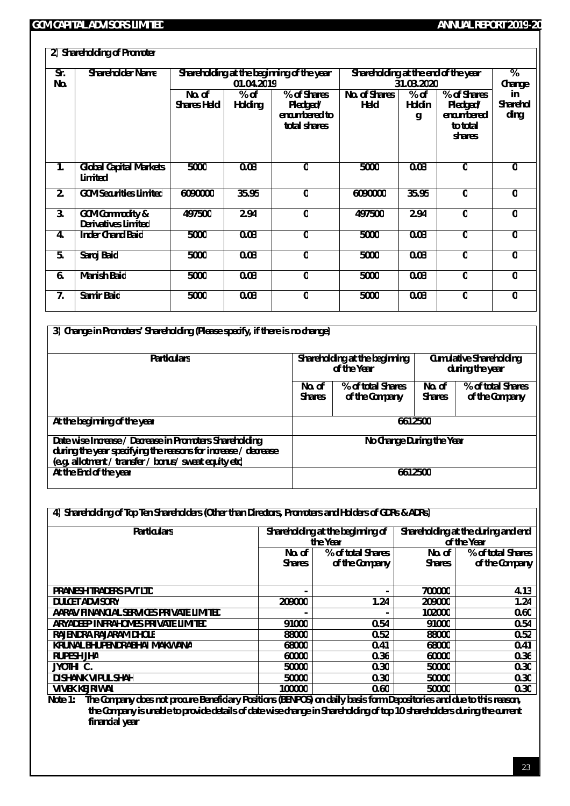# **2) Shareholding of Promoter**

| Sr.            | <b>Shareholder Name</b>                                  |                    |                | Shareholding at the beginning of the year | Shareholding at the end of the year | %                  |                        |                         |
|----------------|----------------------------------------------------------|--------------------|----------------|-------------------------------------------|-------------------------------------|--------------------|------------------------|-------------------------|
| No.            |                                                          |                    | 01.04.2019     |                                           |                                     | 31.03.2020         |                        | Change                  |
|                |                                                          | No. of             | $%$ of         | % of Shares                               | <b>No. of Shares</b>                | $%$ of             | % of Shares            | in.                     |
|                |                                                          | <b>Shares Held</b> | <b>Holding</b> | Pledged/<br>encumbered to                 | <b>Held</b>                         | <b>Holdin</b><br>g | Pledged/<br>encumbered | <b>Sharehol</b><br>ding |
|                |                                                          |                    |                | total shares                              |                                     |                    | to total<br>shares     |                         |
| $\mathbf{1}$ . | <b>Global Capital Markets</b><br>Limited                 | 5000               | 0.03           | $\bf{0}$                                  | 5000                                | 0.03               | $\bf{0}$               | $\mathbf 0$             |
| 2.             | <b>GCM Securities Limited</b>                            | 6090000            | 35.95          | $\bf{0}$                                  | 6090000                             | 35.95              | $\bf{0}$               | $\bf{0}$                |
| 3.             | <b>GCM Commodity &amp;</b><br><b>Derivatives Limited</b> | 497500             | 2.94           | $\bf{0}$                                  | 497500                              | 2.94               | $\bf{0}$               | 0                       |
| 4.             | <b>Inder Chand Baid</b>                                  | 5000               | 0.03           | $\bf{0}$                                  | 5000                                | 0.03               | $\bf{0}$               | 0                       |
| 5.             | Saroj Baid                                               | 5000               | 0.03           | $\mathbf 0$                               | 5000                                | 0.03               | $\bf{0}$               | 0                       |
| 6.             | <b>Manish Baid</b>                                       | 5000               | 0.03           | $\bf{0}$                                  | 5000                                | 0.03               | $\bf{0}$               | 0                       |
| 7.             | <b>Samir Baid</b>                                        | 5000               | 0.03           | $\mathbf 0$                               | 5000                                | 0.03               | $\bf{0}$               | 0                       |

**3) Change in Promoters' Shareholding (Please specify, if there is no change)**

| <b>Particulars</b>                                                                                                                                                                 | Shareholding at the beginning<br>of the Year |                                     | <b>Cumulative Shareholding</b><br>during the year |                                     |
|------------------------------------------------------------------------------------------------------------------------------------------------------------------------------------|----------------------------------------------|-------------------------------------|---------------------------------------------------|-------------------------------------|
|                                                                                                                                                                                    | No. of<br><b>Shares</b>                      | % of total Shares<br>of the Company | No. of<br><b>Shares</b>                           | % of total Shares<br>of the Company |
| At the beginning of the year                                                                                                                                                       | 6612500                                      |                                     |                                                   |                                     |
| Date wise Increase / Decrease in Promoters Shareholding<br>during the year specifying the reasons for increase / decrease<br>(e.g. allotment / transfer / bonus/ sweat equity etc) | No Change During the Year                    |                                     |                                                   |                                     |
| At the End of the year                                                                                                                                                             |                                              | 6612500                             |                                                   |                                     |

#### **4) Shareholding of Top Ten Shareholders (Other than Directors, Promoters and Holders of GDRs & ADRs)**

| <b>Particulars</b>                       |                         | Shareholding at the beginning of<br>the Year | Shareholding at the during and end<br>of the Year |                                     |  |
|------------------------------------------|-------------------------|----------------------------------------------|---------------------------------------------------|-------------------------------------|--|
|                                          | No. of<br><b>Shares</b> | % of total Shares<br>of the Company          | No. of<br><b>Shares</b>                           | % of total Shares<br>of the Company |  |
| PRANESH TRADERS PVT LTD                  |                         |                                              | 700000                                            | 4.13                                |  |
| DULCET ADVISORY                          | 209000                  | 1.24                                         | 209000                                            | 1.24                                |  |
| AARAV FINANCIAL SERVICES PRIVATE LIMITED |                         |                                              | 102000                                            | 0.60                                |  |
| ARYADEEP INFRAHOMES PRIVATE LIMITED      | 91000                   | 0.54                                         | 91000                                             | 0.54                                |  |
| RAJENDRA RAJARAM DHOLE                   | 88000                   | 0.52                                         | 88000                                             | 0.52                                |  |
| KRUNAL BHUPENDRABHAI MAKWANA             | 68000                   | 0.41                                         | 68000                                             | 0.41                                |  |
| RUPESH JHA                               | 60000                   | 0.36                                         | 60000                                             | 0.36                                |  |
| JYOTHI C.                                | 50000                   | 0.30                                         | 50000                                             | 0.30                                |  |
| DISHANK VIPUL SHAH                       | 50000                   | 0.30                                         | 50000                                             | 0.30                                |  |
| <b>VIVEK KEJRIWAL</b>                    | 100000                  | 0.60                                         | 50000                                             | 0.30                                |  |

**Note 1: The Company does not procure Beneficiary Positions (BENPOS) on daily basis form Depositories and due to this reason, the Company is unable to provide details of date wise change in Shareholding of top 10 shareholders during the current financial year**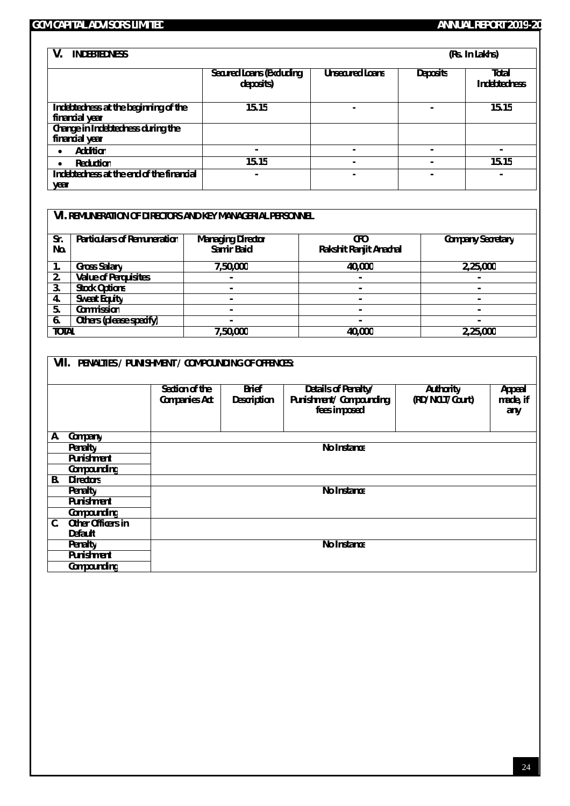| V.<br><b>INDEBTEDNESS</b>                              | (Rs. In Lakhs)                               |                        |                 |                              |
|--------------------------------------------------------|----------------------------------------------|------------------------|-----------------|------------------------------|
|                                                        | <b>Secured Loans (Excluding</b><br>deposits) | <b>Unsecured Loans</b> | <b>Deposits</b> | Total<br><b>Indebtedness</b> |
| Indebtedness at the beginning of the<br>financial year | 15.15                                        | -                      |                 | 15.15                        |
| Change in Indebtedness during the<br>financial year    |                                              |                        |                 |                              |
| Addition                                               |                                              | $\blacksquare$         |                 | ۰                            |
| Reduction                                              | 15.15                                        | -                      |                 | 15.15                        |
| Indebtedness at the end of the financial<br>year       |                                              | $\blacksquare$         |                 | $\blacksquare$               |

# **VI. REMUNERATION OF DIRECTORS AND KEY MANAGERIAL PERSONNEL**

| Sr.<br>No.   | <b>Particulars of Remuneration</b> | <b>Managing Director</b><br><b>Samir Baid</b> | CFO<br><b>Rakshit Ranjit Anachal</b> | <b>Company Secretary</b> |
|--------------|------------------------------------|-----------------------------------------------|--------------------------------------|--------------------------|
|              | <b>Gross Salary</b>                | 7,50,000                                      | 40,000                               | 2,25,000                 |
| $\mathbf{2}$ | Value of Perquisites               |                                               |                                      |                          |
| 3.           | <b>Stock Options</b>               |                                               |                                      |                          |
| 4.           | <b>Sweat Equity</b>                |                                               |                                      |                          |
| 5.           | Commission                         |                                               |                                      |                          |
| 6.           | Others (please specify)            |                                               |                                      |                          |
| <b>TOTAL</b> |                                    | 7,50,000                                      | 40,000                               | 2,25,000                 |

|    | VII.              | PENALTIES / PUNISHMENT / COMPOUNDING OF OFFENCES: |                                    |                                                                       |                                     |                                  |
|----|-------------------|---------------------------------------------------|------------------------------------|-----------------------------------------------------------------------|-------------------------------------|----------------------------------|
|    |                   | Section of the<br><b>Companies Act</b>            | <b>Brief</b><br><b>Description</b> | Details of Penalty/<br><b>Punishment/ Compounding</b><br>fees imposed | <b>Authority</b><br>(RD/NCLT/Court) | <b>Appeal</b><br>made, if<br>any |
| А. | Company           |                                                   |                                    |                                                                       |                                     |                                  |
|    | Penalty           |                                                   |                                    | No Instance                                                           |                                     |                                  |
|    | Punishment        |                                                   |                                    |                                                                       |                                     |                                  |
|    | Compounding       |                                                   |                                    |                                                                       |                                     |                                  |
| B. | <b>Directors</b>  |                                                   |                                    |                                                                       |                                     |                                  |
|    | Penalty           |                                                   |                                    | No Instance                                                           |                                     |                                  |
|    | Punishment        |                                                   |                                    |                                                                       |                                     |                                  |
|    | Compounding       |                                                   |                                    |                                                                       |                                     |                                  |
| C. | Other Officers in |                                                   |                                    |                                                                       |                                     |                                  |
|    | <b>Default</b>    |                                                   |                                    |                                                                       |                                     |                                  |
|    | Penalty           |                                                   |                                    | <b>No Instance</b>                                                    |                                     |                                  |
|    | Punishment        |                                                   |                                    |                                                                       |                                     |                                  |
|    | Compounding       |                                                   |                                    |                                                                       |                                     |                                  |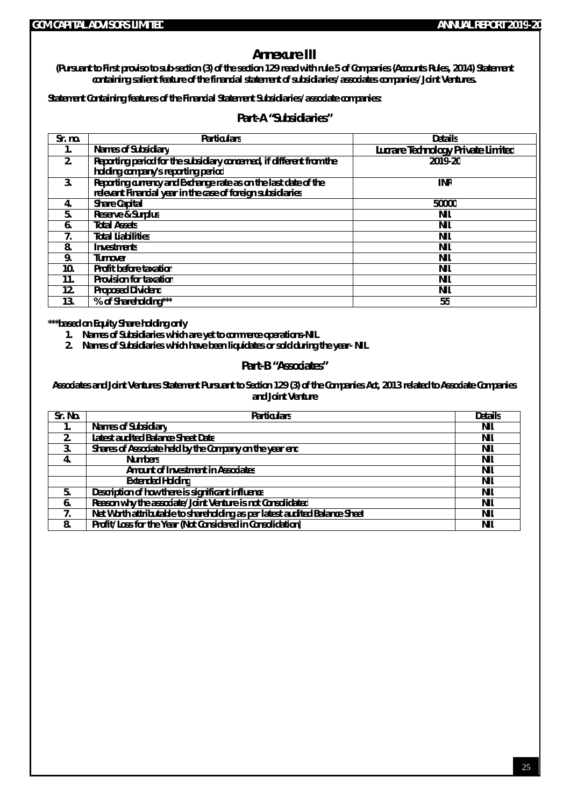# **Annexure III**

**(Pursuant to First proviso to sub-section (3) of the section 129 read with rule 5 of Companies (Accounts Rules, 2014) Statement containing salient feature of the financial statement of subsidiaries/associates companies/Joint Ventures.**

**Statement Containing features of the Financial Statement Subsidiaries/associate companies:**

### **Part-A "Subsidiaries"**

| Sr. no.        | <b>Particulars</b>                                                   | <b>Details</b>                            |
|----------------|----------------------------------------------------------------------|-------------------------------------------|
| 1.             | Names of Subsidiary                                                  | <b>Lucrare Technology Private Limited</b> |
| 2 <sub>1</sub> | Reporting period for the subsidiary concerned, if different from the | 2019-20                                   |
|                | holding company's reporting period                                   |                                           |
| 3 <sub>1</sub> | Reporting currency and Exchange rate as on the last date of the      | <b>INR</b>                                |
|                | relevant Financial year in the case of foreign subsidiaries          |                                           |
| 4.             | Share Capital                                                        | 50000                                     |
| 5.             | Reserve & Surplus                                                    | NIL                                       |
| 6.             | <b>Total Assets</b>                                                  | NIL                                       |
|                | <b>Total Liabilities</b>                                             | NIL                                       |
| 8.             | Investments                                                          | NIL                                       |
| 9.             | Turnover                                                             | NIL                                       |
| 10.            | Profit before taxation                                               | NIL                                       |
| 11.            | Provision for taxation                                               | NIL                                       |
| 12.            | Proposed Dividend                                                    | NIL                                       |
| 13.            | % of Shareholding***                                                 | 55                                        |

**\*\*\*based on Equity Share holding only**

- **1. Names of Subsidiaries which are yet to commerce operations-NIL**
- **2. Names of Subsidiaries which have been liquidates or sold during the year- NIL**

#### **Part-B "Associates"**

**Associates and Joint Ventures Statement Pursuant to Section 129 (3) of the Companies Act, 2013 related to Associate Companies and Joint Venture**

| Sr. No. | <b>Particulars</b>                                                         | <b>Details</b> |  |  |
|---------|----------------------------------------------------------------------------|----------------|--|--|
| 1.      | Names of Subsidiary                                                        | NIL            |  |  |
| 2.      | Latest audited Balance Sheet Date                                          | NIL            |  |  |
| 3.      | Shares of Associate held by the Company on the year end                    |                |  |  |
| -4.     | <b>Numbers</b>                                                             | NIL            |  |  |
|         | Amount of Investment in Associates                                         | NIL            |  |  |
|         | <b>Extended Holding</b>                                                    | NIL            |  |  |
| 5.      | Description of how there is significant influence                          | NIL            |  |  |
| 6.      | Reason why the associate/Joint Venture is not Consolidated                 | NIL            |  |  |
| 7.      | Net Worth attributable to shareholding as per latest audited Balance Sheet | NIL            |  |  |
| 8.      | Profit/Loss for the Year (Not Considered in Consolidation)                 | NIL            |  |  |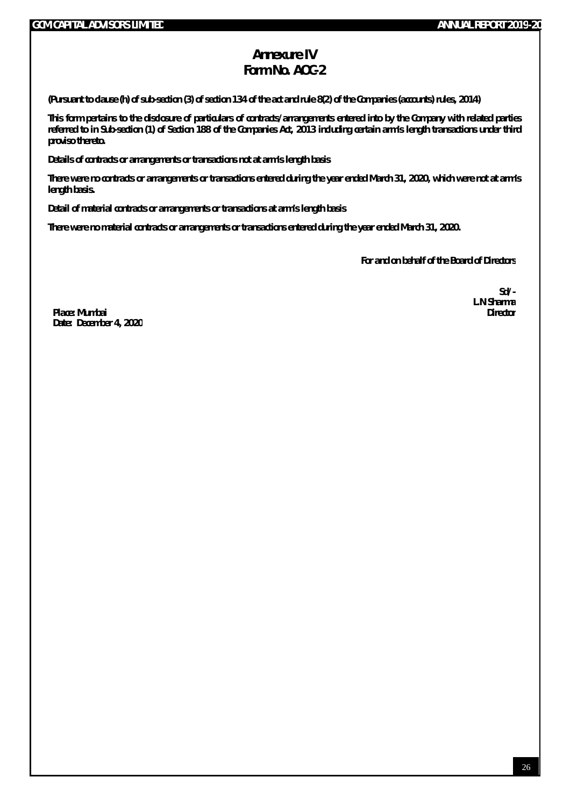# **Annexure IV Form No. AOC-2**

#### **(Pursuant to clause (h) of sub-section (3) of section 134 of the act and rule 8(2) of the Companies (accounts) rules, 2014)**

This form pertains to the disclosure of particulars of contracts/arrangements entered into by the Company with related parties referred to in Sub-section (1) of Section 188 of the Companies Act, 2013 including certain arm's length transactions under third **proviso thereto.**

#### **Details of contracts or arrangements or transactions not at arm's length basis**

**There were no contracts or arrangements or transactions entered during the year ended March 31, 2020, which were not at arm's length basis.**

#### **Detail of material contracts or arrangements or transactions at arm's length basis**

**There were no material contracts or arrangements or transactions entered during the year ended March 31, 2020.**

**For and on behalf of the Board of Directors**

**Place: Mumbai Director Date: December 4, 2020**

**Sd/- L.N Sharma**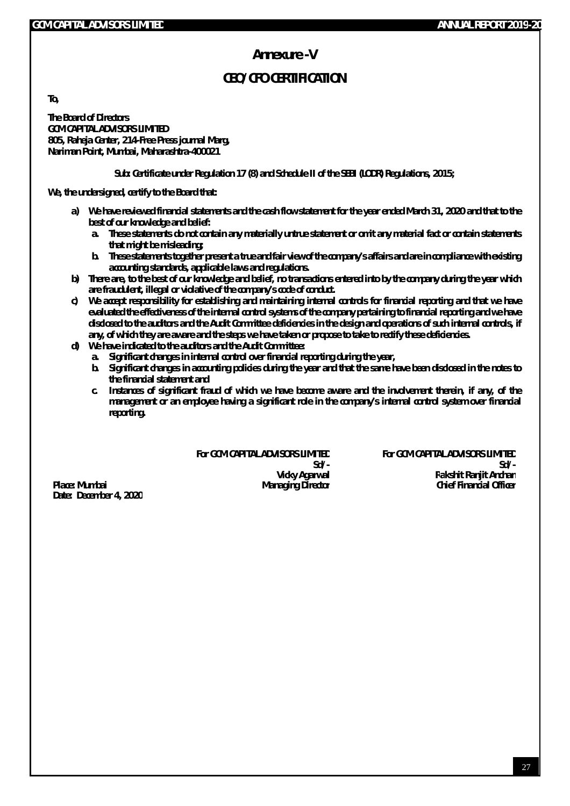# **Annexure -V**

# **CEO/CFO CERTIFICATION**

**To,**

#### **The Board of Directors GCM CAPITAL ADVISORS LIMITED 805, Raheja Center, 214-Free Press journal Marg, Nariman Point, Mumbai, Maharashtra-400021**

#### **Sub: Certificate under Regulation 17 (8) and Schedule II of the SEBI (LODR) Regulations, 2015;**

**We, the undersigned, certify to the Board that:** 

- **a) We have reviewed financial statements and the cash flow statement for the year ended March 31, 2020 and that to the best of our knowledge and belief:** 
	- **a. These statements do not contain any materially untrue statement or omit any material fact or contain statements that might be misleading;**
	- **b. These statements together present a true and fair view of the company's affairs and are in compliance with existing accounting standards, applicable laws and regulations.**
- **b) There are, to the best of our knowledge and belief, no transactions entered into by the company during the year which are fraudulent, illegal or violative of the company's code of conduct.**
- **c) We accept responsibility for establishing and maintaining internal controls for financial reporting and that we have evaluated the effectiveness of the internal control systems of the company pertaining to financial reporting and we have disclosed to the auditors and the Audit Committee deficiencies in the design and operations of such internal controls, if any, of which they are aware and the steps we have taken or propose to take to rectify these deficiencies.**
- **d) We have indicated to the auditors and the Audit Committee:** 
	- **a. Significant changes in internal control over financial reporting during the year,**
	- **b. Significant changes in accounting policies during the year and that the same have been disclosed in the notes to the financial statement and**
	- **c. Instances of significant fraud of which we have become aware and the involvement therein, if any, of the management or an employee having a significant role in the company's internal control system over financial reporting.**

#### **For GCM CAPITAL ADVISORS LIMITED For GCM CAPITAL ADVISORS LIMITED**

**Sd/- Vicky Agarwal**<br>Managing Director

**Sd/- Rakshit Ranjit Anchan Place: Mumbai Managing Director Chief Financial Officer**

**Date: December 4, 2020**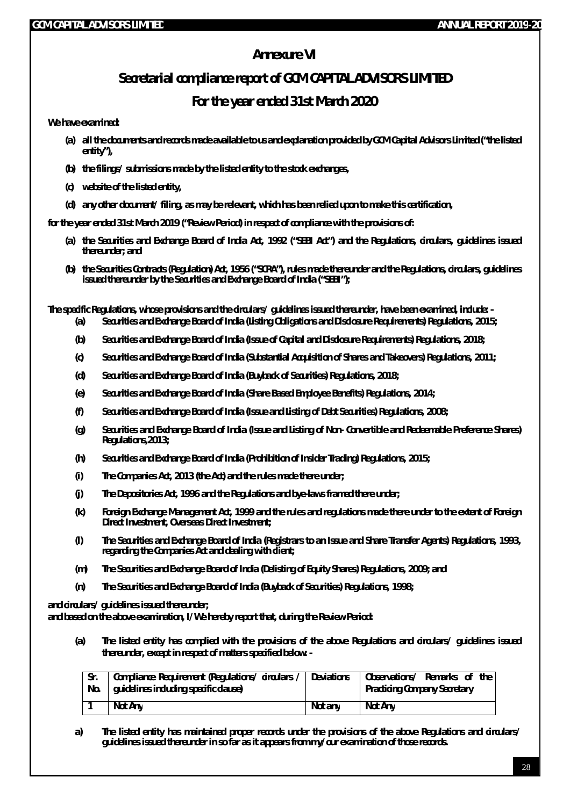# **Annexure VI**

# **Secretarial compliance report of GCM CAPITAL ADVISORS LIMITED**

# **For the year ended 31st March 2020**

**We have examined:**

- **(a) all the documents and records made available to us and explanation provided by GCM Capital Advisors Limited ("the listed entity"),**
- **(b) the filings/ submissions made by the listed entity to the stock exchanges,**
- **(c) website of the listed entity,**
- **(d) any other document/ filing, as may be relevant, which has been relied upon to make this certification,**

**for the year ended 31st March 2019 ("Review Period) in respect of compliance with the provisions of:**

- **(a) the Securities and Exchange Board of India Act, 1992 ("SEBI Act") and the Regulations, circulars, guidelines issued thereunder; and**
- **(b) the Securities Contracts (Regulation) Act, 1956 ("SCRA"), rules made thereunder and the Regulations, circulars, guidelines issued thereunder by the Securities and Exchange Board of India ("SEBI");**

#### **The specific Regulations, whose provisions and the circulars/ guidelines issued thereunder, have been examined, include: -**

- **(a) Securities and Exchange Board of India (Listing Obligations and Disclosure Requirements) Regulations, 2015;**
- **(b) Securities and Exchange Board of India (Issue of Capital and Disclosure Requirements) Regulations, 2018;**
- **(c) Securities and Exchange Board of India (Substantial Acquisition of Shares and Takeovers) Regulations, 2011;**
- **(d) Securities and Exchange Board of India (Buyback of Securities) Regulations, 2018;**
- **(e) Securities and Exchange Board of India (Share Based Employee Benefits) Regulations, 2014;**
- **(f) Securities and Exchange Board of India (Issue and Listing of Debt Securities) Regulations, 2008;**
- **(g) Securities and Exchange Board of India (Issue and Listing of Non- Convertible and Redeemable Preference Shares) Regulations,2013;**
- **(h) Securities and Exchange Board of India (Prohibition of Insider Trading) Regulations, 2015;**
- **(i) The Companies Act, 2013 (the Act) and the rules made there under;**
- **(j) The Depositories Act, 1996 and the Regulations and bye-laws framed there under;**
- **(k) Foreign Exchange Management Act, 1999 and the rules and regulations made there under to the extent of Foreign Direct Investment, Overseas Direct Investment;**
- **(l) The Securities and Exchange Board of India (Registrars to an Issue and Share Transfer Agents) Regulations, 1993, regarding the Companies Act and dealing with client;**
- **(m) The Securities and Exchange Board of India (Delisting of Equity Shares) Regulations, 2009; and**
- **(n) The Securities and Exchange Board of India (Buyback of Securities) Regulations, 1998;**

**and circulars/ guidelines issued thereunder;**

**and based on the above examination, I/We hereby report that, during the Review Period:**

**(a) The listed entity has complied with the provisions of the above Regulations and circulars/ guidelines issued thereunder, except in respect of matters specified below: -**

| No. | Compliance Requirement (Requiations/ circulars /<br>quidelines including specific clause) | <b>Deviations</b> | Observations/ Remarks of the<br><b>Practicing Company Secretary</b> |
|-----|-------------------------------------------------------------------------------------------|-------------------|---------------------------------------------------------------------|
|     | Not Any                                                                                   | Not any           | Not Any                                                             |

**a) The listed entity has maintained proper records under the provisions of the above Regulations and circulars/ guidelines issued thereunder in so far as it appears from my/our examination of those records.**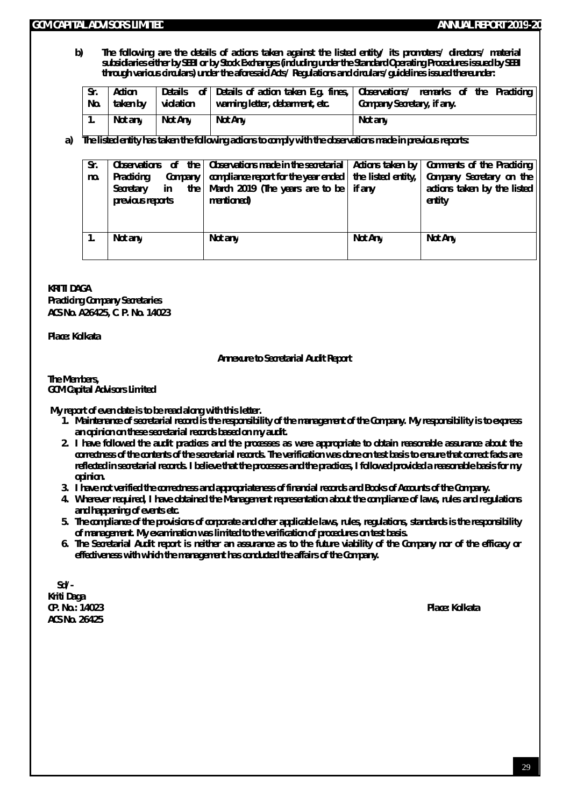#### **GCM CAPITAL ADVISORS LIMITED AND LOCAL CONSUMING A REPORT 2019-20**

**b) The following are the details of actions taken against the listed entity/ its promoters/ directors/ material subsidiaries either by SEBI or by Stock Exchanges (including under the Standard Operating Procedures issued by SEBI through various circulars) under the aforesaid Acts/ Regulations and circulars/guidelines issued thereunder:**

| Sr. | No. | <b>Action</b><br>taken by | violation | warning letter, debarment, etc. | Details of Details of action taken E.q. fines, Observations/ remarks of the Practicing<br>Company Secretary, if any. |
|-----|-----|---------------------------|-----------|---------------------------------|----------------------------------------------------------------------------------------------------------------------|
|     |     | Not any                   | Not Any   | Not Any                         | Not any                                                                                                              |

**a) The listed entity has taken the following actions to comply with the observations made in previous reports:**

| Sr.<br>no. | the<br><b>Observations</b><br>0f<br><b>Practicing</b><br>Company<br>Secretary<br>in<br>the<br>previous reports | Observations made in the secretarial<br>compliance report for the year ended<br>March 2019 (The years are to be   if any<br>mentioned) | Actions taken by<br>the listed entity, | <b>Comments of the Practicing</b><br>Company Secretary on the<br>actions taken by the listed<br>entity |
|------------|----------------------------------------------------------------------------------------------------------------|----------------------------------------------------------------------------------------------------------------------------------------|----------------------------------------|--------------------------------------------------------------------------------------------------------|
|            | Not any                                                                                                        | Not any                                                                                                                                | Not Any                                | Not Any                                                                                                |

#### **KRITI DAGA**

**Practicing Company Secretaries ACS No. A26425, C. P. No. 14023**

**Place: Kolkata**

#### **Annexure to Secretarial Audit Report**

#### **The Members, GCM Capital Advisors Limited**

**My report of even date is to be read along with this letter.**

- **1. Maintenance of secretarial record is the responsibility of the management of the Company. My responsibility is to express an opinion on these secretarial records based on my audit.**
- **2. I have followed the audit practices and the processes as were appropriate to obtain reasonable assurance about the correctness of the contents of the secretarial records. The verification was done on test basis to ensure that correct facts are reflected in secretarial records. I believe that the processes and the practices, I followed provided a reasonable basis for my opinion.**
- **3. I have not verified the correctness and appropriateness of financial records and Books of Accounts of the Company.**
- **4. Wherever required, I have obtained the Management representation about the compliance of laws, rules and regulations and happening of events etc.**
- **5. The compliance of the provisions of corporate and other applicable laws, rules, regulations, standards is the responsibility of management. My examination was limited to the verification of procedures on test basis.**
- **6. The Secretarial Audit report is neither an assurance as to the future viability of the Company nor of the efficacy or effectiveness with which the management has conducted the affairs of the Company.**

 **Sd/- Kriti Daga**

**ACS No. 26425**

**CP. No.: 14023 Place: Kolkata**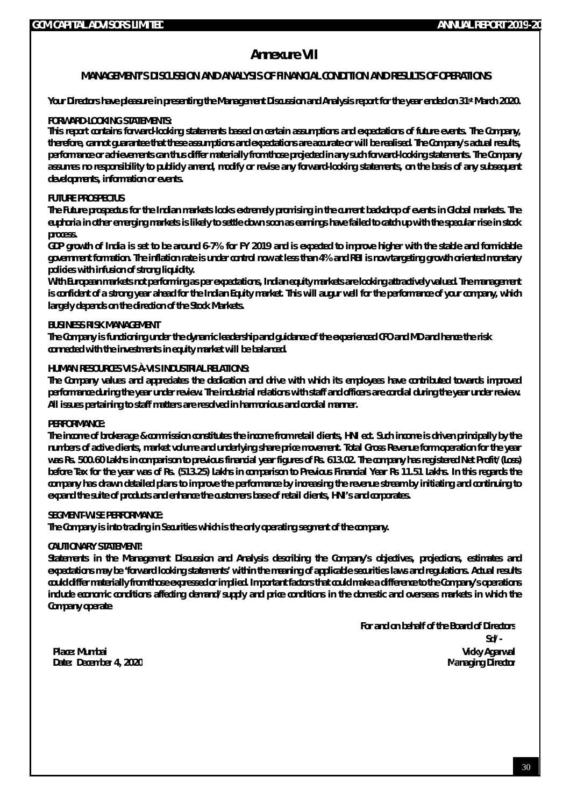# **Annexure VII**

#### **MANAGEMENT'S DISCUSSION AND ANALYSIS OF FINANCIAL CONDITION AND RESULTS OF OPERATIONS**

**Your Directors have pleasure in presenting the Management Discussion and Analysis report for the year ended on 31st March 2020.**

#### **FORWARD-LOOKING STATEMENTS:**

**This report contains forward-looking statements based on certain assumptions and expectations of future events. The Company, therefore, cannot guarantee that these assumptions and expectations are accurate or will be realised. The Company's actual results, performance or achievements can thus differ materially from those projected in any such forward-looking statements. The Company assumes no responsibility to publicly amend, modify or revise any forward-looking statements, on the basis of any subsequent developments, information or events.**

#### **FUTURE PROSPECTUS**

**The Future prospectus for the Indian markets looks extremely promising in the current backdrop of events in Global markets. The euphoria in other emerging markets is likely to settle down soon as earnings have failed to catch up with the specular rise in stock process.**

**GDP growth of India is set to be around 6-7% for FY 2019 and is expected to improve higher with the stable and formidable government formation. The inflation rate is under control now at less than 4% and RBI is now targeting growth oriented monetary policies with infusion of strong liquidity.**

With European markets not performing as per expectations, Indian equity markets are looking attractively valued. The management **is confident of a strong year ahead for the Indian Equity market. This will augur well for the performance of your company, which largely depends on the direction of the Stock Markets.**

#### **BUSINESS RISK MANAGEMENT**

**The Company is functioning under the dynamic leadership and guidance of the experienced CFO and MD and hence the risk connected with the investments in equity market will be balanced.**

#### **HUMAN RESOURCES VIS-À-VIS INDUSTRIAL RELATIONS:**

**The Company values and appreciates the dedication and drive with which its employees have contributed towards improved performance during the year under review. The industrial relations with staff and officers are cordial during the year under review. All issues pertaining to staff matters are resolved in harmonious and cordial manner.**

#### **PERFORMANCE:**

**The income of brokerage & commission constitutes the income from retail clients, HNI ect. Such income is driven principally by the numbers of active clients, market volume and underlying share price movement. Total Gross Revenue form operation for the year was Rs. 500.60 Lakhs in comparison to previous financial year figures of Rs. 613.02. The company has registered Net Profit/(Loss) before Tax for the year was of Rs. (513.25) Lakhs in comparison to Previous Financial Year Rs 11.51 Lakhs. In this regards the company has drawn detailed plans to improve the performance by increasing the revenue stream by initiating and continuing to expand the suite of products and enhance the customers base of retail clients, HNI's and corporates.**

#### **SEGMENT-WISE PERFORMANCE:**

**The Company is into trading in Securities which is the only operating segment of the company.**

#### **CAUTIONARY STATEMENT:**

**Statements in the Management Discussion and Analysis describing the Company's objectives, projections, estimates and expectations may be 'forward looking statements' within the meaning of applicable securities laws and regulations. Actual results could differ materially from those expressed or implied. Important factors that could make a difference to the Company's operations include economic conditions affecting demand/supply and price conditions in the domestic and overseas markets in which the Company operate**

**For and on behalf of the Board of Directors Sd/- Place: Mumbai Vicky Agarwal**

**Date: December 4, 2020 Managing Director**

30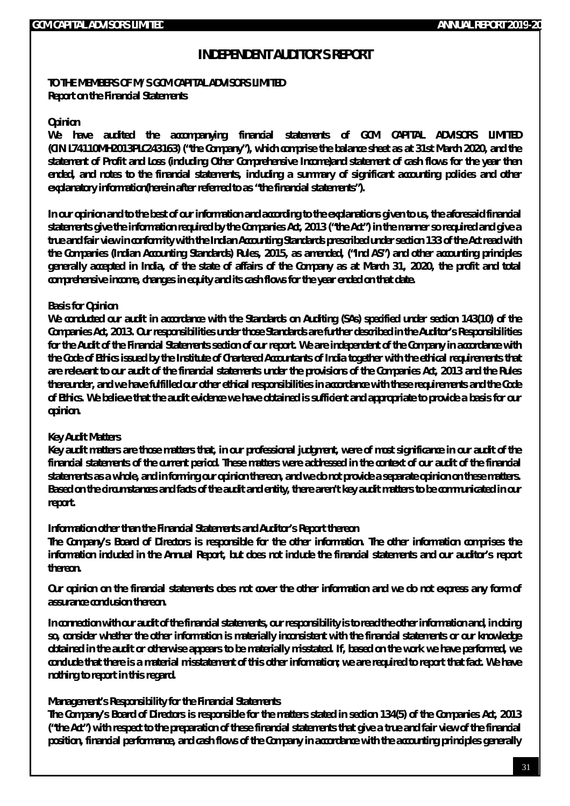# **INDEPENDENT AUDITOR'S REPORT**

#### **TO THE MEMBERS OF M/S GCM CAPITAL ADVISORS LIMITED Report on the Financial Statements**

#### **Opinion**

**We have audited the accompanying financial statements of GCM CAPITAL ADVISORS LIMITED (CIN L74110MH2013PLC243163) ("the Company"), which comprise the balance sheet as at 31st March 2020, and the statement of Profit and Loss (including Other Comprehensive Income)and statement of cash flows for the year then ended, and notes to the financial statements, including a summary of significant accounting policies and other explanatory information(herein after referred to as "the financial statements").**

**In our opinion and to the best of our information and according to the explanations given to us, the aforesaid financial statements give the information required by the Companies Act, 2013 ("the Act") in the manner so required and give a true and fair view in conformity with the Indian Accounting Standards prescribed under section 133 of the Act read with the Companies (Indian Accounting Standards) Rules, 2015, as amended, ("Ind AS") and other accounting principles generally accepted in India, of the state of affairs of the Company as at March 31, 2020, the profit and total comprehensive income, changes in equity and its cash flows for the year ended on that date.** 

#### **Basis for Opinion**

**We conducted our audit in accordance with the Standards on Auditing (SAs) specified under section 143(10) of the Companies Act, 2013. Our responsibilities under those Standards are further described in the Auditor's Responsibilities for the Audit of the Financial Statements section of our report. We are independent of the Company in accordance with the Code of Ethics issued by the Institute of Chartered Accountants of India together with the ethical requirements that are relevant to our audit of the financial statements under the provisions of the Companies Act, 2013 and the Rules thereunder, and we have fulfilled our other ethical responsibilities in accordance with these requirements and the Code of Ethics. We believe that the audit evidence we have obtained is sufficient and appropriate to provide a basis for our opinion.**

#### **Key Audit Matters**

**Key audit matters are those matters that, in our professional judgment, were of most significance in our audit of the financial statements of the current period. These matters were addressed in the context of our audit of the financial statements as a whole, and in forming our opinion thereon, and we do not provide a separate opinion on these matters. Based on the circumstances and facts of the audit and entity, there aren't key audit matters to be communicated in our report.**

#### **Information other than the Financial Statements and Auditor's Report thereon**

**The Company's Board of Directors is responsible for the other information. The other information comprises the information included in the Annual Report, but does not include the financial statements and our auditor's report thereon.**

**Our opinion on the financial statements does not cover the other information and we do not express any form of assurance conclusion thereon.**

**In connection with our audit of the financial statements, our responsibility is to read the other information and, in doing so, consider whether the other information is materially inconsistent with the financial statements or our knowledge obtained in the audit or otherwise appears to be materially misstated. If, based on the work we have performed, we conclude that there is a material misstatement of this other information; we are required to report that fact. We have nothing to report in this regard.**

#### **Management's Responsibility for the Financial Statements**

**The Company's Board of Directors is responsible for the matters stated in section 134(5) of the Companies Act, 2013 ("the Act") with respect to the preparation of these financial statements that give a true and fair view of the financial position, financial performance, and cash flows of the Company in accordance with the accounting principles generally**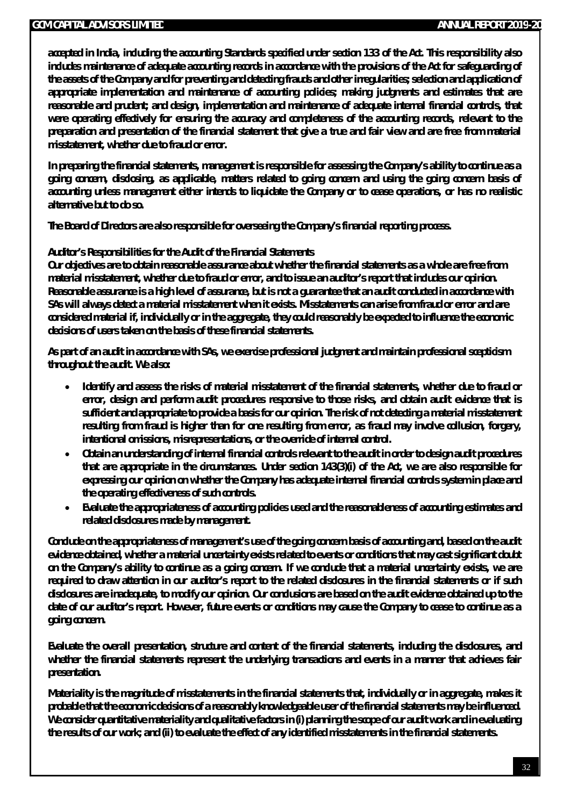#### **GCM CAPITAL ADVISORS LIMITED AND LOCAL CONSUMING A REPORT 2019-20**

**accepted in India, including the accounting Standards specified under section 133 of the Act. This responsibility also includes maintenance of adequate accounting records in accordance with the provisions of the Act for safeguarding of the assets of the Company and for preventing and detecting frauds and other irregularities; selection and application of appropriate implementation and maintenance of accounting policies; making judgments and estimates that are reasonable and prudent; and design, implementation and maintenance of adequate internal financial controls, that were operating effectively for ensuring the accuracy and completeness of the accounting records, relevant to the preparation and presentation of the financial statement that give a true and fair view and are free from material misstatement, whether due to fraud or error.**

**In preparing the financial statements, management is responsible for assessing the Company's ability to continue as a going concern, disclosing, as applicable, matters related to going concern and using the going concern basis of accounting unless management either intends to liquidate the Company or to cease operations, or has no realistic alternative but to do so.**

**The Board of Directors are also responsible for overseeing the Company's financial reporting process.**

#### **Auditor's Responsibilities for the Audit of the Financial Statements**

**Our objectives are to obtain reasonable assurance about whether the financial statements as a whole are free from material misstatement, whether due to fraud or error, and to issue an auditor's report that includes our opinion. Reasonable assurance is a high level of assurance, but is not a guarantee that an audit conducted in accordance with SAs will always detect a material misstatement when it exists. Misstatements can arise from fraud or error and are considered material if, individually or in the aggregate, they could reasonably be expected to influence the economic decisions of users taken on the basis of these financial statements.**

**As part of an audit in accordance with SAs, we exercise professional judgment and maintain professional scepticism throughout the audit. We also:**

- **Identify and assess the risks of material misstatement of the financial statements, whether due to fraud or error, design and perform audit procedures responsive to those risks, and obtain audit evidence that is sufficient and appropriate to provide a basis for our opinion. The risk of not detecting a material misstatement resulting from fraud is higher than for one resulting from error, as fraud may involve collusion, forgery, intentional omissions, misrepresentations, or the override of internal control.**
- **Obtain an understanding of internal financial controls relevant to the audit in order to design audit procedures that are appropriate in the circumstances. Under section 143(3)(i) of the Act, we are also responsible for expressing our opinion on whether the Company has adequate internal financial controls system in place and the operating effectiveness of such controls.**
- **Evaluate the appropriateness of accounting policies used and the reasonableness of accounting estimates and related disclosures made by management.**

**Conclude on the appropriateness of management's use of the going concern basis of accounting and, based on the audit evidence obtained, whether a material uncertainty exists related to events or conditions that may cast significant doubt on the Company's ability to continue as a going concern. If we conclude that a material uncertainty exists, we are required to draw attention in our auditor's report to the related disclosures in the financial statements or if such disclosures are inadequate, to modify our opinion. Our conclusions are based on the audit evidence obtained up to the date of our auditor's report. However, future events or conditions may cause the Company to cease to continue as a going concern.**

**Evaluate the overall presentation, structure and content of the financial statements, including the disclosures, and whether the financial statements represent the underlying transactions and events in a manner that achieves fair presentation.**

**Materiality is the magnitude of misstatements in the financial statements that, individually or in aggregate, makes it probable that the economic decisions of a reasonably knowledgeable user of the financial statements may be influenced. We consider quantitative materiality and qualitative factors in (i) planning the scope of our audit work and in evaluating the results of our work; and (ii) to evaluate the effect of any identified misstatements in the financial statements.**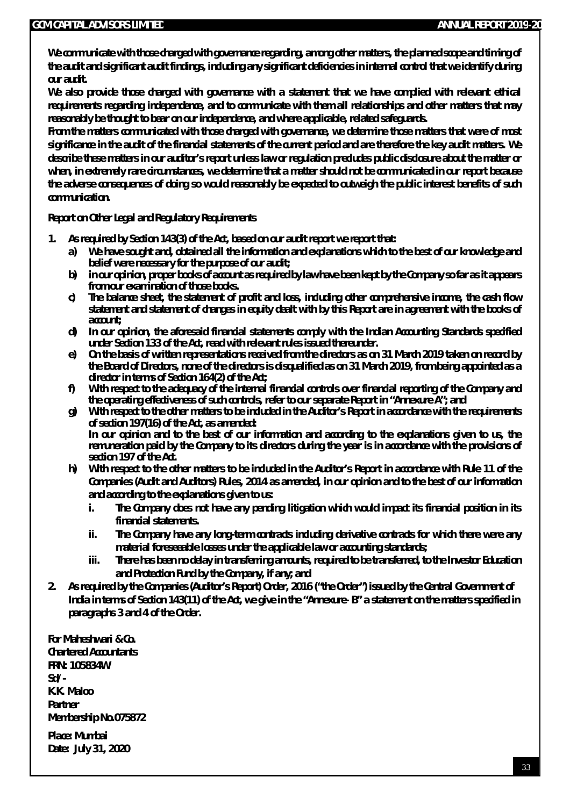**We communicate with those charged with governance regarding, among other matters, the planned scope and timing of the audit and significant audit findings, including any significant deficiencies in internal control that we identify during our audit.**

**We also provide those charged with governance with a statement that we have complied with relevant ethical requirements regarding independence, and to communicate with them all relationships and other matters that may reasonably be thought to bear on our independence, and where applicable, related safeguards.**

**From the matters communicated with those charged with governance, we determine those matters that were of most significance in the audit of the financial statements of the current period and are therefore the key audit matters. We describe these matters in our auditor's report unless law or regulation precludes public disclosure about the matter or when, in extremely rare circumstances, we determine that a matter should not be communicated in our report because the adverse consequences of doing so would reasonably be expected to outweigh the public interest benefits of such communication.**

#### **Report on Other Legal and Regulatory Requirements**

- **1. As required by Section 143(3) of the Act, based on our audit report we report that:**
	- **a) We have sought and, obtained all the information and explanations which to the best of our knowledge and belief were necessary for the purpose of our audit;**
	- **b) in our opinion, proper books of account as required by law have been kept by the Company so far as it appears from our examination of those books.**
	- **c) The balance sheet, the statement of profit and loss, including other comprehensive income, the cash flow statement and statement of changes in equity dealt with by this Report are in agreement with the books of account;**
	- **d) In our opinion, the aforesaid financial statements comply with the Indian Accounting Standards specified under Section 133 of the Act, read with relevant rules issued thereunder.**
	- **e) On the basis of written representations received from the directors as on 31 March 2019 taken on record by the Board of Directors, none of the directors is disqualified as on 31 March 2019, from being appointed as a director in terms of Section 164(2) of the Act;**
	- **f) With respect to the adequacy of the internal financial controls over financial reporting of the Company and the operating effectiveness of such controls, refer to our separate Report in "Annexure A"; and**
	- **g) With respect to the other matters to be included in the Auditor's Report in accordance with the requirements of section 197(16) of the Act, as amended: In our opinion and to the best of our information and according to the explanations given to us, the remuneration paid by the Company to its directors during the year is in accordance with the provisions of section 197 of the Act.**
	- **h) With respect to the other matters to be included in the Auditor's Report in accordance with Rule 11 of the Companies (Audit and Auditors) Rules, 2014 as amended, in our opinion and to the best of our information and according to the explanations given to us:**
		- **i. The Company does not have any pending litigation which would impact its financial position in its financial statements.**
		- **ii. The Company have any long-term contracts including derivative contracts for which there were any material foreseeable losses under the applicable law or accounting standards;**
		- **iii. There has been no delay in transferring amounts, required to be transferred, to the Investor Education and Protection Fund by the Company, if any; and**
- **2. As required by the Companies (Auditor's Report) Order, 2016 ("the Order") issued by the Central Government of India in terms of Section 143(11) of the Act, we give in the "Annexure- B" a statement on the matters specified in paragraphs 3 and 4 of the Order.**

# **For Maheshwari & Co. Chartered Accountants FRN: 105834W Sd/- K.K. Maloo Partner Membership No.075872 Place: Mumbai**

**Date: July 31, 2020**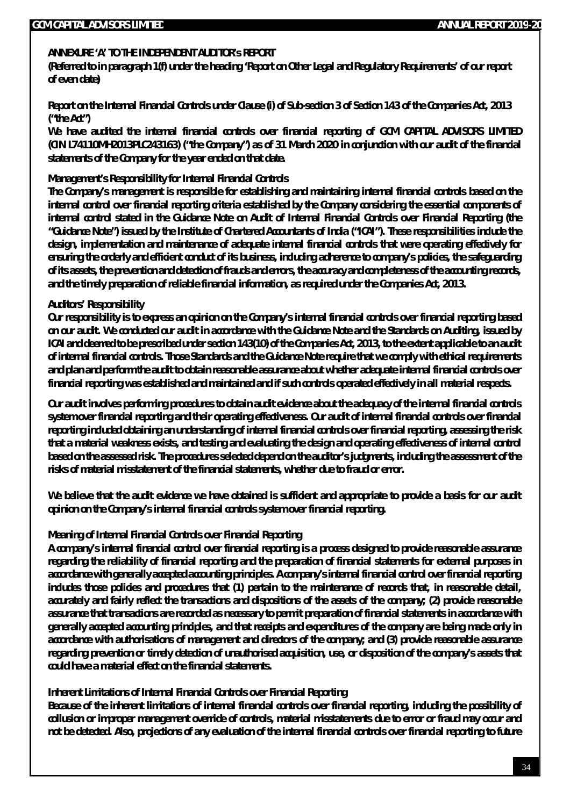## **ANNEXURE 'A' TO THE INDEPENDENT AUDITOR's REPORT**

**(Referred to in paragraph 1(f) under the heading 'Report on Other Legal and Regulatory Requirements' of our report of even date)**

### **Report on the Internal Financial Controls under Clause (i) of Sub-section 3 of Section 143 of the Companies Act, 2013 ("the Act")**

**We have audited the internal financial controls over financial reporting of GCM CAPITAL ADVISORS LIMITED (CIN L74110MH2013PLC243163) ("the Company") as of 31 March 2020 in conjunction with our audit of the financial statements of the Company for the year ended on that date.**

#### **Management's Responsibility for Internal Financial Controls**

**The Company's management is responsible for establishing and maintaining internal financial controls based on the internal control over financial reporting criteria established by the Company considering the essential components of internal control stated in the Guidance Note on Audit of Internal Financial Controls over Financial Reporting (the "Guidance Note") issued by the Institute of Chartered Accountants of India ("ICAI"). These responsibilities include the design, implementation and maintenance of adequate internal financial controls that were operating effectively for ensuring the orderly and efficient conduct of its business, including adherence to company's policies, the safeguarding of its assets, the prevention and detection of frauds and errors, the accuracy and completeness of the accounting records, and the timely preparation of reliable financial information, as required under the Companies Act, 2013.**

#### **Auditors' Responsibility**

**Our responsibility is to express an opinion on the Company's internal financial controls over financial reporting based on our audit. We conducted our audit in accordance with the Guidance Note and the Standards on Auditing, issued by ICAI and deemed to be prescribed under section 143(10) of the Companies Act, 2013, to the extent applicable to an audit of internal financial controls. Those Standards and the Guidance Note require that we comply with ethical requirements and plan and perform the audit to obtain reasonable assurance about whether adequate internal financial controls over financial reporting was established and maintained and if such controls operated effectively in all material respects.**

**Our audit involves performing procedures to obtain audit evidence about the adequacy of the internal financial controls system over financial reporting and their operating effectiveness. Our audit of internal financial controls over financial reporting included obtaining an understanding of internal financial controls over financial reporting, assessing the risk that a material weakness exists, and testing and evaluating the design and operating effectiveness of internal control based on the assessed risk. The procedures selected depend on the auditor's judgments, including the assessment of the risks of material misstatement of the financial statements, whether due to fraud or error.**

**We believe that the audit evidence we have obtained is sufficient and appropriate to provide a basis for our audit opinion on the Company's internal financial controls system over financial reporting.**

#### **Meaning of Internal Financial Controls over Financial Reporting**

**A company's internal financial control over financial reporting is a process designed to provide reasonable assurance regarding the reliability of financial reporting and the preparation of financial statements for external purposes in accordance with generally accepted accounting principles. A company's internal financial control over financial reporting includes those policies and procedures that (1) pertain to the maintenance of records that, in reasonable detail, accurately and fairly reflect the transactions and dispositions of the assets of the company; (2) provide reasonable assurance that transactions are recorded as necessary to permit preparation of financial statements in accordance with generally accepted accounting principles, and that receipts and expenditures of the company are being made only in accordance with authorisations of management and directors of the company; and (3) provide reasonable assurance regarding prevention or timely detection of unauthorised acquisition, use, or disposition of the company's assets that could have a material effect on the financial statements.**

#### **Inherent Limitations of Internal Financial Controls over Financial Reporting**

**Because of the inherent limitations of internal financial controls over financial reporting, including the possibility of collusion or improper management override of controls, material misstatements due to error or fraud may occur and not be detected. Also, projections of any evaluation of the internal financial controls over financial reporting to future**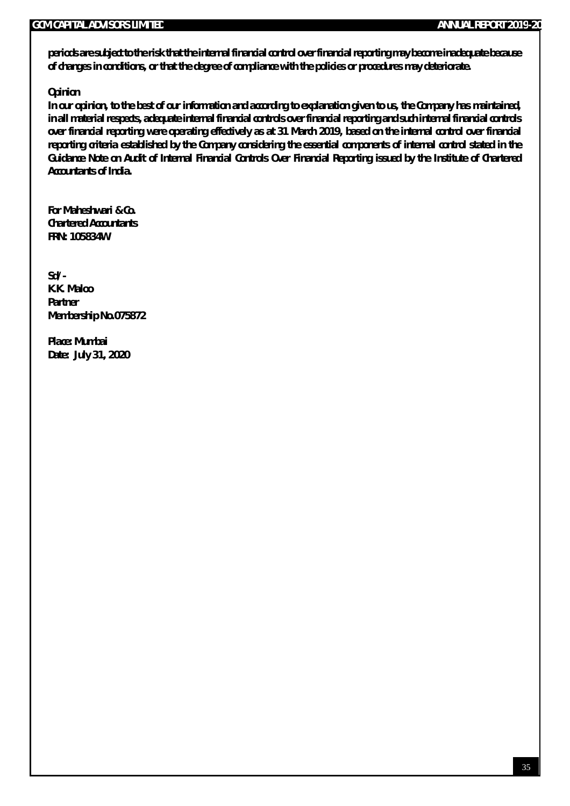**periods are subject to the risk that the internal financial control over financial reporting may become inadequate because of changes in conditions, or that the degree of compliance with the policies or procedures may deteriorate.**

#### **Opinion**

**In our opinion, to the best of our information and according to explanation given to us, the Company has maintained, in all material respects, adequate internal financial controls over financial reporting and such internal financial controls over financial reporting were operating effectively as at 31 March 2019, based on the internal control over financial reporting criteria established by the Company considering the essential components of internal control stated in the Guidance Note on Audit of Internal Financial Controls Over Financial Reporting issued by the Institute of Chartered Accountants of India.**

**For Maheshwari & Co. Chartered Accountants FRN: 105834W**

**Sd/- K.K. Maloo Partner Membership No.075872**

**Place: Mumbai Date: July 31, 2020**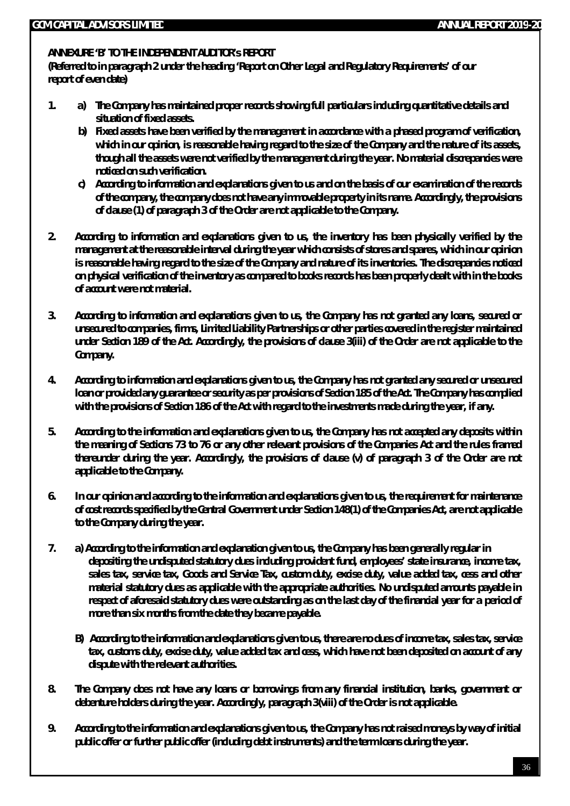# **ANNEXURE 'B' TO THE INDEPENDENT AUDITOR's REPORT**

# **(Referred to in paragraph 2 under the heading 'Report on Other Legal and Regulatory Requirements' of our report of even date)**

- **1. a) The Company has maintained proper records showing full particulars including quantitative details and situation of fixed assets.**
	- **b) Fixed assets have been verified by the management in accordance with a phased program of verification, which in our opinion, is reasonable having regard to the size of the Company and the nature of its assets, though all the assets were not verified by the management during the year. No material discrepancies were noticed on such verification.**
	- **c) According to information and explanations given to us and on the basis of our examination of the records of the company, the company does not have any immovable property in its name. Accordingly, the provisions of clause (1) of paragraph 3 of the Order are not applicable to the Company.**
- **2. According to information and explanations given to us, the inventory has been physically verified by the management at the reasonable interval during the year which consists of stores and spares, which in our opinion is reasonable having regard to the size of the Company and nature of its inventories. The discrepancies noticed on physical verification of the inventory as compared to books records has been properly dealt with in the books of account were not material.**
- **3. According to information and explanations given to us, the Company has not granted any loans, secured or unsecured to companies, firms, Limited Liability Partnerships or other parties covered in the register maintained under Section 189 of the Act. Accordingly, the provisions of clause 3(iii) of the Order are not applicable to the Company.**
- **4. According to information and explanations given to us, the Company has not granted any secured or unsecured loan or provided any guarantee or security as per provisions of Section 185 of the Act. The Company has complied with the provisions of Section 186 of the Act with regard to the investments made during the year, if any.**
- **5. According to the information and explanations given to us, the Company has not accepted any deposits within the meaning of Sections 73 to 76 or any other relevant provisions of the Companies Act and the rules framed thereunder during the year. Accordingly, the provisions of clause (v) of paragraph 3 of the Order are not applicable to the Company.**
- **6. In our opinion and according to the information and explanations given to us, the requirement for maintenance of cost records specified by the Central Government under Section 148(1) of the Companies Act, are not applicable to the Company during the year.**
- **7. a) According to the information and explanation given to us, the Company has been generally regular in depositing the undisputed statutory dues including provident fund, employees' state insurance, income tax, sales tax, service tax, Goods and Service Tax, custom duty, excise duty, value added tax, cess and other material statutory dues as applicable with the appropriate authorities. No undisputed amounts payable in respect of aforesaid statutory dues were outstanding as on the last day of the financial year for a period of more than six months from the date they became payable.**
	- **B) According to the information and explanations given to us, there are no dues of income tax, sales tax, service tax, customs duty, excise duty, value added tax and cess, which have not been deposited on account of any dispute with the relevant authorities.**
- **8. The Company does not have any loans or borrowings from any financial institution, banks, government or debenture holders during the year. Accordingly, paragraph 3(viii) of the Order is not applicable.**
- **9. According to the information and explanations given to us, the Company has not raised moneys by way of initial public offer or further public offer (including debt instruments) and the term loans during the year.**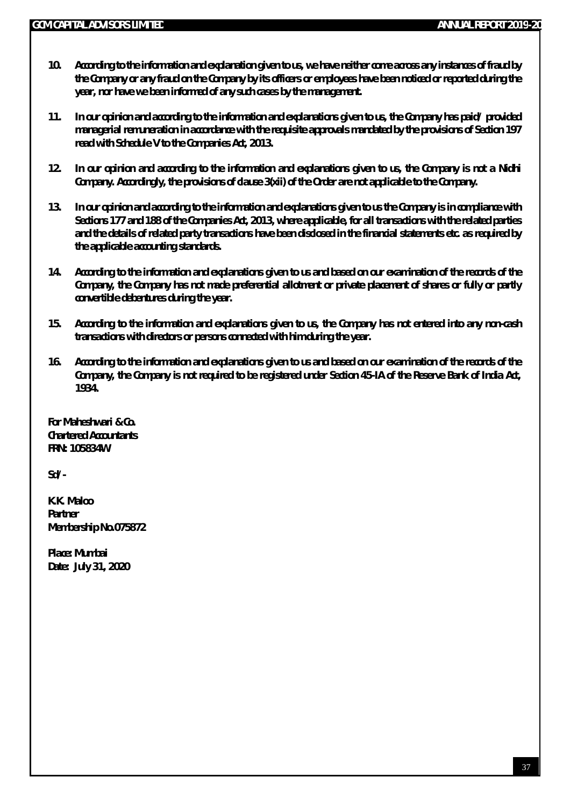- **10. According to the information and explanation given to us, we have neither come across any instances of fraud by the Company or any fraud on the Company by its officers or employees have been noticed or reported during the year, nor have we been informed of any such cases by the management.**
- **11. In our opinion and according to the information and explanations given to us, the Company has paid/ provided managerial remuneration in accordance with the requisite approvals mandated by the provisions of Section 197 read with Schedule V to the Companies Act, 2013.**
- **12. In our opinion and according to the information and explanations given to us, the Company is not a Nidhi Company. Accordingly, the provisions of clause 3(xii) of the Order are not applicable to the Company.**
- **13. In our opinion and according to the information and explanations given to us the Company is in compliance with Sections 177 and 188 of the Companies Act, 2013, where applicable, for all transactions with the related parties and the details of related party transactions have been disclosed in the financial statements etc. as required by the applicable accounting standards.**
- **14. According to the information and explanations given to us and based on our examination of the records of the Company, the Company has not made preferential allotment or private placement of shares or fully or partly convertible debentures during the year.**
- **15. According to the information and explanations given to us, the Company has not entered into any non-cash transactions with directors or persons connected with him during the year.**
- **16. According to the information and explanations given to us and based on our examination of the records of the Company, the Company is not required to be registered under Section 45-IA of the Reserve Bank of India Act, 1934.**

**For Maheshwari & Co. Chartered Accountants FRN: 105834W**

**Sd/-**

**K.K. Maloo Partner Membership No.075872**

**Place: Mumbai Date: July 31, 2020**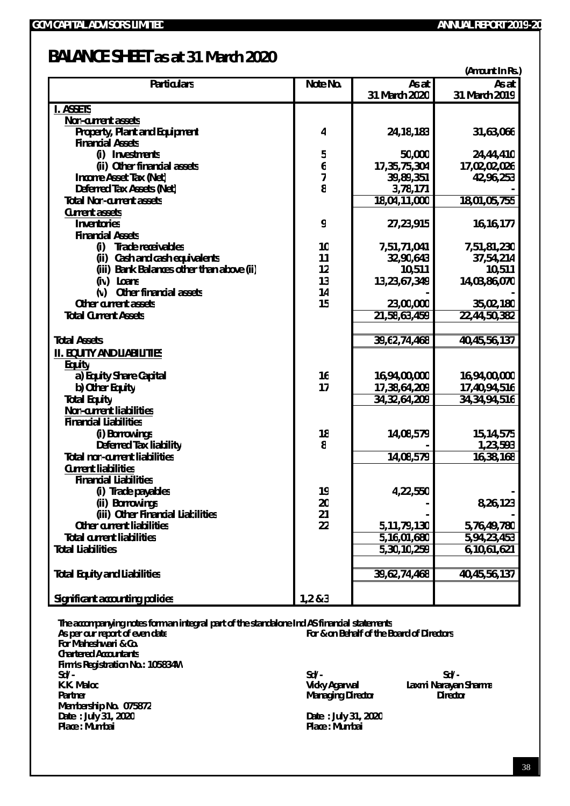# **BALANCE SHEET as at 31 March 2020**

| (Amount In Rs.)                           |                                       |                 |                 |  |  |
|-------------------------------------------|---------------------------------------|-----------------|-----------------|--|--|
| <b>Particulars</b>                        | Note No.                              | As at           | As at           |  |  |
|                                           |                                       | 31 March 2020   | 31 March 2019   |  |  |
| I. ASSETS                                 |                                       |                 |                 |  |  |
| <b>Non-current assets</b>                 |                                       |                 |                 |  |  |
| Property, Plant and Equipment             | 4                                     | 24, 18, 183     | 31,63,066       |  |  |
| <b>Financial Assets</b>                   |                                       |                 |                 |  |  |
| (i) Investments                           | 5                                     | 50,000          | 24,44,410       |  |  |
| (ii) Other financial assets               | $\begin{array}{c} 6 \\ 7 \end{array}$ | 17, 35, 75, 304 | 17,02,02,026    |  |  |
| Income Asset Tax (Net)                    |                                       | 39,89,351       | 42,96,253       |  |  |
| Deferred Tax Assets (Net)                 | 8                                     | 3,78,171        |                 |  |  |
| <b>Total Non-current assets</b>           |                                       | 18,04,11,000    | 18,01,05,755    |  |  |
| <b>Current assets</b>                     |                                       |                 |                 |  |  |
| Inventories                               | 9                                     | 27,23,915       | 16, 16, 177     |  |  |
| <b>Financial Assets</b>                   |                                       |                 |                 |  |  |
| Trade receivables<br>(i)                  | 10                                    | 7,51,71,041     | 7,51,81,230     |  |  |
| (ii) Cash and cash equivalents            | 11                                    | 32,90,643       | 37,54,214       |  |  |
| (iii) Bank Balances other than above (ii) | 12                                    | 10,511          | 10,511          |  |  |
| Loans<br>(iv)                             | 13                                    | 13,23,67,349    | 14,03,86,070    |  |  |
| Other financial assets<br>(v)             | 14                                    |                 |                 |  |  |
| Other current assets                      | 15                                    | 23,00,000       | 35,02,180       |  |  |
| <b>Total Current Assets</b>               |                                       | 21,58,63,459    | 22,44,50,382    |  |  |
|                                           |                                       |                 |                 |  |  |
| <b>Total Assets</b>                       |                                       | 39,62,74,468    | 40,45,56,137    |  |  |
| <b>II. EQUITY AND LIABILITIES</b>         |                                       |                 |                 |  |  |
| <b>Equity</b>                             |                                       |                 |                 |  |  |
| a) Equity Share Capital                   | 16                                    | 16,94,00,000    | 16,94,00,000    |  |  |
| b) Other Equity                           | 17                                    | 17,38,64,209    | 17,40,94,516    |  |  |
| <b>Total Equity</b>                       |                                       | 34, 32, 64, 209 | 34, 34, 94, 516 |  |  |
| <b>Non-current liabilities</b>            |                                       |                 |                 |  |  |
| <b>Financial Liabilities</b>              |                                       |                 |                 |  |  |
| (i) Borrowings                            | 18                                    | 14,08,579       | 15, 14, 575     |  |  |
| Deferred Tax liability                    | 8                                     |                 | 1,23,593        |  |  |
| <b>Total non-current liabilities</b>      |                                       | 14,08,579       | 16,38,168       |  |  |
| <b>Current liabilities</b>                |                                       |                 |                 |  |  |
| <b>Financial Liabilities</b>              |                                       |                 |                 |  |  |
| (i) Trade payables                        | 19                                    | 4,22,550        |                 |  |  |
| (ii) Borrowings                           | 20                                    |                 | 8,26,123        |  |  |
| (iii) Other Financial Liabilities         | 21                                    |                 |                 |  |  |
| Other current liabilities                 | 22                                    | 5, 11, 79, 130  | 5,76,49,780     |  |  |
| <b>Total current liabilities</b>          |                                       | 5,16,01,680     | 5,94,23,453     |  |  |
| <b>Total Liabilities</b>                  |                                       | 5,30,10,259     | 6,10,61,621     |  |  |
|                                           |                                       |                 |                 |  |  |
| <b>Total Equity and Liabilities</b>       |                                       | 39,62,74,468    | 40,45,56,137    |  |  |
|                                           |                                       |                 |                 |  |  |
| Significant accounting policies           | 1,2 & 3                               |                 |                 |  |  |

**The accompanying notes form an integral part of the standalone Ind AS financial statements As per our report of even date For & on Behalf of the Board of Directors For Maheshwari & Co. Chartered Accountants**

**Firm's Registration No.: 105834W Sd/- Sd/- Sd/- K.K. Maloo Vicky Agarwal Laxmi Narayan Sharma**

**Membership No. 075872 Date : July 31, 2020 Date : July 31, 2020 Place : Mumbai Place : Mumbai**

**Partner Wicky Agarwal**<br> **Managing Director**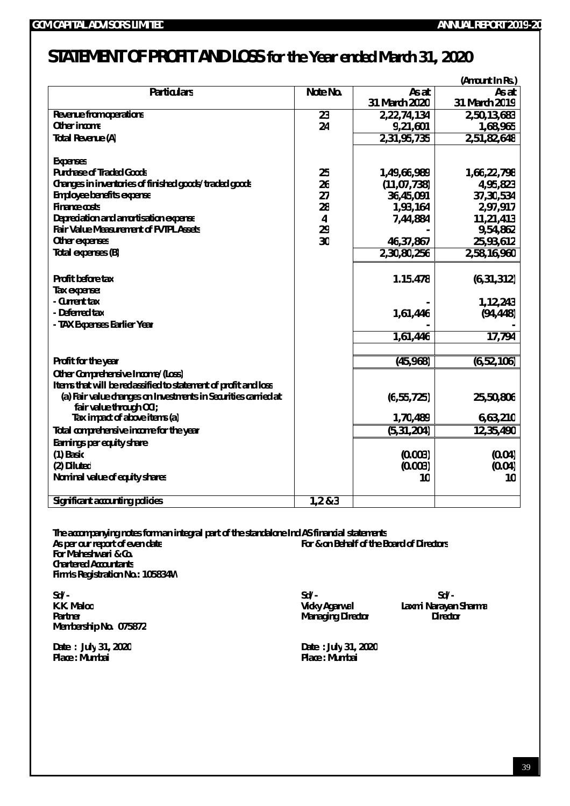# **STATEMENT OF PROFIT AND LOSS for the Year ended March 31, 2020**

| (Amount In Rs.)                                                 |                 |               |               |  |  |
|-----------------------------------------------------------------|-----------------|---------------|---------------|--|--|
| <b>Particulars</b>                                              | Note No.        | As at         | As at         |  |  |
|                                                                 |                 | 31 March 2020 | 31 March 2019 |  |  |
| Revenue from operations                                         | $\overline{23}$ | 2,22,74,134   | 2,50,13,683   |  |  |
| Other income                                                    | 24              | 9,21,601      | 1,68,965      |  |  |
| <b>Total Revenue (A)</b>                                        |                 | 2,31,95,735   | 2,51,82,648   |  |  |
| <b>Expenses</b>                                                 |                 |               |               |  |  |
| <b>Purchase of Traded Goods</b>                                 | 25              | 1,49,66,989   | 1,66,22,798   |  |  |
| Changes in inventories of finished goods/traded goods           | 26              | (11, 07, 738) | 4,95,823      |  |  |
| Employee benefits expense                                       | 27              | 36,45,091     | 37, 30, 534   |  |  |
| Finance costs                                                   | 28              | 1,93,164      | 2,97,917      |  |  |
| Depreciation and amortisation expense                           | $\overline{4}$  | 7,44,884      | 11,21,413     |  |  |
| Fair Value Measurement of FVTPL Assets                          | 29              |               | 9,54,862      |  |  |
| Other expenses                                                  | 30              | 46,37,867     | 25,93,612     |  |  |
| Total expenses (B)                                              |                 | 2,30,80,256   | 2,58,16,960   |  |  |
|                                                                 |                 |               |               |  |  |
| Profit before tax                                               |                 | 1.15.478      | (6, 31, 312)  |  |  |
| Tax expense:                                                    |                 |               |               |  |  |
| - Current tax                                                   |                 |               | 1,12,243      |  |  |
| - Deferred tax                                                  |                 | 1,61,446      | (94, 448)     |  |  |
| - TAX Expenses Earlier Year                                     |                 |               |               |  |  |
|                                                                 |                 | 1,61,446      | 17,794        |  |  |
|                                                                 |                 |               |               |  |  |
| Profit for the year                                             |                 | (45, 968)     | (6, 52, 106)  |  |  |
| <b>Other Comprehensive Income/(Loss)</b>                        |                 |               |               |  |  |
| Items that will be reclassified to statement of profit and loss |                 |               |               |  |  |
| (a) Fair value changes on Investments in Securities carried at  |                 | (6, 55, 725)  | 25,50,806     |  |  |
| fair value through OCI;<br>Tax impact of above items (a)        |                 | 1,70,489      | 6,63,210      |  |  |
| Total comprehensive income for the year                         |                 | (5, 31, 204)  | 12,35,490     |  |  |
| Earnings per equity share                                       |                 |               |               |  |  |
| (1) Basic                                                       |                 | (0.003)       | (0.04)        |  |  |
| (2) Diluted                                                     |                 | (0.003)       | (0.04)        |  |  |
| Nominal value of equity shares                                  |                 | 10            | 10            |  |  |
|                                                                 |                 |               |               |  |  |
| Significant accounting policies                                 | 1,2 & 3         |               |               |  |  |

The accompanying notes form an integral part of the standalone Ind AS financial statements<br>As per our report of even date<br>**For & on Behalf of the B** For & on Behalf of the Board of Directors **For Maheshwari & Co. Chartered Accountants Firm's Registration No.: 105834W**

**Sd/- Sd/- Sd/- K.K. Maloo Vicky Agarwal Laxmi Narayan Sharma Membership No. 075872**

**Date : July 31, 2020 Date : July 31, 2020 Place : Mumbai Place : Mumbai**

**Managing Director**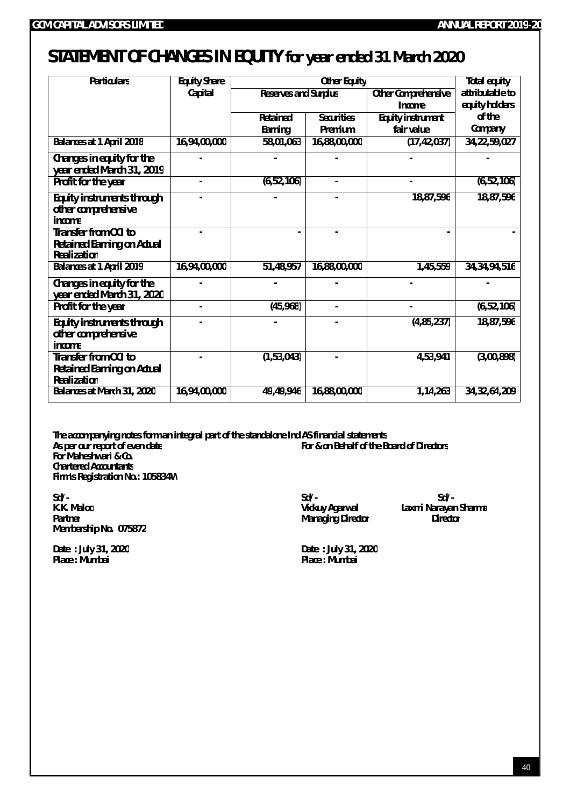# **STATEMENT OF CHANGES IN EQUITY for year ended 31 March 2020**

| <b>Particulars</b>                                                | <b>Equity Share</b>      |                             | <b>Total equity</b> |                                      |                                   |
|-------------------------------------------------------------------|--------------------------|-----------------------------|---------------------|--------------------------------------|-----------------------------------|
|                                                                   | Capital                  | <b>Reserves and Surplus</b> |                     | <b>Other Comprehensive</b><br>Income | attributable to<br>equity holders |
|                                                                   |                          | <b>Retained</b>             | <b>Securities</b>   | <b>Equity instrument</b>             | of the                            |
|                                                                   |                          | Earning                     | Premium             | fair value                           | Company                           |
| <b>Balances at 1 April 2018</b>                                   | 16,94,00,000             | 58,01,063                   | 16,88,00,000        | (17, 42, 037)                        | 34,22,59,027                      |
| Changes in equity for the<br>year ended March 31, 2019            |                          |                             |                     |                                      |                                   |
| Profit for the year                                               |                          | (6, 52, 106)                |                     |                                      | (6, 52, 106)                      |
| Equity instruments through<br>other comprehensive<br>income       |                          |                             |                     | 18,87,596                            | 18,87,596                         |
| Transfer from OCI to<br>Retained Earning on Actual<br>Realization |                          |                             |                     |                                      |                                   |
| <b>Balances at 1 April 2019</b>                                   | 16,94,00,000             | 51,48,957                   | 16,88,00,000        | 1,45,559                             | 34, 34, 94, 516                   |
| Changes in equity for the<br>year ended March 31, 2020            |                          |                             |                     |                                      |                                   |
| Profit for the year                                               | $\overline{\phantom{0}}$ | (45, 968)                   |                     |                                      | (6, 52, 106)                      |
| Equity instruments through<br>other comprehensive<br>income       |                          |                             |                     | (4,85,237)                           | 18,87,596                         |
| Transfer from OCI to<br>Retained Earning on Actual<br>Realization |                          | (1, 53, 043)                |                     | 4,53,941                             | (3,00,898)                        |
| Balances at March 31, 2020                                        | 16,94,00,000             | 49,49,946                   | 16,88,00,000        | 1,14,263                             | 34, 32, 64, 209                   |

The accompanying notes form an integral part of the standalone Ind AS financial statements<br>As per our report of even date<br>**For & on Behalf of the B For & on Behalf of the Board of Directors For Maheshwari & Co. Chartered Accountants Firm's Registration No.: 105834W**

**Sd/- Sd/- Sd/- K.K. Maloo Vickuy Agarwal Laxmi Narayan Sharma Membership No. 075872**

**Place : Mumbai Place : Mumbai**

**Managing Director** 

**Date : July 31, 2020 Date : July 31, 2020**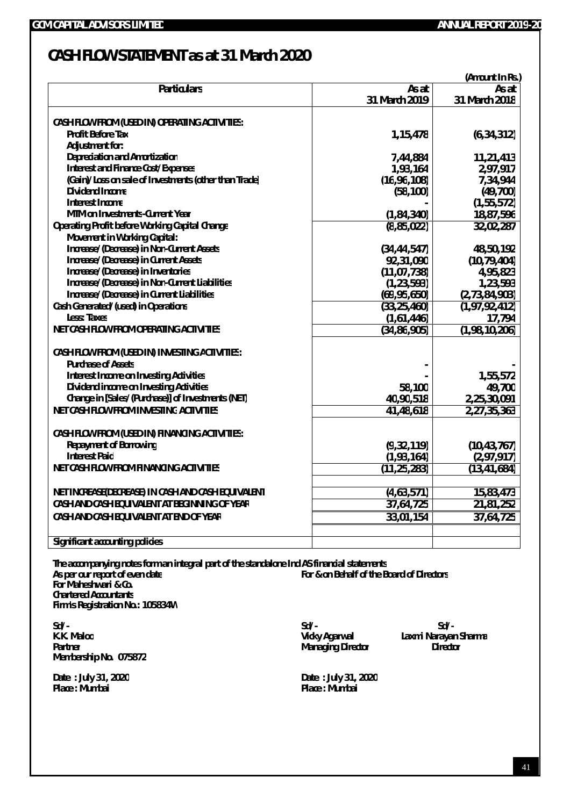# **CASH FLOW STATEMENT as at 31 March 2020**

| (Amount In Rs.)                                       |               |                  |  |  |
|-------------------------------------------------------|---------------|------------------|--|--|
| <b>Particulars</b>                                    | As at         | As at            |  |  |
|                                                       | 31 March 2019 | 31 March 2018    |  |  |
|                                                       |               |                  |  |  |
| CASH FLOW FROM (USED IN) OPERATING ACTIVITIES:        |               |                  |  |  |
| Profit Before Tax                                     | 1,15,478      | (6, 34, 312)     |  |  |
| <b>Adjustment for:</b>                                |               |                  |  |  |
| Depreciation and Amortization                         | 7,44,884      | 11,21,413        |  |  |
| Interest and Finance Cost/Expenses                    | 1,93,164      | 2,97,917         |  |  |
| (Gain)/Loss on sale of Investments (other than Trade) | (16, 96, 108) | 7,34,944         |  |  |
| Dividend Income                                       | (58, 100)     | (49,700)         |  |  |
| Interest Income                                       |               | (1, 55, 572)     |  |  |
| MTM on Investments-Current Year                       | (1, 84, 340)  | 18,87,596        |  |  |
| <b>Operating Profit before Working Capital Change</b> | (8,85,022)    | 32,02,287        |  |  |
| Movement in Working Capital:                          |               |                  |  |  |
| Increase/(Decrease) in Non-Current Assets             | (34, 44, 547) | 48,50,192        |  |  |
| Increase/(Decrease) in Current Assets                 | 92,31,090     | (10, 79, 404)    |  |  |
| Increase/(Decrease) in Inventories                    | (11, 07, 738) | 4,95,823         |  |  |
| Increase/(Decrease) in Non-Current Liabilities        | (1, 23, 593)  | 1,23,593         |  |  |
| Increase/(Decrease) in Current Liabilities            | (69, 95, 650) | (2,73,84,903)    |  |  |
| Cash Generated/(used) in Operations                   | (33, 25, 460) | (1, 97, 92, 412) |  |  |
| Less: Taxes                                           | (1,61,446)    | 17,794           |  |  |
| NET CASH FLOW FROM OPERATING ACTIVITIES               | (34, 86, 905) | (1,98,10,206)    |  |  |
|                                                       |               |                  |  |  |
| CASH FLOW FROM (USED IN) INVESTING ACTIVITIES:        |               |                  |  |  |
| <b>Purchase of Assets</b>                             |               |                  |  |  |
| Interest Income on Investing Activities               |               | 1,55,572         |  |  |
| Dividend income on Investing Activities               | 58,100        | 49,700           |  |  |
| Change in [Sales/(Purchase)] of Investments (NET)     | 40,90,518     | 2,25,30,091      |  |  |
| NET CASH FLOW FROM INVESTING ACTIVITIES               | 41,48,618     | 2,27,35,363      |  |  |
|                                                       |               |                  |  |  |
| CASH FLOW FROM (USED IN) FINANCING ACTIVITIES:        |               |                  |  |  |
| Repayment of Borrowing                                | (9,32,119)    | (10, 43, 767)    |  |  |
| <b>Interest Paid</b>                                  | (1, 93, 164)  | (2, 97, 917)     |  |  |
| NET CASH FLOW FROM FINANCING ACTIVITIES               | (11, 25, 283) | (13, 41, 684)    |  |  |
|                                                       |               |                  |  |  |
| NET INCREASE(DECREASE) IN CASH AND CASH EQUIVALENT    | (4,63,571)    | 15,83,473        |  |  |
| CASH AND CASH EQUIVALENT AT BEGINNING OF YEAR         | 37,64,725     | 21,81,252        |  |  |
| CASH AND CASH EQUIVALENT AT END OF YEAR               | 33,01,154     | 37,64,725        |  |  |
|                                                       |               |                  |  |  |
| Significant accounting policies                       |               |                  |  |  |
|                                                       |               |                  |  |  |

The accompanying notes form an integral part of the standalone Ind AS financial statements<br>As per our report of even date<br>**For & on Behalf of the Be** For & on Behalf of the Board of Directors

**For Maheshwari & Co. Chartered Accountants Firm's Registration No.: 105834W**

**Sd/- Sd/- Sd/- K.K. Maloo Vicky Agarwal Laxmi Narayan Sharma Membership No. 075872**

**Place : Mumbai Place : Mumbai**

**Partner Managing Director Director**

**Date : July 31, 2020 Date : July 31, 2020**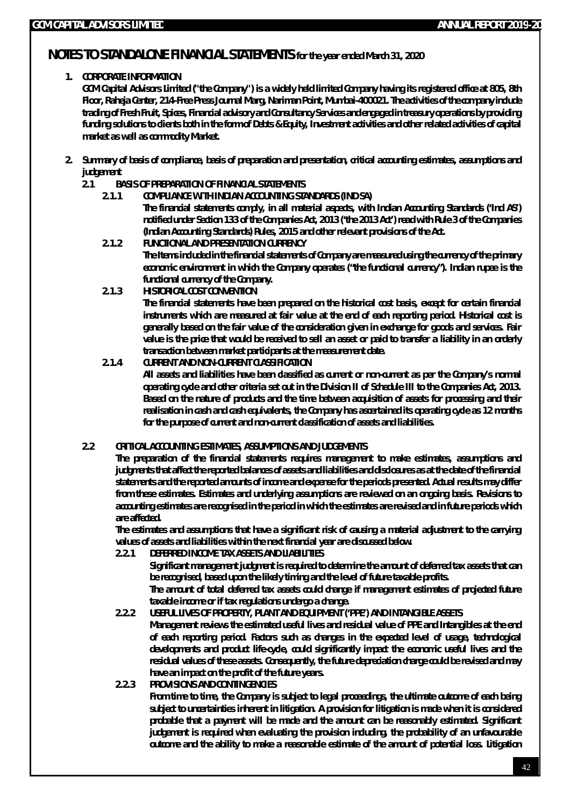# **NOTES TO STANDALONE FINANCIAL STATEMENTS for the year ended March 31, 2020**

# **1. CORPORATE INFORMATION**

**GCM Capital Advisors Limited ("the Company") is a widely held limited Company having its registered office at 805, 8th Floor, Raheja Center, 214-Free Press Journal Marg, Nariman Point, Mumbai-400021. The activities of the company include trading of Fresh Fruit, Spices, Financial advisory and Consultancy Services and engaged in treasury operations by providing funding solutions to clients both in the form of Debts & Equity, Investment activities and other related activities of capital market as well as commodity Market.**

#### **2. Summary of basis of compliance, basis of preparation and presentation, critical accounting estimates, assumptions and judgement**

#### **2.1 BASIS OF PREPARATION OF FINANCIAL STATEMENTS**

#### **2.1.1 COMPLIANCE WITH INDIAN ACCOUNTING STANDARDS (IND SA)**

**The financial statements comply, in all material aspects, with Indian Accounting Standards ('Ind AS') notified under Section 133 of the Companies Act, 2013 ('the 2013 Act') read with Rule 3 of the Companies (Indian Accounting Standards) Rules, 2015 and other relevant provisions of the Act.**

#### **2.1.2 FUNCTIONAL AND PRESENTATION CURRENCY**

**The Items included in the financial statements of Company are measured using the currency of the primary economic environment in which the Company operates ("the functional currency"). Indian rupee is the functional currency of the Company.**

#### **2.1.3 HISTORICAL COST CONVENTION**

**The financial statements have been prepared on the historical cost basis, except for certain financial instruments which are measured at fair value at the end of each reporting period. Historical cost is generally based on the fair value of the consideration given in exchange for goods and services. Fair value is the price that would be received to sell an asset or paid to transfer a liability in an orderly transaction between market participants at the measurement date.**

#### **2.1.4 CURRENT AND NON-CURRENT CLASSIFICATION**

**All assets and liabilities have been classified as current or non-current as per the Company's normal operating cycle and other criteria set out in the Division II of Schedule III to the Companies Act, 2013. Based on the nature of products and the time between acquisition of assets for processing and their realisation in cash and cash equivalents, the Company has ascertained its operating cycle as 12 months for the purpose of current and non-current classification of assets and liabilities.**

#### **2.2 CRITICAL ACCOUNTING ESTIMATES, ASSUMPTIONS AND JUDGEMENTS**

**The preparation of the financial statements requires management to make estimates, assumptions and judgments that affect the reported balances of assets and liabilities and disclosures as at the date of the financial statements and the reported amounts of income and expense for the periods presented. Actual results may differ from these estimates. Estimates and underlying assumptions are reviewed on an ongoing basis. Revisions to accounting estimates are recognised in the period in which the estimates are revised and in future periods which are affected.**

**The estimates and assumptions that have a significant risk of causing a material adjustment to the carrying values of assets and liabilities within the next financial year are discussed below.**

### **2.2.1 DEFERRED INCOME TAX ASSETS AND LIABILITIES**

**Significant management judgment is required to determine the amount of deferred tax assets that can be recognised, based upon the likely timing and the level of future taxable profits.**

**The amount of total deferred tax assets could change if management estimates of projected future taxable income or if tax regulations undergo a change.**

#### **2.2.2 USEFUL LIVES OF PROPERTY, PLANT AND EQUIPMENT ('PPE') AND INTANGIBLE ASSETS**

**Management reviews the estimated useful lives and residual value of PPE and Intangibles at the end of each reporting period. Factors such as changes in the expected level of usage, technological developments and product life-cycle, could significantly impact the economic useful lives and the residual values of these assets. Consequently, the future depreciation charge could be revised and may have an impact on the profit of the future years.**

#### **2.2.3 PROVISIONS AND CONTINGENCIES**

**From time to time, the Company is subject to legal proceedings, the ultimate outcome of each being subject to uncertainties inherent in litigation. A provision for litigation is made when it is considered probable that a payment will be made and the amount can be reasonably estimated. Significant judgement is required when evaluating the provision including, the probability of an unfavourable outcome and the ability to make a reasonable estimate of the amount of potential loss. Litigation**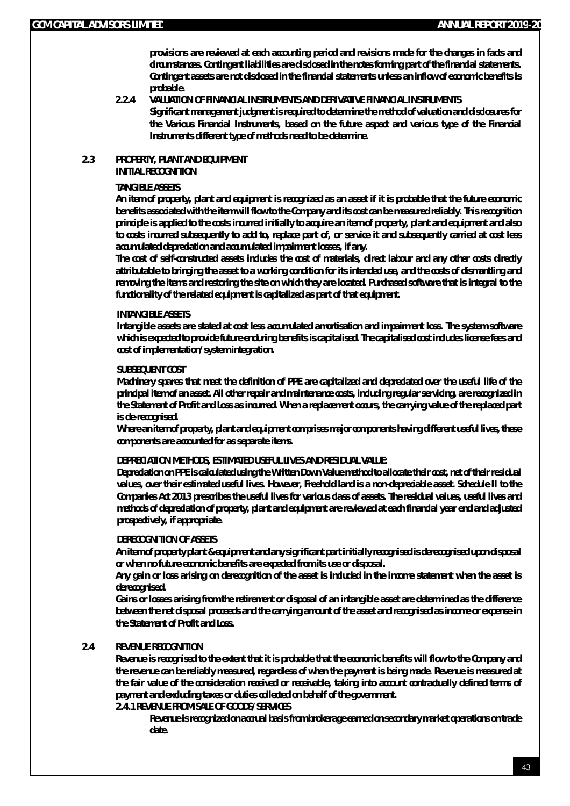**provisions are reviewed at each accounting period and revisions made for the changes in facts and circumstances. Contingent liabilities are disclosed in the notes forming part of the financial statements. Contingent assets are not disclosed in the financial statements unless an inflow of economic benefits is probable.**

#### **2.2.4 VALUATION OF FINANCIAL INSTRUMENTS AND DERIVATIVE FINANCIAL INSTRUMENTS**

**Significant management judgment is required to determine the method of valuation and disclosures for the Various Financial Instruments, based on the future aspect and various type of the Financial Instruments different type of methods need to be determine.**

#### **2.3 PROPERTY, PLANT AND EQUIPMENT INITIAL RECOGNITION**

#### **TANGIBLE ASSETS**

**An item of property, plant and equipment is recognized as an asset if it is probable that the future economic benefits associated with the item will flow to the Company and its cost can be measured reliably. This recognition principle is applied to the costs incurred initially to acquire an item of property, plant and equipment and also to costs incurred subsequently to add to, replace part of, or service it and subsequently carried at cost less accumulated depreciation and accumulated impairment losses, if any.**

**The cost of self-constructed assets includes the cost of materials, direct labour and any other costs directly attributable to bringing the asset to a working condition for its intended use, and the costs of dismantling and removing the items and restoring the site on which they are located. Purchased software that is integral to the functionality of the related equipment is capitalized as part of that equipment.**

#### **INTANGIBLE ASSETS**

**Intangible assets are stated at cost less accumulated amortisation and impairment loss. The system software which is expected to provide future enduring benefits is capitalised. The capitalised cost includes license fees and cost of implementation/system integration.**

#### **SUBSEQUENT COST**

**Machinery spares that meet the definition of PPE are capitalized and depreciated over the useful life of the principal item of an asset. All other repair and maintenance costs, including regular servicing, are recognized in the Statement of Profit and Loss as incurred. When a replacement occurs, the carrying value of the replaced part is de-recognised.**

**Where an item of property, plant and equipment comprises major components having different useful lives, these components are accounted for as separate items.** 

#### **DEPRECIATION METHODS, ESTIMATED USEFUL LIVES AND RESIDUAL VALUE:**

**Depreciation on PPE is calculated using the Written Down Value method to allocate their cost, net of their residual values, over their estimated useful lives. However, Freehold land is a non-depreciable asset. Schedule II to the Companies Act 2013 prescribes the useful lives for various class of assets. The residual values, useful lives and methods of depreciation of property, plant and equipment are reviewed at each financial year end and adjusted prospectively, if appropriate.**

#### **DERECOGNITION OF ASSETS**

**An item of property plant & equipment and any significant part initially recognised is derecognised upon disposal or when no future economic benefits are expected from its use or disposal.** 

**Any gain or loss arising on derecognition of the asset is included in the income statement when the asset is derecognised.**

**Gains or losses arising from the retirement or disposal of an intangible asset are determined as the difference between the net disposal proceeds and the carrying amount of the asset and recognised as income or expense in the Statement of Profit and Loss.**

#### **2.4 REVENUE RECOGNITION**

**Revenue is recognised to the extent that it is probable that the economic benefits will flow to the Company and the revenue can be reliably measured, regardless of when the payment is being made. Revenue is measured at the fair value of the consideration received or receivable, taking into account contractually defined terms of payment and excluding taxes or duties collected on behalf of the government.**

#### **2.4.1REVENUE FROM SALE OF GOODS/SERVICES**

**Revenue is recognized on accrual basis from brokerage earned on secondary market operations on trade date.**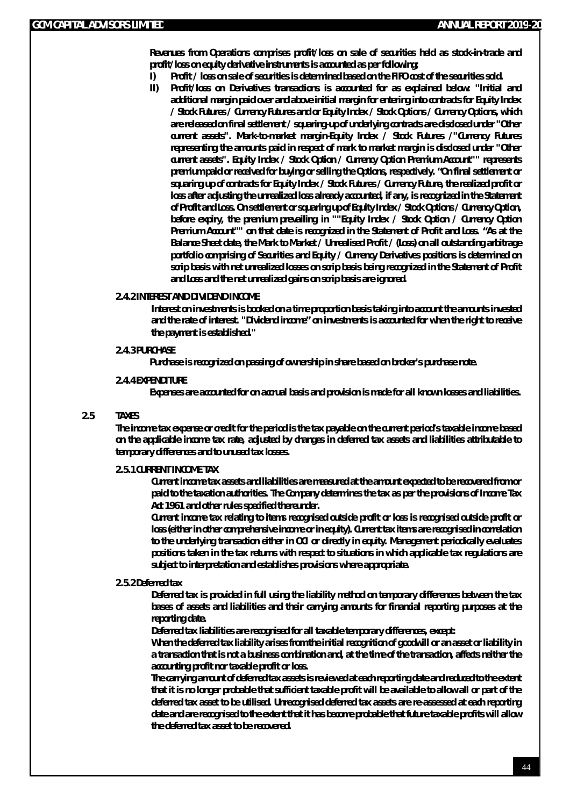**Revenues from Operations comprises profit/loss on sale of securities held as stock-in-trade and profit/loss on equity derivative instruments is accounted as per following;**

- **I) Profit / loss on sale of securities is determined based on the FIFO cost of the securities sold.**
- **II) Profit/loss on Derivatives transactions is accounted for as explained below: ''Initial and additional margin paid over and above initial margin for entering into contracts for Equity Index / Stock Futures / Currency Futures and or Equity Index / Stock Options / Currency Options, which are released on final settlement / squaring-up of underlying contracts are disclosed under "Other current assets". Mark-to-market margin-Equity Index / Stock Futures /"Currency Futures representing the amounts paid in respect of mark to market margin is disclosed under "Other current assets". Equity Index / Stock Option / Currency Option Premium Account"" represents premium paid or received for buying or selling the Options, respectively. "On final settlement or squaring up of contracts for Equity Index / Stock Futures / Currency Future, the realized profit or loss after adjusting the unrealized loss already accounted, if any, is recognized in the Statement of Profit and Loss. On settlement or squaring up of Equity Index / Stock Options / Currency Option, before expiry, the premium prevailing in ""Equity Index / Stock Option / Currency Option Premium Account"" on that date is recognized in the Statement of Profit and Loss. "As at the Balance Sheet date, the Mark to Market / Unrealised Profit / (Loss) on all outstanding arbitrage portfolio comprising of Securities and Equity / Currency Derivatives positions is determined on scrip basis with net unrealized losses on scrip basis being recognized in the Statement of Profit and Loss and the net unrealized gains on scrip basis are ignored.**

#### **2.4.2INTEREST AND DIVIDEND INCOME**

**Interest on investments is booked on a time proportion basis taking into account the amounts invested and the rate of interest. "Dividend income" on investments is accounted for when the right to receive the payment is established."**

#### **2.4.3PURCHASE**

**Purchase is recognized on passing of ownership in share based on broker's purchase note.**

#### **2.4.4EXPENDITURE**

**Expenses are accounted for on accrual basis and provision is made for all known losses and liabilities.**

#### **2.5 TAXES**

**The income tax expense or credit for the period is the tax payable on the current period's taxable income based on the applicable income tax rate, adjusted by changes in deferred tax assets and liabilities attributable to temporary differences and to unused tax losses.**

#### **2.5.1CURRENT INCOME TAX**

**Current income tax assets and liabilities are measured at the amount expected to be recovered from or paid to the taxation authorities. The Company determines the tax as per the provisions of Income Tax Act 1961 and other rules specified thereunder.**

**Current income tax relating to items recognised outside profit or loss is recognised outside profit or loss (either in other comprehensive income or in equity). Current tax items are recognised in correlation to the underlying transaction either in OCI or directly in equity. Management periodically evaluates positions taken in the tax returns with respect to situations in which applicable tax regulations are subject to interpretation and establishes provisions where appropriate.**

#### **2.5.2Deferred tax**

**Deferred tax is provided in full using the liability method on temporary differences between the tax bases of assets and liabilities and their carrying amounts for financial reporting purposes at the reporting date.** 

**Deferred tax liabilities are recognised for all taxable temporary differences, except:**

**When the deferred tax liability arises from the initial recognition of goodwill or an asset or liability in a transaction that is not a business combination and, at the time of the transaction, affects neither the accounting profit nor taxable profit or loss.** 

**The carrying amount of deferred tax assets is reviewed at each reporting date and reduced to the extent that it is no longer probable that sufficient taxable profit will be available to allow all or part of the deferred tax asset to be utilised. Unrecognised deferred tax assets are re-assessed at each reporting date and are recognised to the extent that it has become probable that future taxable profits will allow the deferred tax asset to be recovered.**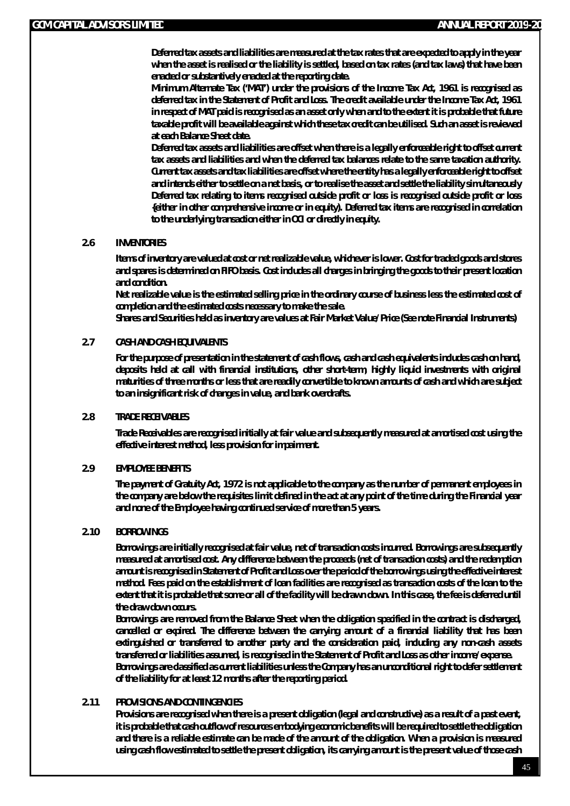**Deferred tax assets and liabilities are measured at the tax rates that are expected to apply in the year when the asset is realised or the liability is settled, based on tax rates (and tax laws) that have been enacted or substantively enacted at the reporting date.**

**Minimum Alternate Tax ('MAT') under the provisions of the Income Tax Act, 1961 is recognised as deferred tax in the Statement of Profit and Loss. The credit available under the Income Tax Act, 1961 in respect of MAT paid is recognised as an asset only when and to the extent it is probable that future taxable profit will be available against which these tax credit can be utilised. Such an asset is reviewed at each Balance Sheet date.**

**Deferred tax assets and liabilities are offset when there is a legally enforceable right to offset current tax assets and liabilities and when the deferred tax balances relate to the same taxation authority. Current tax assets and tax liabilities are offset where the entity has a legally enforceable right to offset and intends either to settle on a net basis, or to realise the asset and settle the liability simultaneously Deferred tax relating to items recognised outside profit or loss is recognised outside profit or loss {either in other comprehensive income or in equity). Deferred tax items are recognised in correlation to the underlying transaction either in OCI or directly in equity.**

#### **2.6 INVENTORIES**

**Items of inventory are valued at cost or net realizable value, whichever is lower. Cost for traded goods and stores and spares is determined on FIFO basis. Cost includes all charges in bringing the goods to their present location and condition.**

**Net realizable value is the estimated selling price in the ordinary course of business less the estimated cost of completion and the estimated costs necessary to make the sale.**

**Shares and Securities held as inventory are values at Fair Market Value/Price (See note Financial Instruments)**

#### **2.7 CASH AND CASH EQUIVALENTS**

**For the purpose of presentation in the statement of cash flows, cash and cash equivalents includes cash on hand, deposits held at call with financial institutions, other short-term, highly liquid investments with original maturities of three months or less that are readily convertible to known amounts of cash and which are subject to an insignificant risk of changes in value, and bank overdrafts.**

#### **2.8 TRADE RECEIVABLES**

**Trade Receivables are recognised initially at fair value and subsequently measured at amortised cost using the effective interest method, less provision for impairment.**

#### **2.9 EMPLOYEE BENEFITS**

**The payment of Gratuity Act, 1972 is not applicable to the company as the number of permanent employees in the company are below the requisites limit defined in the act at any point of the time during the Financial year and none of the Employee having continued service of more than 5 years.**

#### **2.10 BORROWINGS**

**Borrowings are initially recognised at fair value, net of transaction costs incurred. Borrowings are subsequently measured at amortised cost. Any difference between the proceeds (net of transaction costs) and the redemption amount is recognised in Statement of Profit and Loss over the period of the borrowings using the effective interest method. Fees paid on the establishment of loan facilities are recognised as transaction costs of the loan to the extent that it is probable that some or all of the facility will be drawn down. In this case, the fee is deferred until the draw down occurs.** 

**Borrowings are removed from the Balance Sheet when the obligation specified in the contract is discharged, cancelled or expired. The difference between the carrying amount of a financial liability that has been extinguished or transferred to another party and the consideration paid, including any non-cash assets transferred or liabilities assumed, is recognised in the Statement of Profit and Loss as other income/expense. Borrowings are classified as current liabilities unless the Company has an unconditional right to defer settlement of the liability for at least 12 months after the reporting period.**

#### **2.11 PROVISIONS AND CONTINGENCIES**

**Provisions are recognised when there is a present obligation (legal and constructive) as a result of a past event, it is probable that cash outflow of resources embodying economic benefits will be required to settle the obligation and there is a reliable estimate can be made of the amount of the obligation. When a provision is measured using cash flow estimated to settle the present obligation, its carrying amount is the present value of those cash**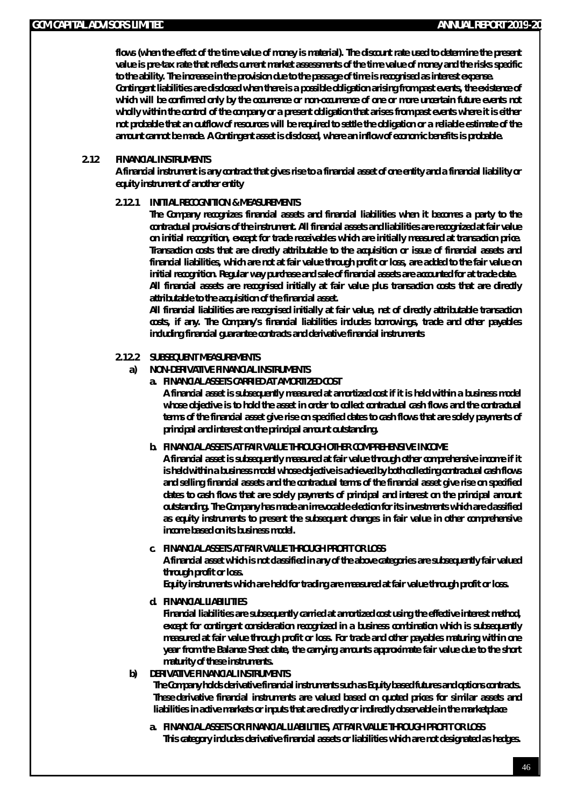**flows (when the effect of the time value of money is material). The discount rate used to determine the present value is pre-tax rate that reflects current market assessments of the time value of money and the risks specific to the ability. The increase in the provision due to the passage of time is recognised as interest expense. Contingent liabilities are disclosed when there is a possible obligation arising from past events, the existence of which will be confirmed only by the occurrence or non-occurrence of one or more uncertain future events not wholly within the control of the company or a present obligation that arises from past events where it is either not probable that an outflow of resources will be required to settle the obligation or a reliable estimate of the amount cannot be made. A Contingent asset is disclosed, where an inflow of economic benefits is probable.**

#### **2.12 FINANCIAL INSTRUMENTS**

**A financial instrument is any contract that gives rise to a financial asset of one entity and a financial liability or equity instrument of another entity**

#### **2.12.1 INITIAL RECOGNITION & MEASUREMENTS**

**The Company recognizes financial assets and financial liabilities when it becomes a party to the contractual provisions of the instrument. All financial assets and liabilities are recognized at fair value on initial recognition, except for trade receivables which are initially measured at transaction price. Transaction costs that are directly attributable to the acquisition or issue of financial assets and financial liabilities, which are not at fair value through profit or loss, are added to the fair value on initial recognition. Regular way purchase and sale of financial assets are accounted for at trade date. All financial assets are recognised initially at fair value plus transaction costs that are directly attributable to the acquisition of the financial asset.**

**All financial liabilities are recognised initially at fair value, net of directly attributable transaction costs, if any. The Company's financial liabilities includes borrowings, trade and other payables including financial guarantee contracts and derivative financial instruments**

#### **2.12.2 SUBSEQUENT MEASUREMENTS**

### **a) NON-DERIVATIVE FINANCIAL INSTRUMENTS**

#### **a. FINANCIAL ASSETS CARRIED AT AMORTIZED COST**

**A financial asset is subsequently measured at amortized cost if it is held within a business model whose objective is to hold the asset in order to collect contractual cash flows and the contractual terms of the financial asset give rise on specified dates to cash flows that are solely payments of principal and interest on the principal amount outstanding.**

#### **b. FINANCIAL ASSETS AT FAIR VALUE THROUGH OTHER COMPREHENSIVE INCOME**

**A financial asset is subsequently measured at fair value through other comprehensive income if it is held within a business model whose objective is achieved by both collecting contractual cash flows and selling financial assets and the contractual terms of the financial asset give rise on specified dates to cash flows that are solely payments of principal and interest on the principal amount outstanding. The Company has made an irrevocable election for its investments which are classified as equity instruments to present the subsequent changes in fair value in other comprehensive income based on its business model.**

#### **c. FINANCIAL ASSETS AT FAIR VALUE THROUGH PROFIT OR LOSS**

**A financial asset which is not classified in any of the above categories are subsequently fair valued through profit or loss.**

**Equity instruments which are held for trading are measured at fair value through profit or loss.**

#### **d. FINANCIAL LIABILITIES**

**Financial liabilities are subsequently carried at amortized cost using the effective interest method, except for contingent consideration recognized in a business combination which is subsequently measured at fair value through profit or loss. For trade and other payables maturing within one year from the Balance Sheet date, the carrying amounts approximate fair value due to the short maturity of these instruments.**

#### **b) DERIVATIVE FINANCIAL INSTRUMENTS**

**The Company holds derivative financial instruments such as Equity based futures and options contracts. These derivative financial instruments are valued based on quoted prices for similar assets and liabilities in active markets or inputs that are directly or indirectly observable in the marketplace**

#### **a. FINANCIAL ASSETS OR FINANCIAL LIABILITIES, AT FAIR VALUE THROUGH PROFIT OR LOSS**

**This category includes derivative financial assets or liabilities which are not designated as hedges.**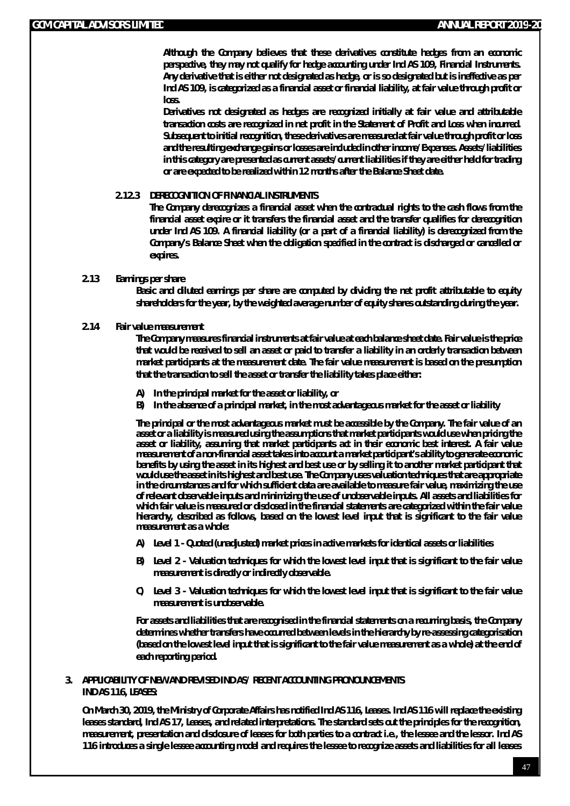**Although the Company believes that these derivatives constitute hedges from an economic perspective, they may not qualify for hedge accounting under Ind AS 109, Financial Instruments. Any derivative that is either not designated as hedge, or is so designated but is ineffective as per Ind AS 109, is categorized as a financial asset or financial liability, at fair value through profit or loss.**

**Derivatives not designated as hedges are recognized initially at fair value and attributable transaction costs are recognized in net profit in the Statement of Profit and Loss when incurred. Subsequent to initial recognition, these derivatives are measured at fair value through profit or loss and the resulting exchange gains or losses are included in other income/Expenses. Assets/liabilities in this category are presented as current assets/current liabilities if they are either held for trading or are expected to be realized within 12 months after the Balance Sheet date.**

#### **2.12.3 DERECOGNITION OF FINANCIAL INSTRUMENTS**

**The Company derecognizes a financial asset when the contractual rights to the cash flows from the financial asset expire or it transfers the financial asset and the transfer qualifies for derecognition under Ind AS 109. A financial liability (or a part of a financial liability) is derecognized from the Company's Balance Sheet when the obligation specified in the contract is discharged or cancelled or expires.**

#### **2.13 Earnings per share**

**Basic and diluted earnings per share are computed by dividing the net profit attributable to equity shareholders for the year, by the weighted average number of equity shares outstanding during the year.**

#### **2.14 Fair value measurement**

**The Company measures financial instruments at fair value at each balance sheet date. Fair value is the price that would be received to sell an asset or paid to transfer a liability in an orderly transaction between market participants at the measurement date. The fair value measurement is based on the presumption that the transaction to sell the asset or transfer the liability takes place either:**

- **A) In the principal market for the asset or liability, or**
- **B) In the absence of a principal market, in the most advantageous market for the asset or liability**

**The principal or the most advantageous market must be accessible by the Company. The fair value of an asset or a liability is measured using the assumptions that market participants would use when pricing the asset or liability, assuming that market participants act in their economic best interest. A fair value measurement of a non-financial asset takes into account a market participant's ability to generate economic benefits by using the asset in its highest and best use or by selling it to another market participant that would use the asset in its highest and best use. The Company uses valuation techniques that are appropriate in the circumstances and for which sufficient data are available to measure fair value, maximizing the use of relevant observable inputs and minimizing the use of unobservable inputs. All assets and liabilities for which fair value is measured or disclosed in the financial statements are categorized within the fair value hierarchy, described as follows, based on the lowest level input that is significant to the fair value measurement as a whole:**

- **A) Level 1 - Quoted (unadjusted) market prices in active markets for identical assets or liabilities**
- **B) Level 2 - Valuation techniques for which the lowest level input that is significant to the fair value measurement is directly or indirectly observable.**
- **C) Level 3 - Valuation techniques for which the lowest level input that is significant to the fair value measurement is unobservable.**

**For assets and liabilities that are recognised in the financial statements on a recurring basis, the Company determines whether transfers have occurred between levels in the hierarchy by re-assessing categorisation (based on the lowest level input that is significant to the fair value measurement as a whole) at the end of each reporting period.**

#### **3. APPLICABILITY OF NEW AND REVISED IND AS/ RECENT ACCOUNTING PRONOUNCEMENTS IND AS 116, LEASES:**

**On March 30, 2019, the Ministry of Corporate Affairs has notified Ind AS 116, Leases. Ind AS 116 will replace the existing leases standard, Ind AS 17, Leases, and related interpretations. The standard sets out the principles for the recognition, measurement, presentation and disclosure of leases for both parties to a contract i.e., the lessee and the lessor. Ind AS 116 introduces a single lessee accounting model and requires the lessee to recognize assets and liabilities for all leases**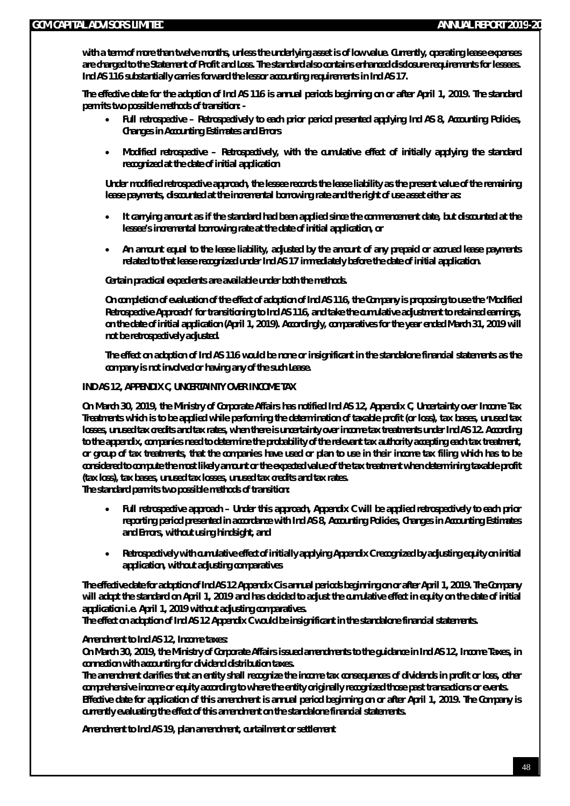**with a term of more than twelve months, unless the underlying asset is of low value. Currently, operating lease expenses are charged to the Statement of Profit and Loss. The standard also contains enhanced disclosure requirements for lessees. Ind AS 116 substantially carries forward the lessor accounting requirements in Ind AS 17.**

**The effective date for the adoption of Ind AS 116 is annual periods beginning on or after April 1, 2019. The standard permits two possible methods of transition: -**

- **Full retrospective – Retrospectively to each prior period presented applying Ind AS 8, Accounting Policies, Changes in Accounting Estimates and Errors**
- **Modified retrospective – Retrospectively, with the cumulative effect of initially applying the standard recognized at the date of initial application**

**Under modified retrospective approach, the lessee records the lease liability as the present value of the remaining lease payments, discounted at the incremental borrowing rate and the right of use asset either as:**

- **It carrying amount as if the standard had been applied since the commencement date, but discounted at the lessee's incremental borrowing rate at the date of initial application, or**
- **An amount equal to the lease liability, adjusted by the amount of any prepaid or accrued lease payments related to that lease recognized under Ind AS 17 immediately before the date of initial application.**

**Certain practical expedients are available under both the methods.**

**On completion of evaluation of the effect of adoption of Ind AS 116, the Company is proposing to use the 'Modified Retrospective Approach' for transitioning to Ind AS 116, and take the cumulative adjustment to retained earnings, on the date of initial application (April 1, 2019). Accordingly, comparatives for the year ended March 31, 2019 will not be retrospectively adjusted.** 

**The effect on adoption of Ind AS 116 would be none or insignificant in the standalone financial statements as the company is not involved or having any of the such Lease.**

#### **IND AS 12, APPENDIX C, UNCERTAINTY OVER INCOME TAX**

**On March 30, 2019, the Ministry of Corporate Affairs has notified Ind AS 12, Appendix C, Uncertainty over Income Tax Treatments which is to be applied while performing the determination of taxable profit (or loss), tax bases, unused tax losses, unused tax credits and tax rates, when there is uncertainty over income tax treatments under Ind AS 12. According to the appendix, companies need to determine the probability of the relevant tax authority accepting each tax treatment, or group of tax treatments, that the companies have used or plan to use in their income tax filing which has to be considered to compute the most likely amount or the expected value of the tax treatment when determining taxable profit (tax loss), tax bases, unused tax losses, unused tax credits and tax rates.**

**The standard permits two possible methods of transition:**

- **Full retrospective approach – Under this approach, Appendix C will be applied retrospectively to each prior reporting period presented in accordance with Ind AS 8, Accounting Policies, Changes in Accounting Estimates and Errors, without using hindsight, and**
- **Retrospectively with cumulative effect of initially applying Appendix C recognized by adjusting equity on initial application, without adjusting comparatives**

**The effective date for adoption of Ind AS 12 Appendix C is annual periods beginning on or after April 1, 2019. The Company will adopt the standard on April 1, 2019 and has decided to adjust the cumulative effect in equity on the date of initial application i.e. April 1, 2019 without adjusting comparatives.**

**The effect on adoption of Ind AS 12 Appendix C would be insignificant in the standalone financial statements.**

#### **Amendment to Ind AS 12, Income taxes:**

**On March 30, 2019, the Ministry of Corporate Affairs issued amendments to the guidance in Ind AS 12, Income Taxes, in connection with accounting for dividend distribution taxes.**

**The amendment clarifies that an entity shall recognize the income tax consequences of dividends in profit or loss, other comprehensive income or equity according to where the entity originally recognized those past transactions or events. Effective date for application of this amendment is annual period beginning on or after April 1, 2019. The Company is currently evaluating the effect of this amendment on the standalone financial statements.**

#### **Amendment to Ind AS 19, plan amendment, curtailment or settlement**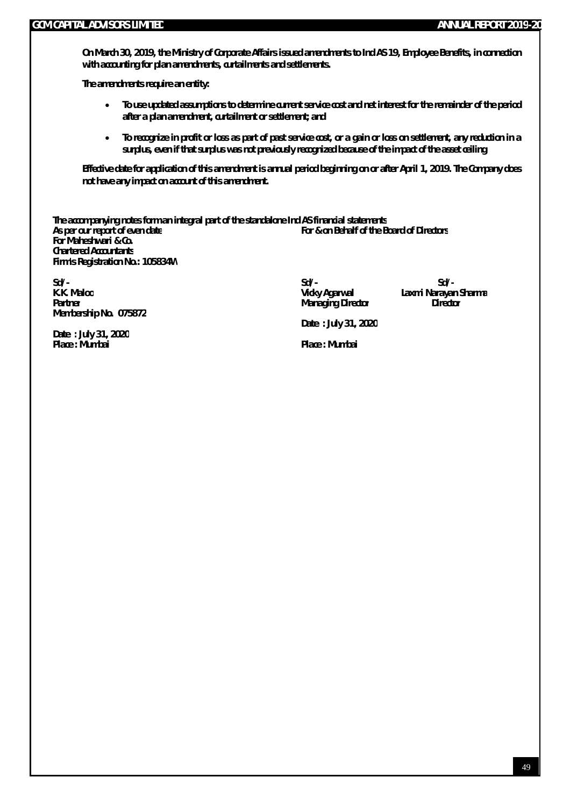**On March 30, 2019, the Ministry of Corporate Affairs issued amendments to Ind AS 19, Employee Benefits, in connection with accounting for plan amendments, curtailments and settlements.**

**The amendments require an entity:** 

- **To use updated assumptions to determine current service cost and net interest for the remainder of the period after a plan amendment, curtailment or settlement; and**
- **To recognize in profit or loss as part of past service cost, or a gain or loss on settlement, any reduction in a surplus, even if that surplus was not previously recognized because of the impact of the asset ceiling**

**Effective date for application of this amendment is annual period beginning on or after April 1, 2019. The Company does not have any impact on account of this amendment.**

**The accompanying notes form an integral part of the standalone Ind AS financial statements As per our report of even date For & on Behalf of the Board of Directors For Maheshwari & Co. Chartered Accountants Firm's Registration No.: 105834W**

**Sd/- Sd/- Sd/- K.K. Maloo Vicky Agarwal Laxmi Narayan Sharma Partner Managing Director Director Membership No. 075872**

**Date : July 31, 2020**

**Date : July 31, 2020**

**Place : Mumbai Place : Mumbai**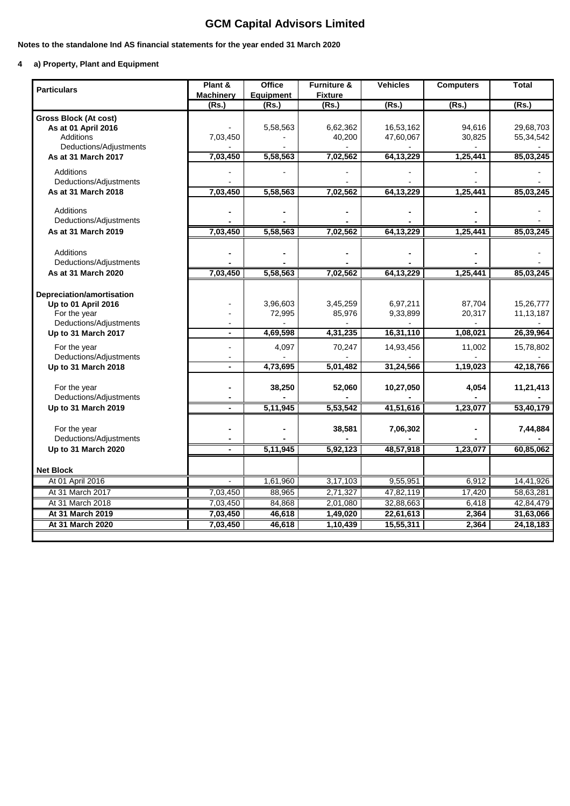**Notes to the standalone Ind AS financial statements for the year ended 31 March 2020**

#### **4 a) Property, Plant and Equipment**

| <b>Particulars</b>                                                                         | Plant &<br><b>Machinery</b> | <b>Office</b><br><b>Equipment</b> | <b>Furniture &amp;</b><br><b>Fixture</b> | <b>Vehicles</b>        | <b>Computers</b>   | <b>Total</b>             |
|--------------------------------------------------------------------------------------------|-----------------------------|-----------------------------------|------------------------------------------|------------------------|--------------------|--------------------------|
|                                                                                            | (Rs.)                       | (Rs.)                             | (Rs.)                                    | (Rs.)                  | (Rs.)              | (Rs.)                    |
| <b>Gross Block (At cost)</b><br>As at 01 April 2016<br>Additions<br>Deductions/Adjustments | 7,03,450                    | 5,58,563                          | 6,62,362<br>40,200                       | 16,53,162<br>47,60,067 | 94,616<br>30,825   | 29,68,703<br>55,34,542   |
| As at 31 March 2017                                                                        | 7,03,450                    | 5,58,563                          | 7,02,562                                 | 64,13,229              | 1,25,441           | 85,03,245                |
| Additions<br>Deductions/Adjustments                                                        |                             |                                   |                                          |                        |                    |                          |
| As at 31 March 2018                                                                        | 7,03,450                    | 5,58,563                          | 7,02,562                                 | 64,13,229              | 1,25,441           | 85,03,245                |
| Additions<br>Deductions/Adjustments                                                        |                             |                                   |                                          |                        |                    |                          |
| As at 31 March 2019                                                                        | 7,03,450                    | 5,58,563                          | 7,02,562                                 | 64, 13, 229            | 1,25,441           | 85,03,245                |
| Additions<br>Deductions/Adjustments                                                        |                             |                                   |                                          |                        |                    |                          |
| As at 31 March 2020                                                                        | 7,03,450                    | 5,58,563                          | 7,02,562                                 | 64,13,229              | 1,25,441           | 85,03,245                |
| Depreciation/amortisation<br>Up to 01 April 2016<br>For the year<br>Deductions/Adjustments |                             | 3,96,603<br>72,995                | 3,45,259<br>85,976                       | 6,97,211<br>9,33,899   | 87,704<br>20,317   | 15,26,777<br>11,13,187   |
| Up to 31 March 2017                                                                        | $\blacksquare$              | 4,69,598                          | 4,31,235                                 | 16,31,110              | 1,08,021           | 26,39,964                |
| For the year<br>Deductions/Adjustments<br>Up to 31 March 2018                              | $\blacksquare$              | 4,097<br>4,73,695                 | 70,247<br>5,01,482                       | 14,93,456<br>31,24,566 | 11,002<br>1,19,023 | 15,78,802<br>42, 18, 766 |
| For the year<br>Deductions/Adjustments                                                     |                             | 38,250                            | 52,060                                   | 10,27,050              | 4,054              | 11,21,413                |
| Up to 31 March 2019                                                                        |                             | 5,11,945                          | 5,53,542                                 | 41,51,616              | 1,23,077           | 53,40,179                |
| For the year<br>Deductions/Adjustments                                                     |                             |                                   | 38,581                                   | 7,06,302               |                    | 7,44,884                 |
| Up to 31 March 2020                                                                        |                             | 5,11,945                          | 5,92,123                                 | 48,57,918              | 1,23,077           | 60,85,062                |
| <b>Net Block</b>                                                                           |                             |                                   |                                          |                        |                    |                          |
| At 01 April 2016                                                                           |                             | 1,61,960                          | 3, 17, 103                               | 9,55,951               | 6,912              | 14,41,926                |
| At 31 March 2017                                                                           | 7,03,450                    | 88,965                            | 2,71,327                                 | 47,82,119              | 17,420             | 58,63,281                |
| At 31 March 2018                                                                           | 7,03,450                    | 84,868                            | 2,01,080                                 | 32,88,663              | 6,418              | 42,84,479                |
| At 31 March 2019<br>At 31 March 2020                                                       | 7,03,450<br>7,03,450        | 46,618                            | 1,49,020                                 | 22,61,613<br>15,55,311 | 2,364              | 31,63,066                |
|                                                                                            |                             | 46,618                            | 1,10,439                                 |                        | 2,364              | 24, 18, 183              |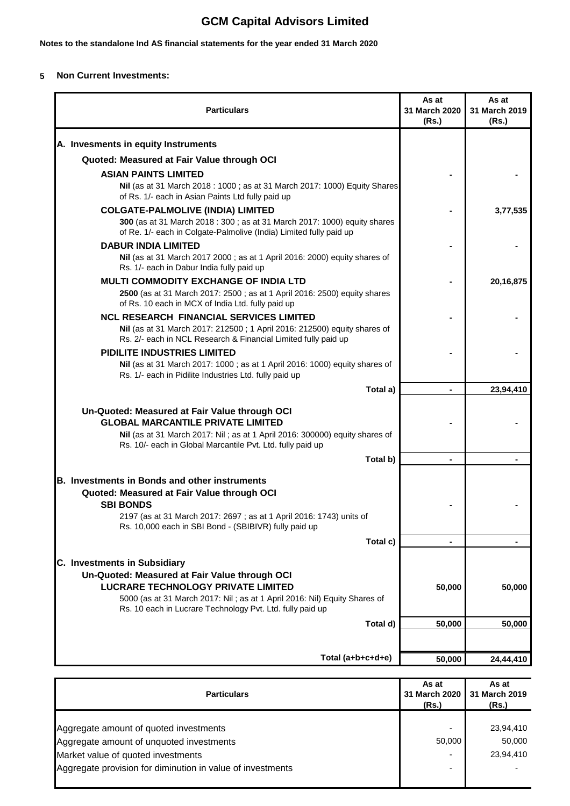**Notes to the standalone Ind AS financial statements for the year ended 31 March 2020**

#### **5 Non Current Investments:**

| <b>Particulars</b>                                                                                                                                                                                                                                                    | As at<br>31 March 2020<br>(Rs.) | As at<br>31 March 2019<br>(Rs.) |
|-----------------------------------------------------------------------------------------------------------------------------------------------------------------------------------------------------------------------------------------------------------------------|---------------------------------|---------------------------------|
| A. Invesments in equity Instruments                                                                                                                                                                                                                                   |                                 |                                 |
| Quoted: Measured at Fair Value through OCI                                                                                                                                                                                                                            |                                 |                                 |
| <b>ASIAN PAINTS LIMITED</b>                                                                                                                                                                                                                                           |                                 |                                 |
| Nil (as at 31 March 2018 : 1000 ; as at 31 March 2017: 1000) Equity Shares<br>of Rs. 1/- each in Asian Paints Ltd fully paid up                                                                                                                                       |                                 |                                 |
| <b>COLGATE-PALMOLIVE (INDIA) LIMITED</b><br>300 (as at 31 March 2018 : 300 ; as at 31 March 2017: 1000) equity shares<br>of Re. 1/- each in Colgate-Palmolive (India) Limited fully paid up                                                                           |                                 | 3,77,535                        |
| <b>DABUR INDIA LIMITED</b><br>Nil (as at 31 March 2017 2000 ; as at 1 April 2016: 2000) equity shares of<br>Rs. 1/- each in Dabur India fully paid up                                                                                                                 |                                 |                                 |
| <b>MULTI COMMODITY EXCHANGE OF INDIA LTD</b><br>2500 (as at 31 March 2017: 2500; as at 1 April 2016: 2500) equity shares<br>of Rs. 10 each in MCX of India Ltd. fully paid up                                                                                         |                                 | 20,16,875                       |
| <b>NCL RESEARCH FINANCIAL SERVICES LIMITED</b><br>Nil (as at 31 March 2017: 212500 ; 1 April 2016: 212500) equity shares of                                                                                                                                           |                                 |                                 |
| Rs. 2/- each in NCL Research & Financial Limited fully paid up                                                                                                                                                                                                        |                                 |                                 |
| PIDILITE INDUSTRIES LIMITED<br>Nil (as at 31 March 2017: 1000 ; as at 1 April 2016: 1000) equity shares of<br>Rs. 1/- each in Pidilite Industries Ltd. fully paid up                                                                                                  |                                 |                                 |
| Total a)                                                                                                                                                                                                                                                              |                                 | 23,94,410                       |
| Un-Quoted: Measured at Fair Value through OCI<br><b>GLOBAL MARCANTILE PRIVATE LIMITED</b><br>Nil (as at 31 March 2017: Nil; as at 1 April 2016: 300000) equity shares of                                                                                              |                                 |                                 |
| Rs. 10/- each in Global Marcantile Pvt. Ltd. fully paid up                                                                                                                                                                                                            |                                 |                                 |
| Total b)                                                                                                                                                                                                                                                              | $\blacksquare$                  |                                 |
| B. Investments in Bonds and other instruments<br>Quoted: Measured at Fair Value through OCI<br><b>SBI BONDS</b><br>2197 (as at 31 March 2017: 2697; as at 1 April 2016: 1743) units of<br>Rs. 10,000 each in SBI Bond - (SBIBIVR) fully paid up                       |                                 |                                 |
| Total c)                                                                                                                                                                                                                                                              |                                 |                                 |
|                                                                                                                                                                                                                                                                       |                                 |                                 |
| C. Investments in Subsidiary<br>Un-Quoted: Measured at Fair Value through OCI<br><b>LUCRARE TECHNOLOGY PRIVATE LIMITED</b><br>5000 (as at 31 March 2017: Nil ; as at 1 April 2016: Nil) Equity Shares of<br>Rs. 10 each in Lucrare Technology Pvt. Ltd. fully paid up | 50,000                          | 50,000                          |
| Total d)                                                                                                                                                                                                                                                              | 50,000                          | 50,000                          |
|                                                                                                                                                                                                                                                                       |                                 |                                 |
| Total (a+b+c+d+e)                                                                                                                                                                                                                                                     | 50,000                          | 24,44,410                       |

| <b>Particulars</b>                                         | As at<br>31 March 2020<br>(Rs.) | As at<br>31 March 2019<br>(Rs.) |
|------------------------------------------------------------|---------------------------------|---------------------------------|
|                                                            |                                 |                                 |
| Aggregate amount of quoted investments                     | ۰                               | 23,94,410                       |
| Aggregate amount of unquoted investments                   | 50.000                          | 50,000                          |
| Market value of quoted investments                         | ۰                               | 23,94,410                       |
| Aggregate provision for diminution in value of investments | ۰                               |                                 |
|                                                            |                                 |                                 |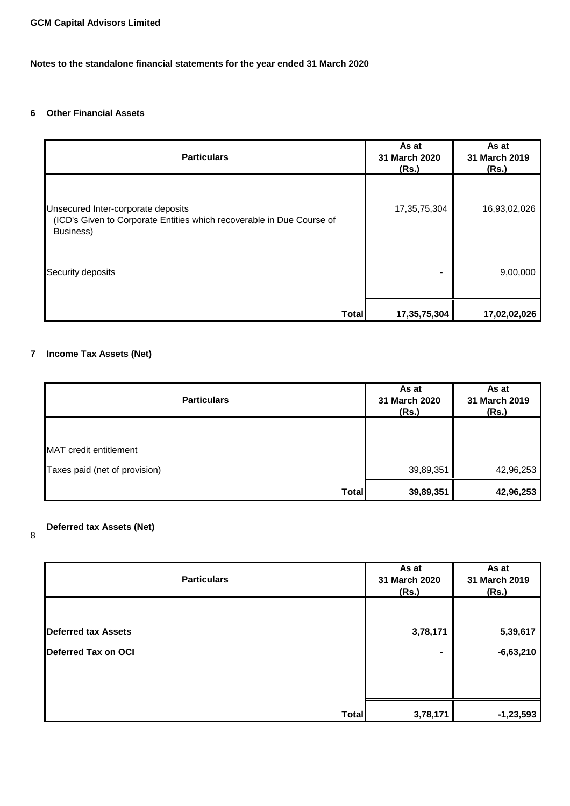#### **Notes to the standalone financial statements for the year ended 31 March 2020**

#### **6 Other Financial Assets**

| <b>Particulars</b>                                                                                                       | As at<br>31 March 2020<br>(Rs.) | As at<br>31 March 2019<br>(Rs.) |
|--------------------------------------------------------------------------------------------------------------------------|---------------------------------|---------------------------------|
| Unsecured Inter-corporate deposits<br>(ICD's Given to Corporate Entities which recoverable in Due Course of<br>Business) | 17, 35, 75, 304                 | 16,93,02,026                    |
| Security deposits                                                                                                        |                                 | 9,00,000                        |
| <b>Total</b>                                                                                                             | 17,35,75,304                    | 17,02,02,026                    |

### **7 Income Tax Assets (Net)**

| <b>Particulars</b>            | As at<br>31 March 2020<br>(Rs.) | As at<br>31 March 2019<br>(Rs.) |  |
|-------------------------------|---------------------------------|---------------------------------|--|
| MAT credit entitlement        |                                 |                                 |  |
| Taxes paid (net of provision) | 39,89,351                       | 42,96,253                       |  |
| <b>Total</b>                  | 39,89,351                       | 42,96,253                       |  |

### **Deferred tax Assets (Net)**

8

| <b>Particulars</b>                                | As at<br>31 March 2020<br>(Rs.) | As at<br>31 March 2019<br>(Rs.) |
|---------------------------------------------------|---------------------------------|---------------------------------|
| <b>Deferred tax Assets</b><br>Deferred Tax on OCI | 3,78,171<br>۰                   | 5,39,617<br>$-6,63,210$         |
| <b>Total</b>                                      | 3,78,171                        | $-1,23,593$                     |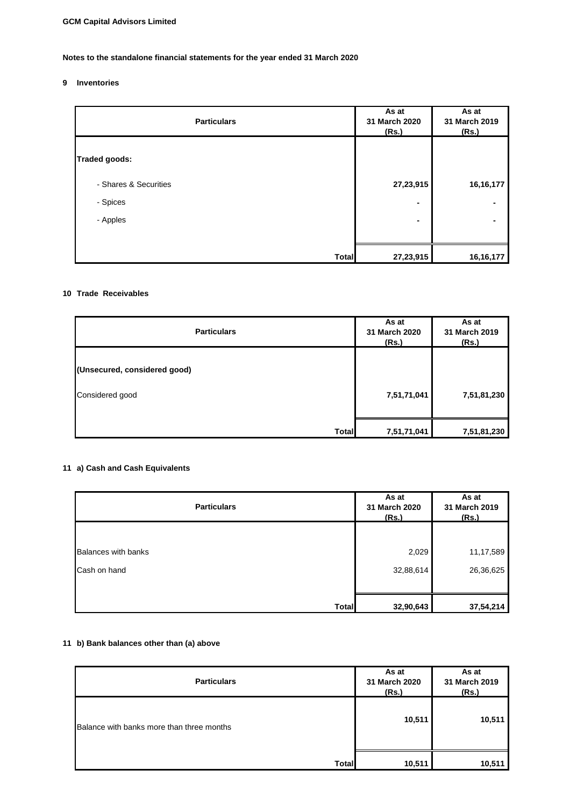#### **Notes to the standalone financial statements for the year ended 31 March 2020**

#### **9 Inventories**

| <b>Particulars</b>    | As at<br>31 March 2020<br>(Rs.) | As at<br>31 March 2019<br>(Rs.) |
|-----------------------|---------------------------------|---------------------------------|
| Traded goods:         |                                 |                                 |
| - Shares & Securities | 27,23,915                       | 16,16,177                       |
| - Spices              | -                               |                                 |
| - Apples              | -                               |                                 |
|                       |                                 |                                 |
| <b>Total</b>          | 27,23,915                       | 16,16,177                       |

#### **10 Trade Receivables**

| <b>Particulars</b>           | As at<br>31 March 2020<br>(Rs.) | As at<br>31 March 2019<br>(Rs.) |
|------------------------------|---------------------------------|---------------------------------|
| (Unsecured, considered good) |                                 |                                 |
| Considered good              | 7,51,71,041                     | 7,51,81,230                     |
| <b>Total</b>                 | 7,51,71,041                     | 7,51,81,230                     |

#### **11 a) Cash and Cash Equivalents**

| <b>Particulars</b>         | As at<br>31 March 2020<br>(Rs.) | As at<br>31 March 2019<br>(Rs.) |  |
|----------------------------|---------------------------------|---------------------------------|--|
|                            |                                 |                                 |  |
| <b>Balances with banks</b> | 2,029                           | 11,17,589                       |  |
| Cash on hand               | 32,88,614                       | 26,36,625                       |  |
|                            |                                 |                                 |  |
| <b>Total</b>               | 32,90,643                       | 37,54,214                       |  |

#### **11 b) Bank balances other than (a) above**

| <b>Particulars</b>                        | As at<br>31 March 2020<br>(Rs.) | As at<br>31 March 2019<br>(Rs.) |  |
|-------------------------------------------|---------------------------------|---------------------------------|--|
| Balance with banks more than three months | 10,511                          | 10,511                          |  |
| <b>Total</b>                              | 10,511                          | 10,511                          |  |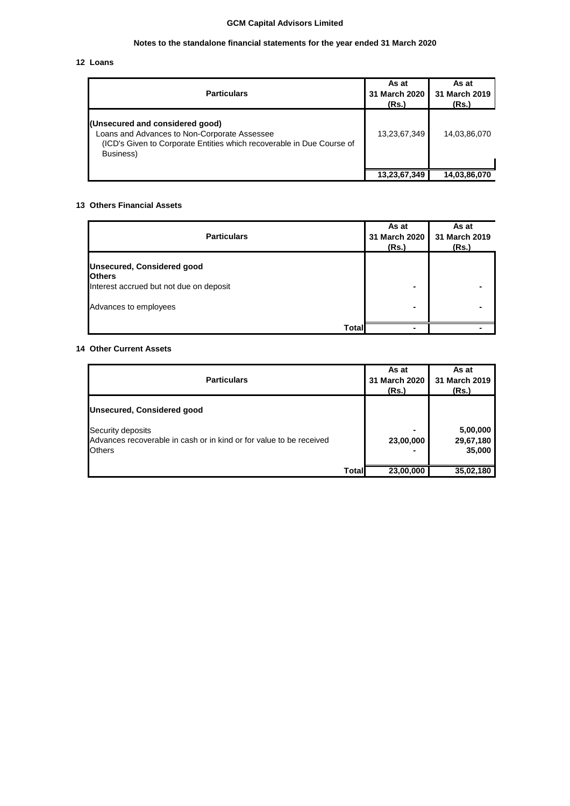#### **Notes to the standalone financial statements for the year ended 31 March 2020**

#### **12 Loans**

| <b>Particulars</b>                                                                                                                                                    | As at<br>31 March 2020<br>(Rs.) | As at<br>31 March 2019<br>(Rs.) |
|-----------------------------------------------------------------------------------------------------------------------------------------------------------------------|---------------------------------|---------------------------------|
| (Unsecured and considered good)<br>Loans and Advances to Non-Corporate Assessee<br>(ICD's Given to Corporate Entities which recoverable in Due Course of<br>Business) | 13,23,67,349                    | 14,03,86,070                    |
|                                                                                                                                                                       | 13,23,67,349                    | 14,03,86,070                    |

#### **13 Others Financial Assets**

| <b>Particulars</b>                                                                                                     | As at<br>31 March 2020<br>(Rs.) | As at<br>31 March 2019<br>(Rs.) |
|------------------------------------------------------------------------------------------------------------------------|---------------------------------|---------------------------------|
| <b>Unsecured, Considered good</b><br><b>Others</b><br>Interest accrued but not due on deposit<br>Advances to employees | ۰                               |                                 |
| Total                                                                                                                  |                                 |                                 |

#### **14 Other Current Assets**

| <b>Particulars</b>                                                  |       | As at<br><b>March 2020</b><br>31<br>(Rs.) | As at<br><b>March 2019</b><br>31<br>(Rs.) |
|---------------------------------------------------------------------|-------|-------------------------------------------|-------------------------------------------|
| Unsecured, Considered good                                          |       |                                           |                                           |
| Security deposits                                                   |       |                                           | 5,00,000                                  |
| Advances recoverable in cash or in kind or for value to be received |       | 23,00,000                                 | 29,67,180                                 |
| <b>Others</b>                                                       |       |                                           | 35,000                                    |
|                                                                     |       |                                           |                                           |
|                                                                     | Total | 23,00,000                                 | 35,02,180                                 |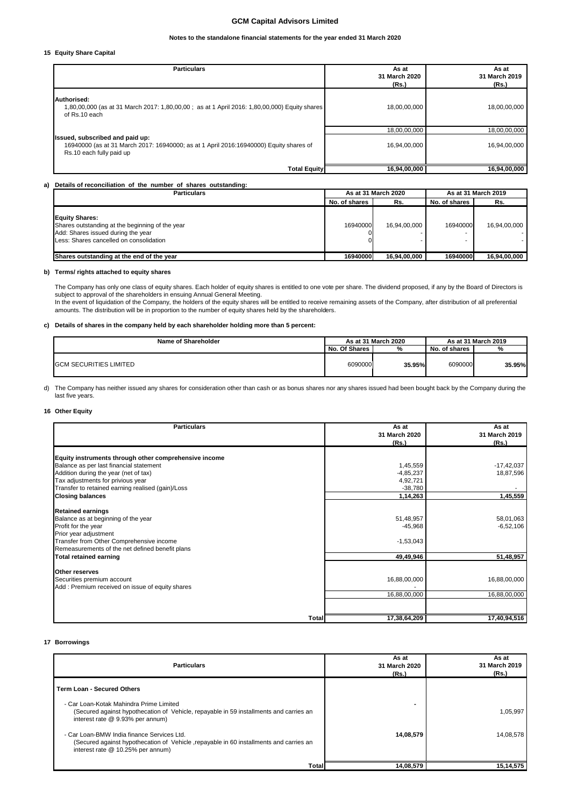#### **Notes to the standalone financial statements for the year ended 31 March 2020**

#### **15 Equity Share Capital**

| <b>Particulars</b>                                                                                                                                    | As at<br>31 March 2020<br>(Rs.) | As at<br>31 March 2019<br>(Rs.) |
|-------------------------------------------------------------------------------------------------------------------------------------------------------|---------------------------------|---------------------------------|
| Authorised:<br>1,80,00,000 (as at 31 March 2017: 1,80,00,00; as at 1 April 2016: 1,80,00,000) Equity shares<br>of Rs.10 each                          | 18,00,00,000                    | 18,00,00,000                    |
|                                                                                                                                                       | 18,00,00,000                    | 18,00,00,000                    |
| Issued, subscribed and paid up:<br>16940000 (as at 31 March 2017: 16940000; as at 1 April 2016:16940000) Equity shares of<br>Rs.10 each fully paid up | 16,94,00,000                    | 16,94,00,000                    |
| <b>Total Equity</b>                                                                                                                                   | 16,94,00,000                    | 16,94,00,000                    |

#### **a) Details of reconciliation of the number of shares outstanding:**

| <b>Particulars</b>                                                                                                                                        | As at 31 March 2020 |              | As at 31 March 2019 |              |
|-----------------------------------------------------------------------------------------------------------------------------------------------------------|---------------------|--------------|---------------------|--------------|
|                                                                                                                                                           | No. of shares       | Rs.          | No. of shares       | Rs.          |
| <b>Equity Shares:</b><br>Shares outstanding at the beginning of the year<br>Add: Shares issued during the year<br>Less: Shares cancelled on consolidation | 16940000            | 16.94.00.000 | 16940000            | 16.94.00.000 |
| Shares outstanding at the end of the year                                                                                                                 | 16940000            | 16,94,00,000 | 16940000            | 16,94,00,000 |

#### **b) Terms/ rights attached to equity shares**

The Company has only one class of equity shares. Each holder of equity shares is entitled to one vote per share. The dividend proposed, if any by the Board of Directors is subject to approval of the shareholders in ensuing Annual General Meeting.<br>In the event of liquidation of the Company, the holders of the equity shares will be entitled to receive remaining assets of the Company, after dis

amounts. The distribution will be in proportion to the number of equity shares held by the shareholders.

#### **c) Details of shares in the company held by each shareholder holding more than 5 percent:**

| Name of Shareholder           | As at 31 March 2020 |        |               | As at 31 March 2019 |
|-------------------------------|---------------------|--------|---------------|---------------------|
|                               | No. Of Shares       | %      | No. of shares | %                   |
| <b>GCM SECURITIES LIMITED</b> | 6090000             | 35.95% | 6090000       | 35.95%              |

d) The Company has neither issued any shares for consideration other than cash or as bonus shares nor any shares issued had been bought back by the Company during the last five years.

#### **16 Other Equity**

| <b>Particulars</b>                                    | As at         | As at         |
|-------------------------------------------------------|---------------|---------------|
|                                                       | 31 March 2020 | 31 March 2019 |
|                                                       | (Rs.)         | (Rs.)         |
|                                                       |               |               |
| Equity instruments through other comprehensive income |               |               |
| Balance as per last financial statement               | 1,45,559      | $-17,42,037$  |
| Addition during the year (net of tax)                 | $-4,85,237$   | 18,87,596     |
| Tax adjustments for privious year                     | 4,92,721      |               |
| Transfer to retained earning realised (gain)/Loss     | $-38,780$     |               |
| <b>Closing balances</b>                               | 1,14,263      | 1,45,559      |
|                                                       |               |               |
| <b>Retained earnings</b>                              |               |               |
| Balance as at beginning of the year                   | 51,48,957     | 58,01,063     |
| Profit for the year                                   | $-45,968$     | $-6,52,106$   |
| Prior year adjustment                                 |               |               |
| Transfer from Other Comprehensive income              | $-1,53,043$   |               |
| Remeasurements of the net defined benefit plans       |               |               |
| <b>Total retained earning</b>                         | 49,49,946     | 51,48,957     |
|                                                       |               |               |
| <b>Other reserves</b>                                 |               |               |
|                                                       |               |               |
| Securities premium account                            | 16,88,00,000  | 16,88,00,000  |
| Add: Premium received on issue of equity shares       |               |               |
|                                                       | 16,88,00,000  | 16,88,00,000  |
|                                                       |               |               |
| <b>Total</b>                                          | 17,38,64,209  | 17,40,94,516  |

#### **17 Borrowings**

| <b>Particulars</b>                                                                                                                                                        | As at<br>31 March 2020<br>(Rs.) | As at<br>31 March 2019<br>(Rs.) |
|---------------------------------------------------------------------------------------------------------------------------------------------------------------------------|---------------------------------|---------------------------------|
| <b>Term Loan - Secured Others</b>                                                                                                                                         |                                 |                                 |
| - Car Loan-Kotak Mahindra Prime Limited<br>(Secured against hypothecation of Vehicle, repayable in 59 installments and carries an<br>interest rate @ 9.93% per annum)     |                                 | 1.05.997                        |
| - Car Loan-BMW India finance Services Ltd.<br>(Secured against hypothecation of Vehicle, repayable in 60 installments and carries an<br>interest rate @ 10.25% per annum) | 14.08.579                       | 14.08.578                       |
| Totall                                                                                                                                                                    | 14.08.579                       | 15,14,575                       |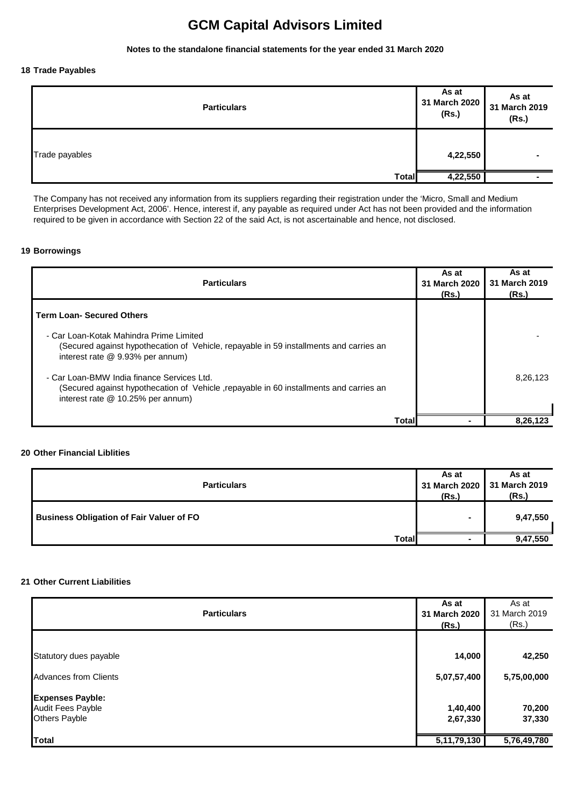#### **Notes to the standalone financial statements for the year ended 31 March 2020**

#### **18 Trade Payables**

| <b>Particulars</b> | As at<br>31 March 2020<br>(Rs.) | As at<br>31 March 2019<br>(Rs.) |
|--------------------|---------------------------------|---------------------------------|
| Trade payables     | 4,22,550                        |                                 |
| <b>Total</b>       | 4,22,550                        | $\sim$                          |

The Company has not received any information from its suppliers regarding their registration under the 'Micro, Small and Medium Enterprises Development Act, 2006'. Hence, interest if, any payable as required under Act has not been provided and the information required to be given in accordance with Section 22 of the said Act, is not ascertainable and hence, not disclosed.

#### **19 Borrowings**

| <b>Particulars</b>                                                                                                                                                          |       | As at<br>31 March 2020<br>(Rs.) | As at<br>31 March 2019<br>(Rs.) |
|-----------------------------------------------------------------------------------------------------------------------------------------------------------------------------|-------|---------------------------------|---------------------------------|
| <b>Term Loan- Secured Others</b>                                                                                                                                            |       |                                 |                                 |
| - Car Loan-Kotak Mahindra Prime Limited<br>(Secured against hypothecation of Vehicle, repayable in 59 installments and carries an<br>interest rate @ 9.93% per annum)       |       |                                 |                                 |
| - Car Loan-BMW India finance Services Ltd.<br>(Secured against hypothecation of Vehicle ,repayable in 60 installments and carries an<br>interest rate $@$ 10.25% per annum) |       |                                 | 8,26,123                        |
|                                                                                                                                                                             | Total |                                 | 8,26,123                        |

#### **20 Other Financial Liblities**

| <b>Particulars</b>                              | As at<br>31 March 2020 31 March 2019<br>(Rs.) | As at<br>(Rs.) |
|-------------------------------------------------|-----------------------------------------------|----------------|
| <b>Business Obligation of Fair Valuer of FO</b> | $\blacksquare$                                | 9,47,550       |
| Totall                                          |                                               | 9,47,550       |

#### **21 Other Current Liabilities**

| <b>Particulars</b>                                                          | As at<br>31 March 2020<br>(Rs.) | As at<br>31 March 2019<br>(Rs.) |
|-----------------------------------------------------------------------------|---------------------------------|---------------------------------|
|                                                                             |                                 |                                 |
| Statutory dues payable                                                      | 14,000                          | 42,250                          |
| <b>Advances from Clients</b>                                                | 5,07,57,400                     | 5,75,00,000                     |
| <b>Expenses Payble:</b><br><b>Audit Fees Payble</b><br><b>Others Payble</b> | 1,40,400<br>2,67,330            | 70,200<br>37,330                |
| Total                                                                       | 5,11,79,130                     | 5,76,49,780                     |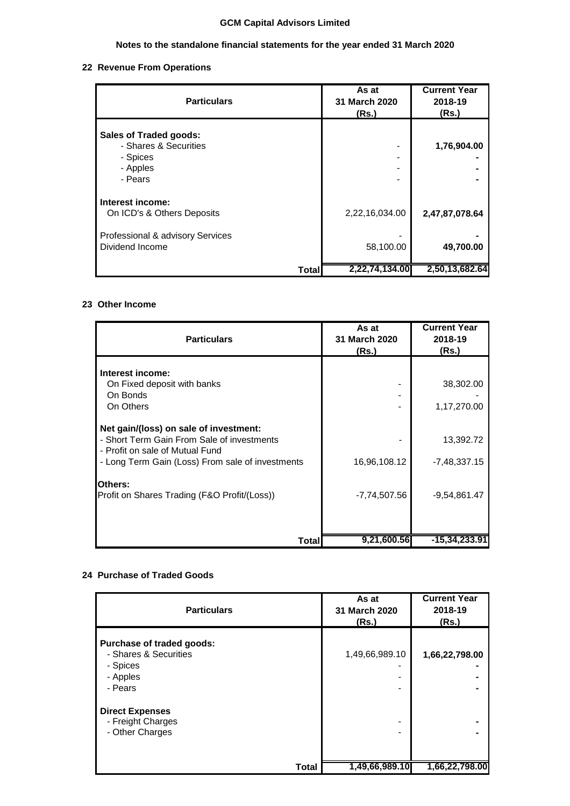# **Notes to the standalone financial statements for the year ended 31 March 2020**

#### **22 Revenue From Operations**

| <b>Particulars</b>                                                                        |       | As at<br>31 March 2020<br>(Rs.) | <b>Current Year</b><br>2018-19<br>(Rs.) |
|-------------------------------------------------------------------------------------------|-------|---------------------------------|-----------------------------------------|
| <b>Sales of Traded goods:</b><br>- Shares & Securities<br>- Spices<br>- Apples<br>- Pears |       |                                 | 1,76,904.00                             |
| Interest income:<br>On ICD's & Others Deposits                                            |       | 2,22,16,034.00                  | 2,47,87,078.64                          |
| Professional & advisory Services<br>Dividend Income                                       |       | 58,100.00                       | 49,700.00                               |
|                                                                                           | Total | 2,22,74,134.00                  | 2,50,13,682.64                          |

#### **23 Other Income**

| <b>Particulars</b>                                                                                                                                                          | As at<br>31 March 2020<br>(Rs.) | <b>Current Year</b><br>2018-19<br>(Rs.) |
|-----------------------------------------------------------------------------------------------------------------------------------------------------------------------------|---------------------------------|-----------------------------------------|
| Interest income:<br>On Fixed deposit with banks<br>On Bonds<br>On Others                                                                                                    |                                 | 38,302.00<br>1,17,270.00                |
| Net gain/(loss) on sale of investment:<br>- Short Term Gain From Sale of investments<br>- Profit on sale of Mutual Fund<br>- Long Term Gain (Loss) From sale of investments | 16,96,108.12                    | 13,392.72<br>$-7,48,337.15$             |
| Others:<br>Profit on Shares Trading (F&O Profit/(Loss))                                                                                                                     | -7,74,507.56                    | $-9.54.861.47$                          |
| Total                                                                                                                                                                       | 9,21,600.56                     | -15,34,233.91                           |

#### **24 Purchase of Traded Goods**

| <b>Particulars</b>                                                                           | As at<br>31 March 2020<br>(Rs.) | <b>Current Year</b><br>2018-19<br>(Rs.) |
|----------------------------------------------------------------------------------------------|---------------------------------|-----------------------------------------|
| <b>Purchase of traded goods:</b><br>- Shares & Securities<br>- Spices<br>- Apples<br>- Pears | 1,49,66,989.10                  | 1,66,22,798.00                          |
| <b>Direct Expenses</b><br>- Freight Charges<br>- Other Charges<br>Total                      | 1,49,66,989.10                  | 1,66,22,798.00                          |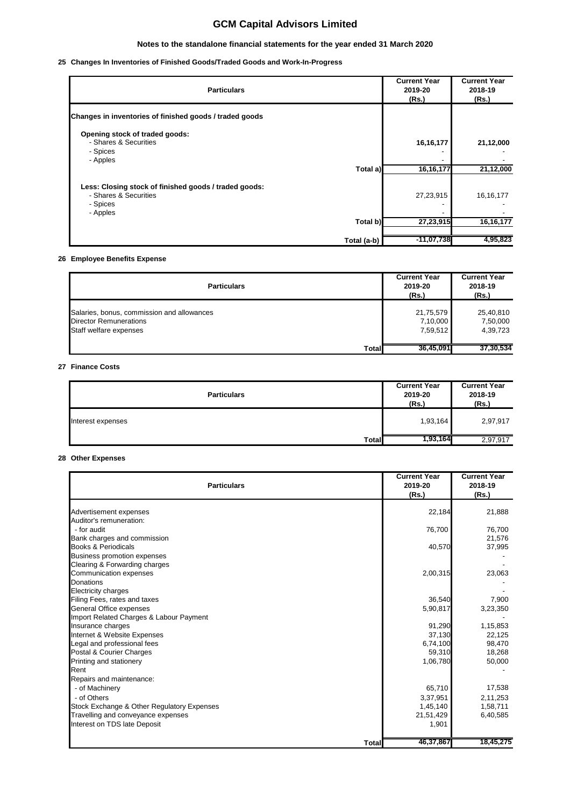#### **Notes to the standalone financial statements for the year ended 31 March 2020**

#### **25 Changes In Inventories of Finished Goods/Traded Goods and Work-In-Progress**

| <b>Particulars</b>                                                                                     |             | <b>Current Year</b><br>2019-20<br>(Rs.) | <b>Current Year</b><br>2018-19<br>(Rs.) |
|--------------------------------------------------------------------------------------------------------|-------------|-----------------------------------------|-----------------------------------------|
| Changes in inventories of finished goods / traded goods                                                |             |                                         |                                         |
| Opening stock of traded goods:<br>- Shares & Securities<br>- Spices<br>- Apples                        | Total a)    | 16, 16, 177<br>16, 16, 177              | 21,12,000<br>21,12,000                  |
| Less: Closing stock of finished goods / traded goods:<br>- Shares & Securities<br>- Spices<br>- Apples | Total b)    | 27,23,915<br>27,23,915                  | 16, 16, 177<br>16,16,177                |
|                                                                                                        | Total (a-b) | $-11,07,738$                            | 4,95,823                                |

#### **26 Employee Benefits Expense**

| <b>Particulars</b>                                                                             | <b>Current Year</b><br>2019-20<br>(Rs.) | <b>Current Year</b><br>2018-19<br>(Rs.) |
|------------------------------------------------------------------------------------------------|-----------------------------------------|-----------------------------------------|
| Salaries, bonus, commission and allowances<br>Director Remunerations<br>Staff welfare expenses | 21,75,579<br>7,10,000<br>7,59,512       | 25,40,810<br>7,50,000<br>4,39,723       |
| Total                                                                                          | 36,45,091                               | 37,30,534                               |

#### **27 Finance Costs**

| <b>Particulars</b> | <b>Current Year</b><br>2019-20<br>(Rs.) | <b>Current Year</b><br>2018-19<br>(Rs.) |
|--------------------|-----------------------------------------|-----------------------------------------|
| Interest expenses  | 1,93,164                                | 2,97,917                                |
| <b>Total</b>       | 1,93,164                                | 2,97,917                                |

#### **28 Other Expenses**

| <b>Particulars</b>                         | <b>Current Year</b><br>2019-20<br>(Rs.) | <b>Current Year</b><br>2018-19<br>(Rs.) |
|--------------------------------------------|-----------------------------------------|-----------------------------------------|
| Advertisement expenses                     | 22,184                                  | 21,888                                  |
| Auditor's remuneration:                    |                                         |                                         |
| - for audit                                | 76,700                                  | 76,700                                  |
| Bank charges and commission                |                                         | 21,576                                  |
| <b>Books &amp; Periodicals</b>             | 40,570                                  | 37,995                                  |
| <b>Business promotion expenses</b>         |                                         |                                         |
| Clearing & Forwarding charges              |                                         |                                         |
| Communication expenses                     | 2,00,315                                | 23,063                                  |
| Donations                                  |                                         |                                         |
| <b>Electricity charges</b>                 |                                         |                                         |
| Filing Fees, rates and taxes               | 36,540                                  | 7,900                                   |
| General Office expenses                    | 5,90,817                                | 3,23,350                                |
| Import Related Charges & Labour Payment    |                                         |                                         |
| Insurance charges                          | 91,290                                  | 1,15,853                                |
| Internet & Website Expenses                | 37,130                                  | 22,125                                  |
| Legal and professional fees                | 6,74,100                                | 98.470                                  |
| Postal & Courier Charges                   | 59,310                                  | 18,268                                  |
| Printing and stationery                    | 1,06,780                                | 50,000                                  |
| Rent                                       |                                         |                                         |
| Repairs and maintenance:                   |                                         |                                         |
| - of Machinery                             | 65,710                                  | 17,538                                  |
| - of Others                                | 3,37,951                                | 2,11,253                                |
| Stock Exchange & Other Regulatory Expenses | 1,45,140                                | 1,58,711                                |
| Travelling and conveyance expenses         | 21,51,429                               | 6,40,585                                |
| Interest on TDS late Deposit               | 1,901                                   |                                         |
| <b>Total</b>                               | 46,37,867                               | 18.45.275                               |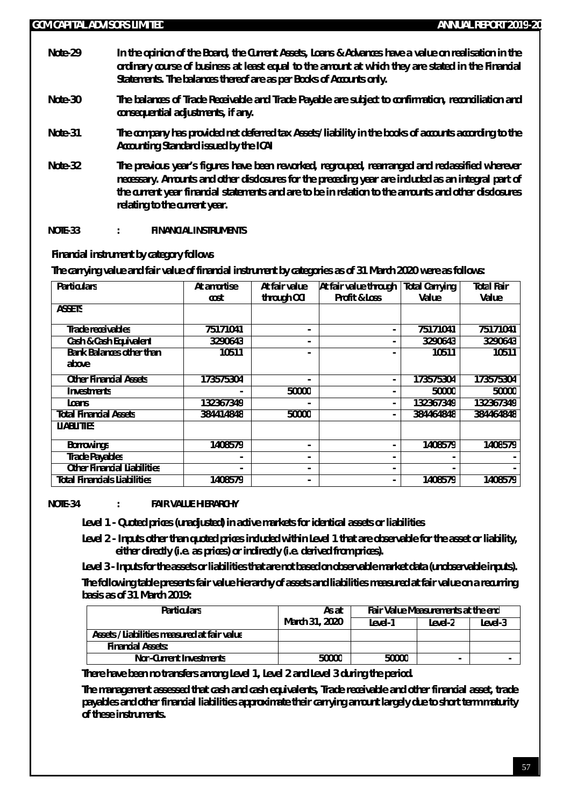- **Note-29 In the opinion of the Board, the Current Assets, Loans & Advances have a value on realisation in the ordinary course of business at least equal to the amount at which they are stated in the Financial Statements. The balances thereof are as per Books of Accounts only.**
- **Note-30 The balances of Trade Receivable and Trade Payable are subject to confirmation, reconciliation and consequential adjustments, if any.**
- **Note-31 The company has provided net deferred tax Assets/liability in the books of accounts according to the Accounting Standard issued by the ICAI**
- **Note-32 The previous year's figures have been reworked, regrouped, rearranged and reclassified wherever necessary. Amounts and other disclosures for the preceding year are included as an integral part of the current year financial statements and are to be in relation to the amounts and other disclosures relating to the current year.**

#### **NOTE-33 : FINANCIAL INSTRUMENTS**

**Financial instrument by category follows**

**The carrying value and fair value of financial instrument by categories as of 31 March 2020 were as follows:**

| <b>Particulars</b>                  | At amortise              | At fair value            | At fair value through    | <b>Total Carrying</b> | <b>Total Fair</b> |
|-------------------------------------|--------------------------|--------------------------|--------------------------|-----------------------|-------------------|
|                                     | cost                     | through OCI              | <b>Profit &amp; Loss</b> | Value                 | Value             |
| <b>ASSETS</b>                       |                          |                          |                          |                       |                   |
| Trade receivables                   | 75171041                 | $\overline{\phantom{0}}$ |                          | 75171041              | 75171041          |
| Cash & Cash Equivalent              | 3290643                  | $\overline{\phantom{0}}$ |                          | 3290643               | 3290643           |
| Bank Balances other than<br>above   | 10511                    |                          |                          | 10511                 | 10511             |
| <b>Other Financial Assets</b>       | 173575304                | ٠                        | $\overline{\phantom{a}}$ | 173575304             | 173575304         |
| Investments                         |                          | 50000                    |                          | 50000                 | 50000             |
| Loans                               | 132367349                | ٠                        |                          | 132367349             | 132367349         |
| <b>Total Financial Assets</b>       | 384414848                | 50000                    |                          | 384464848             | 384464848         |
| <b>LIABLITIES</b>                   |                          |                          |                          |                       |                   |
| <b>Borrowings</b>                   | 1408579                  | $\overline{\phantom{a}}$ |                          | 1408579               | 1408579           |
| <b>Trade Payables</b>               | $\overline{\phantom{0}}$ | $\overline{\phantom{0}}$ |                          |                       |                   |
| <b>Other Financial Liabilities</b>  |                          | $\overline{\phantom{0}}$ |                          |                       |                   |
| <b>Total Financials Liabilities</b> | 1408579                  | $\blacksquare$           |                          | 1408579               | 1408579           |

#### **NOTE-34 : FAIR VALUE HIERARCHY**

**Level 1 - Quoted prices (unadjusted) in active markets for identical assets or liabilities**

- **Level 2 - Inputs other than quoted prices included within Level 1 that are observable for the asset or liability, either directly (i.e. as prices) or indirectly (i.e. derived from prices).**
- **Level 3 - Inputs for the assets or liabilities that are not based on observable market data (unobservable inputs).**

**The following table presents fair value hierarchy of assets and liabilities measured at fair value on a recurring basis as of 31 March 2019:**

| <b>Particulars</b>                         | As at          |         | <b>Fair Value Measurements at the end</b> |         |
|--------------------------------------------|----------------|---------|-------------------------------------------|---------|
|                                            | March 31, 2020 | Level-1 | Level-2                                   | Level-3 |
| Assets /Liabilities measured at fair value |                |         |                                           |         |
| Financial Assets:                          |                |         |                                           |         |
| Non-Current Investments                    | 50000          | 50000   | $\overline{\phantom{a}}$                  |         |

**There have been no transfers among Level 1, Level 2 and Level 3 during the period.**

**The management assessed that cash and cash equivalents, Trade receivable and other financial asset, trade payables and other financial liabilities approximate their carrying amount largely due to short term maturity of these instruments.**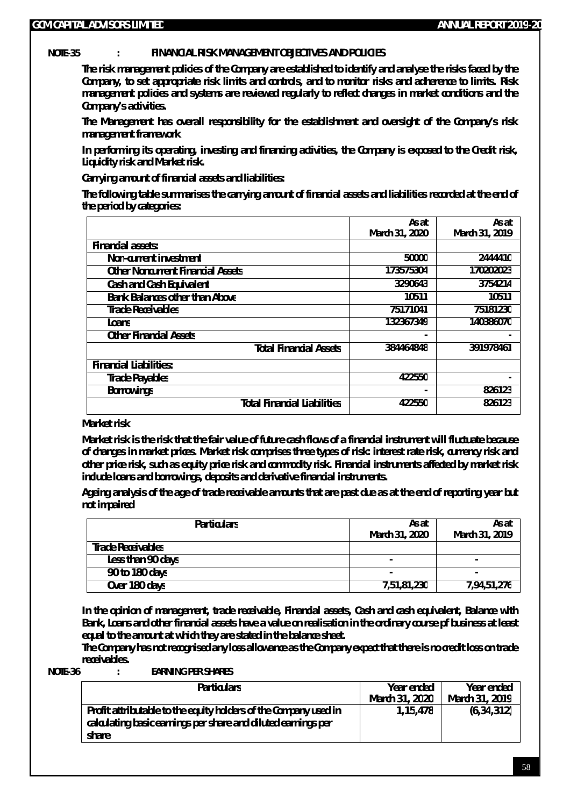## **NOTE-35 : FINANCIAL RISK MANAGEMENT OBJECTIVES AND POLICIES**

**The risk management policies of the Company are established to identify and analyse the risks faced by the Company, to set appropriate risk limits and controls, and to monitor risks and adherence to limits. Risk management policies and systems are reviewed regularly to reflect changes in market conditions and the Company's activities.**

**The Management has overall responsibility for the establishment and oversight of the Company's risk management framework**

**In performing its operating, investing and financing activities, the Company is exposed to the Credit risk, Liquidity risk and Market risk.**

#### **Carrying amount of financial assets and liabilities:**

**The following table summarises the carrying amount of financial assets and liabilities recorded at the end of the period by categories:**

|                                          | As at          | As at          |
|------------------------------------------|----------------|----------------|
|                                          | March 31, 2020 | March 31, 2019 |
| Financial assets:                        |                |                |
| Non-current investment                   | 50000          | 2444410        |
| <b>Other Noncurrent Financial Assets</b> | 173575304      | 170202023      |
| Cash and Cash Equivalent                 | 3290643        | 3754214        |
| Bank Balances other than Above           | 10511          | 10511          |
| Trade Receivables                        | 75171041       | 75181230       |
| Loans                                    | 132367349      | 140386070      |
| <b>Other Financial Assets</b>            | ۰              |                |
| <b>Total Financial Assets</b>            | 384464848      | 391978461      |
| <b>Financial Liabilities:</b>            |                |                |
| <b>Trade Payables</b>                    | 422550         |                |
| <b>Borrowings</b>                        | ٠              | 826123         |
| <b>Total Financial Liabilities</b>       | 422550         | 826123         |

#### **Market risk**

**Market risk is the risk that the fair value of future cash flows of a financial instrument will fluctuate because of changes in market prices. Market risk comprises three types of risk: interest rate risk, currency risk and other price risk, such as equity price risk and commodity risk. Financial instruments affected by market risk include loans and borrowings, deposits and derivative financial instruments.**

**Ageing analysis of the age of trade receivable amounts that are past due as at the end of reporting year but not impaired**

| <b>Particulars</b>       | As at<br>March 31, 2020  | As at<br>March 31, 2019 |
|--------------------------|--------------------------|-------------------------|
| <b>Trade Receivables</b> |                          |                         |
| Less than 90 days        | $\overline{\phantom{0}}$ | -                       |
| 90 to 180 days           | $\overline{\phantom{0}}$ |                         |
| Over 180 days            | 7,51,81,230              | 7,94,51,276             |

**In the opinion of management, trade receivable, Financial assets, Cash and cash equivalent, Balance with Bank, Loans and other financial assets have a value on realisation in the ordinary course pf business at least equal to the amount at which they are stated in the balance sheet.**

**The Company has not recognised any loss allowance as the Company expect that there is no credit loss on trade receivables.**

#### **NOTE-36 : EARNING PER SHARES**

| <b>Particulars</b>                                                                                                                         | Year ended<br>March 31, 2020 | Year ended<br>March 31, 2019 |
|--------------------------------------------------------------------------------------------------------------------------------------------|------------------------------|------------------------------|
| Profit attributable to the equity holders of the Company used in<br>calculating basic earnings per share and diluted earnings per<br>share | 1,15,478                     | (6, 34, 312)                 |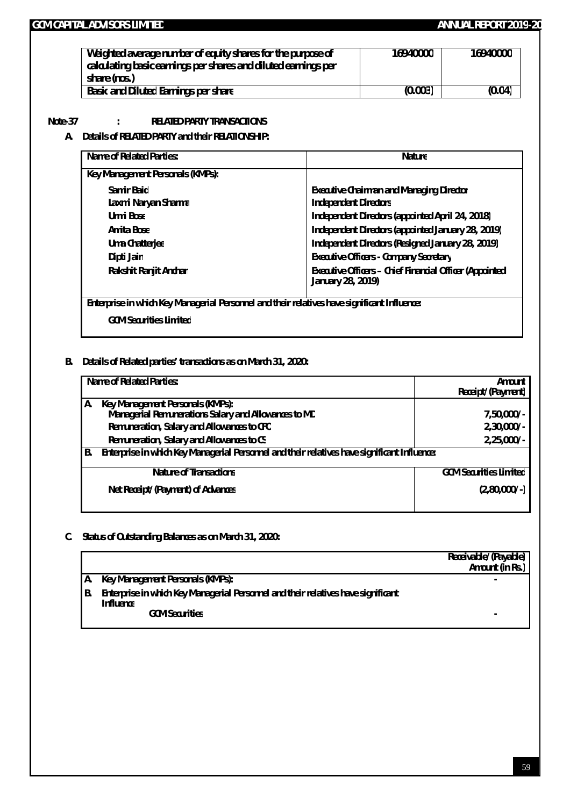| Weighted average number of equity shares for the purpose of<br>calculating basic earnings per shares and diluted earnings per<br>share (nos.) | 16940000 | 16940000 |
|-----------------------------------------------------------------------------------------------------------------------------------------------|----------|----------|
| Basic and Diluted Earnings per share                                                                                                          | (0.003)  | (0.04)   |

#### **Note-37 : RELATED PARTY TRANSACTIONS**

#### **A. Details of RELATED PARTY and their RELATIONSHIP:**

| <b>Name of Related Parties:</b>                                     | <b>Nature</b>                                                                                                                                                                                                                     |  |
|---------------------------------------------------------------------|-----------------------------------------------------------------------------------------------------------------------------------------------------------------------------------------------------------------------------------|--|
| Key Management Personals (KMPs):                                    |                                                                                                                                                                                                                                   |  |
| Samir Baid<br>Laxmi Naryan Sharma<br>Urmi Bose                      | <b>Executive Chairman and Managing Director</b><br><b>Independent Directors</b><br>Independent Directors (appointed April 24, 2018)                                                                                               |  |
| Amita Bose<br>Uma Chatterjee<br>Dipti Jain<br>Rakshit Ranjit Anchan | Independent Directors (appointed January 28, 2019)<br>Independent Directors (Resigned January 28, 2019)<br>Executive Officers - Company Secretary<br>Executive Officers - Chief Financial Officer (Appointed<br>January 28, 2019) |  |

**Enterprise in which Key Managerial Personnel and their relatives have significant Influence:**

**GCM Securities Limited**

#### **B. Details of Related parties' transactions as on March 31, 2020:**

|    | <b>Name of Related Parties:</b>                                                              | Amount<br>Receipt/(Payment)   |
|----|----------------------------------------------------------------------------------------------|-------------------------------|
| А. | Key Management Personals (KMPs):                                                             |                               |
|    | Managerial Remunerations Salary and Allowances to MD                                         | $7,50,000/-$                  |
|    | Remuneration, Salary and Allowances to CFO                                                   | $2,30,000/-$                  |
|    | Remuneration, Salary and Allowances to CS                                                    | $2,25,000/-$                  |
| B. | Enterprise in which Key Managerial Personnel and their relatives have significant Influence: |                               |
|    | <b>Nature of Transactions</b>                                                                | <b>GCM Securities Limited</b> |
|    | Net Receipt/(Payment) of Advances                                                            | $(2,80,000/-)$                |

#### **C. Status of Outstanding Balances as on March 31, 2020:**

**Receivable/(Payable) Amount (in Rs.)**

**A. Key Management Personals (KMPs): -**

**B. Enterprise in which Key Managerial Personnel and their relatives have significant Influence GCM Securities -**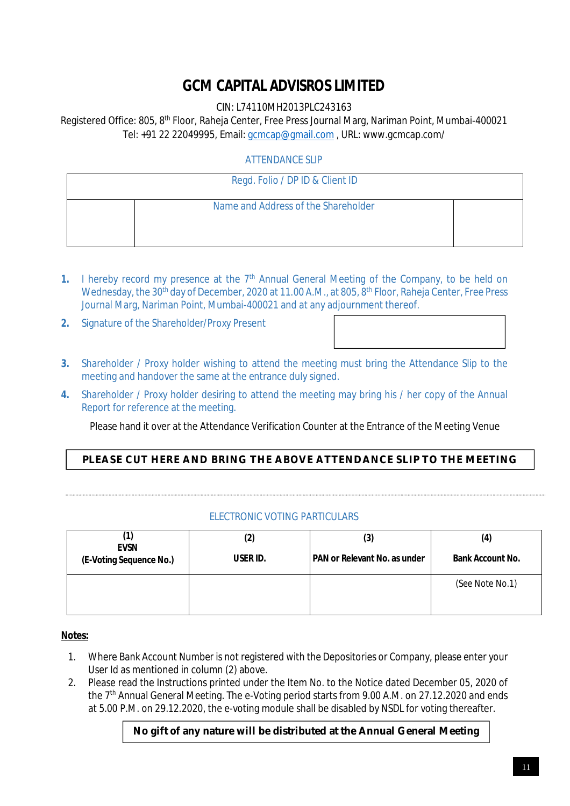# **GCM CAPITAL ADVISROS LIMITED**

CIN: L74110MH2013PLC243163

Registered Office: 805, 8<sup>th</sup> Floor, Raheja Center, Free Press Journal Marg, Nariman Point, Mumbai-400021 Tel: +91 22 22049995, Email: gcmcap@gmail.com , URL: www.gcmcap.com/

# ATTENDANCE SLIP

| Regd. Folio / DP ID & Client ID |                                     |  |
|---------------------------------|-------------------------------------|--|
|                                 | Name and Address of the Shareholder |  |

- **1.** I hereby record my presence at the 7<sup>th</sup> Annual General Meeting of the Company, to be held on Wednesday, the 30<sup>th</sup> day of December, 2020 at 11.00 A.M., at 805, 8<sup>th</sup> Floor, Raheja Center, Free Press Journal Marg, Nariman Point, Mumbai-400021 and at any adjournment thereof.
- **2.** Signature of the Shareholder/Proxy Present

| 3. Shareholder / Proxy holder wishing to attend the meeting must bring the Attendance Slip to the |  |
|---------------------------------------------------------------------------------------------------|--|
| meeting and handover the same at the entrance duly signed.                                        |  |

**4.** Shareholder / Proxy holder desiring to attend the meeting may bring his / her copy of the Annual Report for reference at the meeting.

Please hand it over at the Attendance Verification Counter at the Entrance of the Meeting Venue

# **PLEASE CUT HERE AND BRING THE ABOVE ATTENDANCE SLIP TO THE MEETING**

### ELECTRONIC VOTING PARTICULARS

| U)<br><b>EVSN</b><br>(E-Voting Sequence No.) | (2)<br>USER ID. | (3)<br><b>PAN or Relevant No. as under</b> | (4)<br><b>Bank Account No.</b> |
|----------------------------------------------|-----------------|--------------------------------------------|--------------------------------|
|                                              |                 |                                            | (See Note No.1)                |

### **Notes:**

- 1. Where Bank Account Number is not registered with the Depositories or Company, please enter your User Id as mentioned in column (2) above.
- 2. Please read the Instructions printed under the Item No. to the Notice dated December 05, 2020 of the 7<sup>th</sup> Annual General Meeting. The e-Voting period starts from 9.00 A.M. on 27.12.2020 and ends at 5.00 P.M. on 29.12.2020, the e-voting module shall be disabled by NSDL for voting thereafter.

# **No gift of any nature will be distributed at the Annual General Meeting**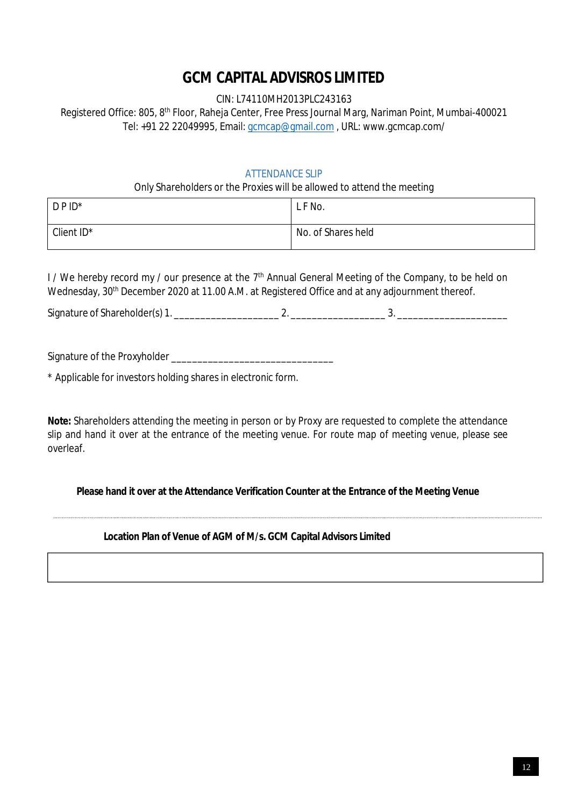# **GCM CAPITAL ADVISROS LIMITED**

CIN: L74110MH2013PLC243163

Registered Office: 805, 8<sup>th</sup> Floor, Raheja Center, Free Press Journal Marg, Nariman Point, Mumbai-400021 Tel: +91 22 22049995, Email: gcmcap@gmail.com , URL: www.gcmcap.com/

#### ATTENDANCE SLIP

### Only Shareholders or the Proxies will be allowed to attend the meeting

| $DPID^*$   | LFNo.              |
|------------|--------------------|
| Client ID* | No. of Shares held |

I / We hereby record my / our presence at the 7<sup>th</sup> Annual General Meeting of the Company, to be held on Wednesday, 30<sup>th</sup> December 2020 at 11.00 A.M. at Registered Office and at any adjournment thereof.

Signature of Shareholder(s) 1. \_\_\_\_\_\_\_\_\_\_\_\_\_\_\_\_\_\_\_\_ 2. \_\_\_\_\_\_\_\_\_\_\_\_\_\_\_\_\_\_ 3. \_\_\_\_\_\_\_\_\_\_\_\_\_\_\_\_\_\_\_\_\_

Signature of the Proxyholder \_\_\_\_\_\_\_\_\_\_\_\_\_\_\_\_\_\_\_\_\_\_\_\_\_\_\_\_\_\_\_

\* Applicable for investors holding shares in electronic form.

**Note:** Shareholders attending the meeting in person or by Proxy are requested to complete the attendance slip and hand it over at the entrance of the meeting venue. For route map of meeting venue, please see overleaf.

### **Please hand it over at the Attendance Verification Counter at the Entrance of the Meeting Venue**

# **Location Plan of Venue of AGM of M/s. GCM Capital Advisors Limited**